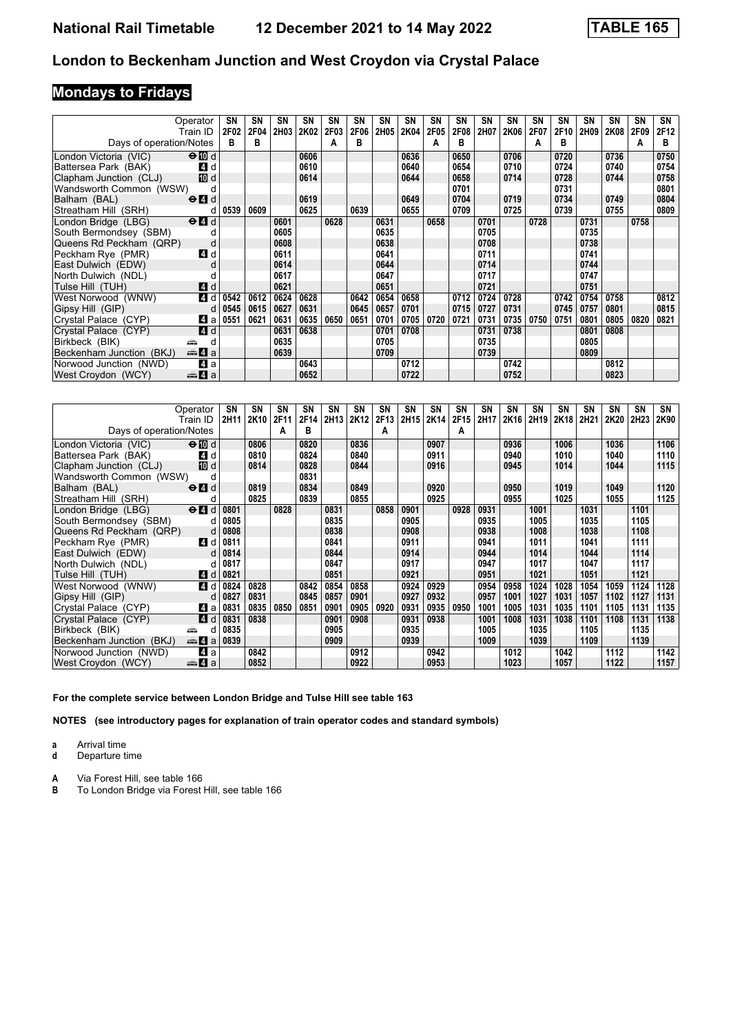# **Mondays to Fridays**

| Operator                 |                                           | SΝ   | <b>SN</b> | SN          | SΝ   | SN   | SN   | SN   | <b>SN</b> | SN   | SΝ   | SN   | <b>SN</b>   | <b>SN</b> | SΝ   | SΝ   | <b>SN</b> | SN   | SN   |
|--------------------------|-------------------------------------------|------|-----------|-------------|------|------|------|------|-----------|------|------|------|-------------|-----------|------|------|-----------|------|------|
| Train ID                 |                                           | 2F02 | 2F04      | <b>2H03</b> | 2K02 | 2F03 | 2F06 | 2H05 | 2K04      | 2F05 | 2F08 | 2H07 | <b>2K06</b> | 2F07      | 2F10 | 2H09 | 2K08      | 2F09 | 2F12 |
| Days of operation/Notes  |                                           | в    | в         |             |      | A    | в    |      |           | А    | в    |      |             | А         | в    |      |           | А    | в    |
| London Victoria (VIC)    | $\Theta$ M d                              |      |           |             | 0606 |      |      |      | 0636      |      | 0650 |      | 0706        |           | 0720 |      | 0736      |      | 0750 |
| Battersea Park (BAK)     | 4 d                                       |      |           |             | 0610 |      |      |      | 0640      |      | 0654 |      | 0710        |           | 0724 |      | 0740      |      | 0754 |
| Clapham Junction (CLJ)   | <b>ID</b> d                               |      |           |             | 0614 |      |      |      | 0644      |      | 0658 |      | 0714        |           | 0728 |      | 0744      |      | 0758 |
| Wandsworth Common (WSW)  |                                           |      |           |             |      |      |      |      |           |      | 0701 |      |             |           | 0731 |      |           |      | 0801 |
| Balham (BAL)             | $\Theta$ $\blacksquare$ d                 |      |           |             | 0619 |      |      |      | 0649      |      | 0704 |      | 0719        |           | 0734 |      | 0749      |      | 0804 |
| Streatham Hill (SRH)     | d                                         | 0539 | 0609      |             | 0625 |      | 0639 |      | 0655      |      | 0709 |      | 0725        |           | 0739 |      | 0755      |      | 0809 |
| London Bridge (LBG)      | $\Theta$ <sup><math>\Omega</math></sup> d |      |           | 0601        |      | 0628 |      | 0631 |           | 0658 |      | 0701 |             | 0728      |      | 0731 |           | 0758 |      |
| South Bermondsey (SBM)   | d                                         |      |           | 0605        |      |      |      | 0635 |           |      |      | 0705 |             |           |      | 0735 |           |      |      |
| Queens Rd Peckham (QRP)  | d                                         |      |           | 0608        |      |      |      | 0638 |           |      |      | 0708 |             |           |      | 0738 |           |      |      |
| Peckham Rye (PMR)        | 4 d                                       |      |           | 0611        |      |      |      | 0641 |           |      |      | 0711 |             |           |      | 0741 |           |      |      |
| East Dulwich (EDW)       | d                                         |      |           | 0614        |      |      |      | 0644 |           |      |      | 0714 |             |           |      | 0744 |           |      |      |
| North Dulwich (NDL)      |                                           |      |           | 0617        |      |      |      | 0647 |           |      |      | 0717 |             |           |      | 0747 |           |      |      |
| Tulse Hill (TUH)         | <b>4</b> d                                |      |           | 0621        |      |      |      | 0651 |           |      |      | 0721 |             |           |      | 0751 |           |      |      |
| West Norwood (WNW)       | 4 d                                       | 0542 | 0612      | 0624        | 0628 |      | 0642 | 0654 | 0658      |      | 0712 | 0724 | 0728        |           | 0742 | 0754 | 0758      |      | 0812 |
| Gipsy Hill (GIP)         | d                                         | 0545 | 0615      | 0627        | 0631 |      | 0645 | 0657 | 0701      |      | 0715 | 0727 | 0731        |           | 0745 | 0757 | 0801      |      | 0815 |
| Crystal Palace (CYP)     | 4 a                                       | 0551 | 0621      | 0631        | 0635 | 0650 | 0651 | 0701 | 0705      | 0720 | 0721 | 0731 | 0735        | 0750      | 0751 | 0801 | 0805      | 0820 | 0821 |
| Crystal Palace (CYP)     | 4d                                        |      |           | 0631        | 0638 |      |      | 0701 | 0708      |      |      | 0731 | 0738        |           |      | 0801 | 0808      |      |      |
| Birkbeck (BIK)<br>پیش    | d                                         |      |           | 0635        |      |      |      | 0705 |           |      |      | 0735 |             |           |      | 0805 |           |      |      |
| Beckenham Junction (BKJ) | <b>美石</b> a                               |      |           | 0639        |      |      |      | 0709 |           |      |      | 0739 |             |           |      | 0809 |           |      |      |
| Norwood Junction (NWD)   | 4 a                                       |      |           |             | 0643 |      |      |      | 0712      |      |      |      | 0742        |           |      |      | 0812      |      |      |
| West Croydon (WCY)       | <del>⊯</del> ⊿а                           |      |           |             | 0652 |      |      |      | 0722      |      |      |      | 0752        |           |      |      | 0823      |      |      |

| Operator                                                         |      | SΝ   | SN   | SN   | SΝ   | SΝ   | <b>SN</b> | SN   | <b>SN</b> | SN   | <b>SN</b> | <b>SN</b> | <b>SN</b> | <b>SN</b> | SΝ               | SN   | SΝ   | <b>SN</b> | SN   |
|------------------------------------------------------------------|------|------|------|------|------|------|-----------|------|-----------|------|-----------|-----------|-----------|-----------|------------------|------|------|-----------|------|
| Train ID                                                         |      | 2H11 | 2K10 | 2F11 | 2F14 | 2H13 | 2K12      | 2F13 | 2H15      | 2K14 | 2F15      | 2H17      | 2K16      | 2H19      | 2K <sub>18</sub> | 2H21 | 2K20 | 2H23      | 2K90 |
| Days of operation/Notes                                          |      |      |      | А    | B    |      |           | A    |           |      | А         |           |           |           |                  |      |      |           |      |
| $\Theta$ M d<br>London Victoria (VIC)                            |      |      | 0806 |      | 0820 |      | 0836      |      |           | 0907 |           |           | 0936      |           | 1006             |      | 1036 |           | 1106 |
| Battersea Park (BAK)                                             | 4 d  |      | 0810 |      | 0824 |      | 0840      |      |           | 0911 |           |           | 0940      |           | 1010             |      | 1040 |           | 1110 |
| Clapham Junction (CLJ)                                           | 10 d |      | 0814 |      | 0828 |      | 0844      |      |           | 0916 |           |           | 0945      |           | 1014             |      | 1044 |           | 1115 |
| Wandsworth Common (WSW)                                          | d    |      |      |      | 0831 |      |           |      |           |      |           |           |           |           |                  |      |      |           |      |
| Balham (BAL)<br>$\Theta$ <sup><math>\Omega</math></sup> d        |      |      | 0819 |      | 0834 |      | 0849      |      |           | 0920 |           |           | 0950      |           | 1019             |      | 1049 |           | 1120 |
| Streatham Hill (SRH)                                             | d    |      | 0825 |      | 0839 |      | 0855      |      |           | 0925 |           |           | 0955      |           | 1025             |      | 1055 |           | 1125 |
| London Bridge (LBG)<br>$\Theta$ <sup><math>\Omega</math></sup> d |      | 0801 |      | 0828 |      | 0831 |           | 0858 | 0901      |      | 0928      | 0931      |           | 1001      |                  | 1031 |      | 1101      |      |
| South Bermondsey (SBM)                                           | d    | 0805 |      |      |      | 0835 |           |      | 0905      |      |           | 0935      |           | 1005      |                  | 1035 |      | 1105      |      |
| Queens Rd Peckham (QRP)                                          | d    | 0808 |      |      |      | 0838 |           |      | 0908      |      |           | 0938      |           | 1008      |                  | 1038 |      | 1108      |      |
| Peckham Rye (PMR)                                                | 4 d  | 0811 |      |      |      | 0841 |           |      | 0911      |      |           | 0941      |           | 1011      |                  | 1041 |      | 1111      |      |
| East Dulwich (EDW)                                               | d    | 0814 |      |      |      | 0844 |           |      | 0914      |      |           | 0944      |           | 1014      |                  | 1044 |      | 1114      |      |
| North Dulwich (NDL)                                              |      | 0817 |      |      |      | 0847 |           |      | 0917      |      |           | 0947      |           | 1017      |                  | 1047 |      | 1117      |      |
| Tulse Hill (TUH)                                                 | 4 d  | 0821 |      |      |      | 0851 |           |      | 0921      |      |           | 0951      |           | 1021      |                  | 1051 |      | 1121      |      |
| West Norwood (WNW)                                               | 4 d  | 0824 | 0828 |      | 0842 | 0854 | 0858      |      | 0924      | 0929 |           | 0954      | 0958      | 1024      | 1028             | 1054 | 1059 | 1124      | 1128 |
| Gipsy Hill (GIP)                                                 | d    | 0827 | 0831 |      | 0845 | 0857 | 0901      |      | 0927      | 0932 |           | 0957      | 1001      | 1027      | 1031             | 1057 | 1102 | 1127      | 1131 |
| Crystal Palace (CYP)                                             | 41 a | 0831 | 0835 | 0850 | 0851 | 0901 | 0905      | 0920 | 0931      | 0935 | 0950      | 1001      | 1005      | 1031      | 1035             | 1101 | 1105 | 1131      | 1135 |
| Crystal Palace (CYP)                                             | 4 d  | 0831 | 0838 |      |      | 0901 | 0908      |      | 0931      | 0938 |           | 1001      | 1008      | 1031      | 1038             | 1101 | 1108 | 1131      | 1138 |
| Birkbeck (BIK)<br>æ                                              | а    | 0835 |      |      |      | 0905 |           |      | 0935      |      |           | 1005      |           | 1035      |                  | 1105 |      | 1135      |      |
| <del>⊯</del> ⊿ а<br>Beckenham Junction (BKJ)                     |      | 0839 |      |      |      | 0909 |           |      | 0939      |      |           | 1009      |           | 1039      |                  | 1109 |      | 1139      |      |
| Norwood Junction (NWD)                                           | ZI a |      | 0842 |      |      |      | 0912      |      |           | 0942 |           |           | 1012      |           | 1042             |      | 1112 |           | 1142 |
| West Croydon (WCY)<br><del>⊯</del> 4 а                           |      |      | 0852 |      |      |      | 0922      |      |           | 0953 |           |           | 1023      |           | 1057             |      | 1122 |           | 1157 |

**For the complete service between London Bridge and Tulse Hill see table 1**

**NOTES (see introductory pages for explanation of train operator codes and standard symbols)**

**a** Arrival time

**d** Departure time

**A** Via Forest Hill, see table 166<br>**B** To London Bridge via Forest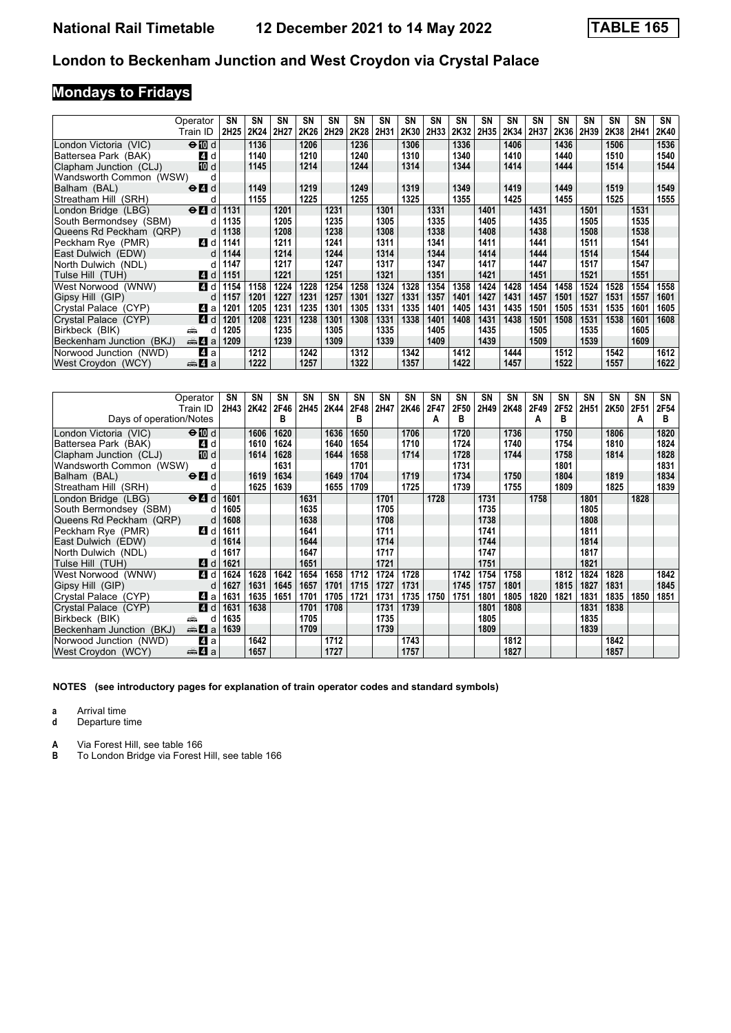# **Mondays to Fridays**

|                          | Operator<br>Train ID                      | SN<br><b>2H25</b> | SN<br>2K24 | SN<br>2H27 | SΝ<br>2K26 | SN<br>2H29 | <b>SN</b><br>2K28 | <b>SN</b><br>2H31 | <b>SN</b><br>2K30 | SN<br>2H33 | <b>SN</b><br>2K32 | <b>SN</b><br>2H35 | <b>SN</b><br>2K34 | SN<br>2H37 | SΝ<br>2K36 | SΝ<br>2H39 | SΝ<br>2K38 | SN<br>2H41 | SN<br>2K40 |
|--------------------------|-------------------------------------------|-------------------|------------|------------|------------|------------|-------------------|-------------------|-------------------|------------|-------------------|-------------------|-------------------|------------|------------|------------|------------|------------|------------|
|                          |                                           |                   |            |            |            |            |                   |                   |                   |            |                   |                   |                   |            |            |            |            |            |            |
| London Victoria (VIC)    | $\Theta$ $\blacksquare$ d                 |                   | 1136       |            | 1206       |            | 1236              |                   | 1306              |            | 1336              |                   | 1406              |            | 1436       |            | 1506       |            | 1536       |
| Battersea Park (BAK)     | 4 d                                       |                   | 1140       |            | 1210       |            | 1240              |                   | 1310              |            | 1340              |                   | 1410              |            | 1440       |            | 1510       |            | 1540       |
| Clapham Junction (CLJ)   | <b>ID</b> d                               |                   | 1145       |            | 1214       |            | 1244              |                   | 1314              |            | 1344              |                   | 1414              |            | 1444       |            | 1514       |            | 1544       |
| Wandsworth Common (WSW)  | d                                         |                   |            |            |            |            |                   |                   |                   |            |                   |                   |                   |            |            |            |            |            |            |
| Balham (BAL)             | $\Theta$ <sup><math>\Omega</math></sup> d |                   | 1149       |            | 1219       |            | 1249              |                   | 1319              |            | 1349              |                   | 1419              |            | 1449       |            | 1519       |            | 1549       |
| Streatham Hill (SRH)     | d                                         |                   | 1155       |            | 1225       |            | 1255              |                   | 1325              |            | 1355              |                   | 1425              |            | 1455       |            | 1525       |            | 1555       |
| London Bridge (LBG)      | $\Theta$ $\blacksquare$ d                 | 1131              |            | 1201       |            | 1231       |                   | 1301              |                   | 1331       |                   | 1401              |                   | 1431       |            | 1501       |            | 1531       |            |
| South Bermondsey (SBM)   | d                                         | 1135              |            | 1205       |            | 1235       |                   | 1305              |                   | 1335       |                   | 1405              |                   | 1435       |            | 1505       |            | 1535       |            |
| Queens Rd Peckham (QRP)  | d                                         | 1138              |            | 1208       |            | 1238       |                   | 1308              |                   | 1338       |                   | 1408              |                   | 1438       |            | 1508       |            | 1538       |            |
| Peckham Rve (PMR)        | 4 d                                       | 1141              |            | 1211       |            | 1241       |                   | 1311              |                   | 1341       |                   | 1411              |                   | 1441       |            | 1511       |            | 1541       |            |
| East Dulwich (EDW)       | d                                         | 1144              |            | 1214       |            | 1244       |                   | 1314              |                   | 1344       |                   | 1414              |                   | 1444       |            | 1514       |            | 1544       |            |
| North Dulwich (NDL)      | d                                         | 1147              |            | 1217       |            | 1247       |                   | 1317              |                   | 1347       |                   | 1417              |                   | 1447       |            | 1517       |            | 1547       |            |
| Tulse Hill (TUH)         | 4 d                                       | 1151              |            | 1221       |            | 1251       |                   | 1321              |                   | 1351       |                   | 1421              |                   | 1451       |            | 1521       |            | 1551       |            |
| West Norwood (WNW)       | 4 d                                       | 1154              | 1158       | 1224       | 1228       | 1254       | 1258              | 1324              | 1328              | 1354       | 1358              | 1424              | 1428              | 1454       | 1458       | 1524       | 1528       | 1554       | 1558       |
| Gipsy Hill (GIP)         | d                                         | 1157              | 1201       | 1227       | 1231       | 1257       | 1301              | 1327              | 1331              | 1357       | 1401              | 1427              | 1431              | 1457       | 1501       | 1527       | 1531       | 1557       | 1601       |
| Crystal Palace (CYP)     | 4 a                                       | 1201              | 1205       | 1231       | 1235       | 1301       | 1305              | 1331              | 1335              | 1401       | 1405              | 1431              | 1435              | 1501       | 1505       | 1531       | 1535       | 1601       | 1605       |
| Crystal Palace (CYP)     | ZI d                                      | 1201              | 1208       | 1231       | 1238       | 1301       | 1308              | 1331              | 1338              | 1401       | 1408              | 1431              | 1438              | 1501       | 1508       | 1531       | 1538       | 1601       | 1608       |
| Birkbeck (BIK)           | ۳Ê<br>d                                   | 1205              |            | 1235       |            | 1305       |                   | 1335              |                   | 1405       |                   | 1435              |                   | 1505       |            | 1535       |            | 1605       |            |
| Beckenham Junction (BKJ) | $\oplus$ 4 a                              | 1209              |            | 1239       |            | 1309       |                   | 1339              |                   | 1409       |                   | 1439              |                   | 1509       |            | 1539       |            | 1609       |            |
| Norwood Junction (NWD)   | ZI a                                      |                   | 1212       |            | 1242       |            | 1312              |                   | 1342              |            | 1412              |                   | 1444              |            | 1512       |            | 1542       |            | 1612       |
| West Croydon (WCY)       | <del>⊯</del> ⊿а                           |                   | 1222       |            | 1257       |            | 1322              |                   | 1357              |            | 1422              |                   | 1457              |            | 1522       |            | 1557       |            | 1622       |

|                          | Operator                                        | SN   | <b>SN</b> | SN   | SN   | SN   | SN   | <b>SN</b> | <b>SN</b> | SN   | SΝ   | <b>SN</b> | SΝ   | SΝ   | SΝ   | SΝ               | SΝ   | SΝ   | SN   |
|--------------------------|-------------------------------------------------|------|-----------|------|------|------|------|-----------|-----------|------|------|-----------|------|------|------|------------------|------|------|------|
|                          | Train ID                                        | 2H43 | 2K42      | 2F46 | 2H45 | 2K44 | 2F48 | 2H47      | 2K46      | 2F47 | 2F50 | 2H49      | 2K48 | 2F49 | 2F52 | 2H <sub>51</sub> | 2K50 | 2F51 | 2F54 |
| Days of operation/Notes  |                                                 |      |           | в    |      |      | в    |           |           | A    | в    |           |      | А    | в    |                  |      | A    | в    |
| London Victoria (VIC)    | $\Theta$ M d                                    |      | 1606      | 1620 |      | 1636 | 1650 |           | 1706      |      | 1720 |           | 1736 |      | 1750 |                  | 1806 |      | 1820 |
| Battersea Park (BAK)     | ZI d                                            |      | 1610      | 1624 |      | 1640 | 1654 |           | 1710      |      | 1724 |           | 1740 |      | 1754 |                  | 1810 |      | 1824 |
| Clapham Junction (CLJ)   | <b>ID</b> d                                     |      | 1614      | 1628 |      | 1644 | 1658 |           | 1714      |      | 1728 |           | 1744 |      | 1758 |                  | 1814 |      | 1828 |
| Wandsworth Common (WSW)  | d                                               |      |           | 1631 |      |      | 1701 |           |           |      | 1731 |           |      |      | 1801 |                  |      |      | 1831 |
| Balham (BAL)             | $\Theta$ <sup><math>\blacksquare</math> d</sup> |      | 1619      | 1634 |      | 1649 | 1704 |           | 1719      |      | 1734 |           | 1750 |      | 1804 |                  | 1819 |      | 1834 |
| Streatham Hill (SRH)     | d                                               |      | 1625      | 1639 |      | 1655 | 1709 |           | 1725      |      | 1739 |           | 1755 |      | 1809 |                  | 1825 |      | 1839 |
| London Bridge (LBG)      | $\Theta$ <sup><math>\Omega</math></sup> d       | 1601 |           |      | 1631 |      |      | 1701      |           | 1728 |      | 1731      |      | 1758 |      | 1801             |      | 1828 |      |
| South Bermondsey (SBM)   | d                                               | 1605 |           |      | 1635 |      |      | 1705      |           |      |      | 1735      |      |      |      | 1805             |      |      |      |
| Queens Rd Peckham (QRP)  | d                                               | 1608 |           |      | 1638 |      |      | 1708      |           |      |      | 1738      |      |      |      | 1808             |      |      |      |
| Peckham Rye (PMR)        | 4 d                                             | 1611 |           |      | 1641 |      |      | 1711      |           |      |      | 1741      |      |      |      | 1811             |      |      |      |
| East Dulwich (EDW)       | d                                               | 1614 |           |      | 1644 |      |      | 1714      |           |      |      | 1744      |      |      |      | 1814             |      |      |      |
| North Dulwich (NDL)      | d                                               | 1617 |           |      | 1647 |      |      | 1717      |           |      |      | 1747      |      |      |      | 1817             |      |      |      |
| Tulse Hill (TUH)         | 4 d                                             | 1621 |           |      | 1651 |      |      | 1721      |           |      |      | 1751      |      |      |      | 1821             |      |      |      |
| West Norwood (WNW)       | 4 d                                             | 1624 | 1628      | 1642 | 1654 | 1658 | 1712 | 1724      | 1728      |      | 1742 | 1754      | 1758 |      | 1812 | 1824             | 1828 |      | 1842 |
| Gipsy Hill (GIP)         | d                                               | 1627 | 1631      | 1645 | 1657 | 1701 | 1715 | 1727      | 1731      |      | 1745 | 1757      | 1801 |      | 1815 | 1827             | 1831 |      | 1845 |
| Crystal Palace (CYP)     | 41 a                                            | 1631 | 1635      | 1651 | 1701 | 1705 | 1721 | 1731      | 1735      | 1750 | 1751 | 1801      | 1805 | 1820 | 1821 | 1831             | 1835 | 1850 | 1851 |
| Crystal Palace (CYP)     | 4 d                                             | 1631 | 1638      |      | 1701 | 1708 |      | 1731      | 1739      |      |      | 1801      | 1808 |      |      | 1831             | 1838 |      |      |
| Birkbeck (BIK)           | æ<br>d                                          | 1635 |           |      | 1705 |      |      | 1735      |           |      |      | 1805      |      |      |      | 1835             |      |      |      |
| Beckenham Junction (BKJ) | $\oplus$ 4 a                                    | 1639 |           |      | 1709 |      |      | 1739      |           |      |      | 1809      |      |      |      | 1839             |      |      |      |
| Norwood Junction (NWD)   | ZI a                                            |      | 1642      |      |      | 1712 |      |           | 1743      |      |      |           | 1812 |      |      |                  | 1842 |      |      |
| West Croydon (WCY)       | <del>⊯</del> 4 а                                |      | 1657      |      |      | 1727 |      |           | 1757      |      |      |           | 1827 |      |      |                  | 1857 |      |      |

**NOTES (see introductory pages for explanation of train operator codes and standard symbols)**

**a** Arrival time

**d** Departure time

**A** Via Forest Hill, see table 166<br>**B** To London Bridge via Forest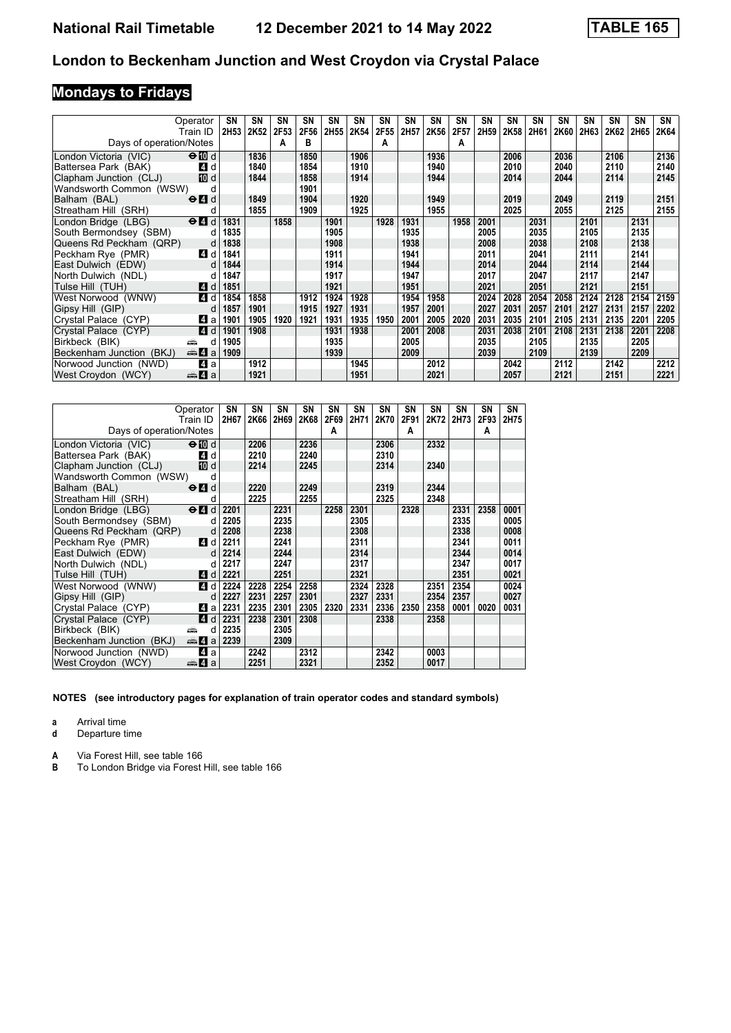# **Mondays to Fridays**

|                          | Operator<br>Train ID                      | SN<br>2H53 | SN<br>2K52 | <b>SN</b><br>2F53 | SN<br>2F56 | SN<br>2H55 | SN<br>2K54 | SN<br>2F55 | SΝ<br>2H57 | SN<br>2K56 | <b>SN</b><br>2F57 | SN<br>2H59 | SΝ<br>2K58 | <b>SN</b><br>2H61 | <b>SN</b><br><b>2K60</b> | SN<br>2H63 | <b>SN</b><br>2K62 | SΝ<br>2H65 | SN<br>2K64 |
|--------------------------|-------------------------------------------|------------|------------|-------------------|------------|------------|------------|------------|------------|------------|-------------------|------------|------------|-------------------|--------------------------|------------|-------------------|------------|------------|
| Days of operation/Notes  |                                           |            |            | А                 | в          |            |            | A          |            |            | A                 |            |            |                   |                          |            |                   |            |            |
| London Victoria (VIC)    | $\Theta$ 10 d                             |            | 1836       |                   | 1850       |            | 1906       |            |            | 1936       |                   |            | 2006       |                   | 2036                     |            | 2106              |            | 2136       |
| Battersea Park (BAK)     | 4 d                                       |            | 1840       |                   | 1854       |            | 1910       |            |            | 1940       |                   |            | 2010       |                   | 2040                     |            | 2110              |            | 2140       |
| Clapham Junction (CLJ)   | <b>ID</b> d                               |            | 1844       |                   | 1858       |            | 1914       |            |            | 1944       |                   |            | 2014       |                   | 2044                     |            | 2114              |            | 2145       |
| Wandsworth Common (WSW)  |                                           |            |            |                   | 1901       |            |            |            |            |            |                   |            |            |                   |                          |            |                   |            |            |
| Balham (BAL)             | $\Theta$ <sup><math>\Omega</math></sup> d |            | 1849       |                   | 1904       |            | 1920       |            |            | 1949       |                   |            | 2019       |                   | 2049                     |            | 2119              |            | 2151       |
| Streatham Hill (SRH)     |                                           |            | 1855       |                   | 1909       |            | 1925       |            |            | 1955       |                   |            | 2025       |                   | 2055                     |            | 2125              |            | 2155       |
| London Bridge (LBG)      | $\Theta$ <sub>4</sub><br>d                | 1831       |            | 1858              |            | 1901       |            | 1928       | 1931       |            | 1958              | 2001       |            | 2031              |                          | 2101       |                   | 2131       |            |
| South Bermondsey (SBM)   | d                                         | 1835       |            |                   |            | 1905       |            |            | 1935       |            |                   | 2005       |            | 2035              |                          | 2105       |                   | 2135       |            |
| Queens Rd Peckham (QRP)  | d                                         | 1838       |            |                   |            | 1908       |            |            | 1938       |            |                   | 2008       |            | 2038              |                          | 2108       |                   | 2138       |            |
| Peckham Rye (PMR)        | 4 d                                       | 1841       |            |                   |            | 1911       |            |            | 1941       |            |                   | 2011       |            | 2041              |                          | 2111       |                   | 2141       |            |
| East Dulwich (EDW)       | d                                         | 1844       |            |                   |            | 1914       |            |            | 1944       |            |                   | 2014       |            | 2044              |                          | 2114       |                   | 2144       |            |
| North Dulwich (NDL)      |                                           | 1847       |            |                   |            | 1917       |            |            | 1947       |            |                   | 2017       |            | 2047              |                          | 2117       |                   | 2147       |            |
| Tulse Hill (TUH)         | <b>4</b> d                                | 1851       |            |                   |            | 1921       |            |            | 1951       |            |                   | 2021       |            | 2051              |                          | 2121       |                   | 2151       |            |
| West Norwood (WNW)       | 4 d                                       | 1854       | 1858       |                   | 1912       | 1924       | 1928       |            | 1954       | 1958       |                   | 2024       | 2028       | 2054              | 2058                     | 2124       | 2128              | 2154       | 2159       |
| Gipsy Hill (GIP)         | d                                         | 1857       | 1901       |                   | 1915       | 1927       | 1931       |            | 1957       | 2001       |                   | 2027       | 2031       | 2057              | 2101                     | 2127       | 2131              | 2157       | 2202       |
| Crystal Palace (CYP)     | 41 a                                      | 1901       | 1905       | 1920              | 1921       | 1931       | 1935       | 1950       | 2001       | 2005       | 2020              | 2031       | 2035       | 2101              | 2105                     | 2131       | 2135              | 2201       | 2205       |
| Crystal Palace (CYP)     | <b>4</b> d                                | 1901       | 1908       |                   |            | 1931       | 1938       |            | 2001       | 2008       |                   | 2031       | 2038       | 2101              | 2108                     | 2131       | 2138              | 2201       | 2208       |
| Birkbeck (BIK)           | پیش<br>d                                  | 1905       |            |                   |            | 1935       |            |            | 2005       |            |                   | 2035       |            | 2105              |                          | 2135       |                   | 2205       |            |
| Beckenham Junction (BKJ) | de 4 a                                    | 1909       |            |                   |            | 1939       |            |            | 2009       |            |                   | 2039       |            | 2109              |                          | 2139       |                   | 2209       |            |
| Norwood Junction (NWD)   | Z1 a                                      |            | 1912       |                   |            |            | 1945       |            |            | 2012       |                   |            | 2042       |                   | 2112                     |            | 2142              |            | 2212       |
| West Croydon (WCY)       | <del>⊯</del> 4 а                          |            | 1921       |                   |            |            | 1951       |            |            | 2021       |                   |            | 2057       |                   | 2121                     |            | 2151              |            | 2221       |

| Operator<br>Train ID                                            | SΝ        | SΝ   | SΝ   | SΝ   | SΝ        | SN   | SΝ   | SΝ        | SΝ   | SN   | SΝ        | SN   |
|-----------------------------------------------------------------|-----------|------|------|------|-----------|------|------|-----------|------|------|-----------|------|
| Days of operation/Notes                                         | 2H67      | 2K66 | 2H69 | 2K68 | 2F69<br>A | 2H71 | 2K70 | 2F91<br>A | 2K72 | 2H73 | 2F93<br>A | 2H75 |
| $\Theta$ M d<br>London Victoria (VIC)                           |           | 2206 |      | 2236 |           |      | 2306 |           | 2332 |      |           |      |
| 4 d<br>Battersea Park (BAK)                                     |           | 2210 |      | 2240 |           |      | 2310 |           |      |      |           |      |
| Clapham Junction (CLJ)<br>10 d                                  |           | 2214 |      | 2245 |           |      | 2314 |           | 2340 |      |           |      |
| Wandsworth Common (WSW)                                         | d         |      |      |      |           |      |      |           |      |      |           |      |
| $\Theta$ <sup><math>\blacksquare</math> d</sup><br>Balham (BAL) |           | 2220 |      | 2249 |           |      | 2319 |           | 2344 |      |           |      |
| Streatham Hill (SRH)                                            | d         | 2225 |      | 2255 |           |      | 2325 |           | 2348 |      |           |      |
| $\Theta$ $\blacksquare$ d<br>London Bridge (LBG)                | 2201      |      | 2231 |      | 2258      | 2301 |      | 2328      |      | 2331 | 2358      | 0001 |
| South Bermondsey (SBM)                                          | 2205<br>d |      | 2235 |      |           | 2305 |      |           |      | 2335 |           | 0005 |
| Queens Rd Peckham (QRP)                                         | 2208<br>d |      | 2238 |      |           | 2308 |      |           |      | 2338 |           | 0008 |
| Peckham Rye (PMR)<br>4 d                                        | 2211      |      | 2241 |      |           | 2311 |      |           |      | 2341 |           | 0011 |
| East Dulwich (EDW)                                              | 2214<br>d |      | 2244 |      |           | 2314 |      |           |      | 2344 |           | 0014 |
| North Dulwich (NDL)                                             | 2217<br>d |      | 2247 |      |           | 2317 |      |           |      | 2347 |           | 0017 |
| Tulse Hill (TUH)<br><b>4</b> d                                  | 2221      |      | 2251 |      |           | 2321 |      |           |      | 2351 |           | 0021 |
| West Norwood (WNW)<br>4 d                                       | 2224      | 2228 | 2254 | 2258 |           | 2324 | 2328 |           | 2351 | 2354 |           | 0024 |
| Gipsy Hill (GIP)                                                | 2227<br>d | 2231 | 2257 | 2301 |           | 2327 | 2331 |           | 2354 | 2357 |           | 0027 |
| Crystal Palace (CYP)<br>ZI a                                    | 2231      | 2235 | 2301 | 2305 | 2320      | 2331 | 2336 | 2350      | 2358 | 0001 | 0020      | 0031 |
| Crystal Palace (CYP)<br><b>4</b> d                              | 2231      | 2238 | 2301 | 2308 |           |      | 2338 |           | 2358 |      |           |      |
| Birkbeck (BIK)<br>añ,                                           | 2235<br>d |      | 2305 |      |           |      |      |           |      |      |           |      |
| Beckenham Junction (BKJ)<br>$\mathbb{R}$ 4 a                    | 2239      |      | 2309 |      |           |      |      |           |      |      |           |      |
| Norwood Junction (NWD)<br>41 a                                  |           | 2242 |      | 2312 |           |      | 2342 |           | 0003 |      |           |      |
| West Croydon (WCY)<br>$\oplus$ 4 a                              |           | 2251 |      | 2321 |           |      | 2352 |           | 0017 |      |           |      |

**NOTES (see introductory pages for explanation of train operator codes and standard symbols)**

**a** Arrival time<br>**d** Departure t

**d** Departure time

**A** Via Forest Hill, see table 166<br>**B** To London Bridge via Forest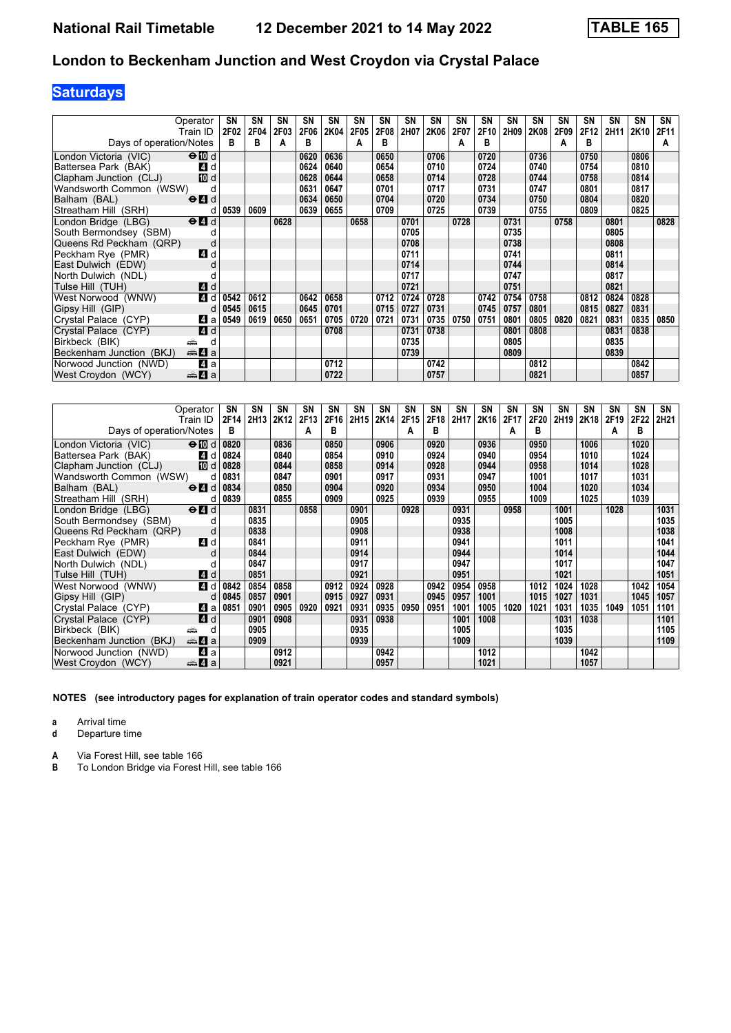# **Saturdays**

| Operator                                                         | SΝ   | SN   | SN   | SN   | <b>SN</b> | SΝ   | SN   | <b>SN</b> | SN   | SΝ   | <b>SN</b> | SΝ   | <b>SN</b> | <b>SN</b> | SN   | SΝ   | <b>SN</b> | SN   |
|------------------------------------------------------------------|------|------|------|------|-----------|------|------|-----------|------|------|-----------|------|-----------|-----------|------|------|-----------|------|
| Train ID                                                         | 2F02 | 2F04 | 2F03 | 2F06 | 2K04      | 2F05 | 2F08 | 2H07      | 2K06 | 2F07 | 2F10      | 2H09 | 2K08      | 2F09      | 2F12 | 2H11 | 2K10      | 2F11 |
| Days of operation/Notes                                          | в    | в    | А    | в    |           | A    | в    |           |      |      | В         |      |           | А         | в    |      |           | A    |
| $\Theta$ M d<br>London Victoria (VIC)                            |      |      |      | 0620 | 0636      |      | 0650 |           | 0706 |      | 0720      |      | 0736      |           | 0750 |      | 0806      |      |
| Battersea Park (BAK)<br><b>4</b> d                               |      |      |      | 0624 | 0640      |      | 0654 |           | 0710 |      | 0724      |      | 0740      |           | 0754 |      | 0810      |      |
| <b>TO</b> d<br>Clapham Junction (CLJ)                            |      |      |      | 0628 | 0644      |      | 0658 |           | 0714 |      | 0728      |      | 0744      |           | 0758 |      | 0814      |      |
| Wandsworth Common (WSW)                                          |      |      |      | 0631 | 0647      |      | 0701 |           | 0717 |      | 0731      |      | 0747      |           | 0801 |      | 0817      |      |
| $\Theta$ $\blacksquare$ d<br>Balham (BAL)                        |      |      |      | 0634 | 0650      |      | 0704 |           | 0720 |      | 0734      |      | 0750      |           | 0804 |      | 0820      |      |
| Streatham Hill (SRH)                                             | 0539 | 0609 |      | 0639 | 0655      |      | 0709 |           | 0725 |      | 0739      |      | 0755      |           | 0809 |      | 0825      |      |
| London Bridge (LBG)<br>$\Theta$ <sup><math>\Omega</math></sup> d |      |      | 0628 |      |           | 0658 |      | 0701      |      | 0728 |           | 0731 |           | 0758      |      | 0801 |           | 0828 |
| South Bermondsey (SBM)                                           |      |      |      |      |           |      |      | 0705      |      |      |           | 0735 |           |           |      | 0805 |           |      |
| Queens Rd Peckham (QRP)<br>d                                     |      |      |      |      |           |      |      | 0708      |      |      |           | 0738 |           |           |      | 0808 |           |      |
| Peckham Rye (PMR)<br>ZI d                                        |      |      |      |      |           |      |      | 0711      |      |      |           | 0741 |           |           |      | 0811 |           |      |
| East Dulwich (EDW)<br>U                                          |      |      |      |      |           |      |      | 0714      |      |      |           | 0744 |           |           |      | 0814 |           |      |
| North Dulwich (NDL)                                              |      |      |      |      |           |      |      | 0717      |      |      |           | 0747 |           |           |      | 0817 |           |      |
| Tulse Hill (TUH)<br><b>4</b> d                                   |      |      |      |      |           |      |      | 0721      |      |      |           | 0751 |           |           |      | 0821 |           |      |
| 4 d<br>West Norwood (WNW)                                        | 0542 | 0612 |      | 0642 | 0658      |      | 0712 | 0724      | 0728 |      | 0742      | 0754 | 0758      |           | 0812 | 0824 | 0828      |      |
| Gipsy Hill (GIP)<br>d                                            | 0545 | 0615 |      | 0645 | 0701      |      | 0715 | 0727      | 0731 |      | 0745      | 0757 | 0801      |           | 0815 | 0827 | 0831      |      |
| Crystal Palace (CYP)<br>ZI a                                     | 0549 | 0619 | 0650 | 0651 | 0705      | 0720 | 0721 | 0731      | 0735 | 0750 | 0751      | 0801 | 0805      | 0820      | 0821 | 0831 | 0835      | 0850 |
| <b>4</b> d<br>Crystal Palace (CYP)                               |      |      |      |      | 0708      |      |      | 0731      | 0738 |      |           | 0801 | 0808      |           |      | 0831 | 0838      |      |
| Birkbeck (BIK)<br>яŵ<br>d                                        |      |      |      |      |           |      |      | 0735      |      |      |           | 0805 |           |           |      | 0835 |           |      |
| Beckenham Junction (BKJ)<br><b>美石</b> a                          |      |      |      |      |           |      |      | 0739      |      |      |           | 0809 |           |           |      | 0839 |           |      |
| Norwood Junction (NWD)<br>4a                                     |      |      |      |      | 0712      |      |      |           | 0742 |      |           |      | 0812      |           |      |      | 0842      |      |
| West Croydon (WCY)<br>da 4 a                                     |      |      |      |      | 0722      |      |      |           | 0757 |      |           |      | 0821      |           |      |      | 0857      |      |

| Operator                                                               | SN   | SN               | SN   | SN   | SN   | SN   | SN   | <b>SN</b> | SN   | SN   | SN   | SΝ   | SN   | SΝ   | SN   | SΝ   | <b>SN</b> | SN   |
|------------------------------------------------------------------------|------|------------------|------|------|------|------|------|-----------|------|------|------|------|------|------|------|------|-----------|------|
| Train ID                                                               | 2F14 | 2H <sub>13</sub> | 2K12 | 2F13 | 2F16 | 2H15 | 2K14 | 2F15      | 2F18 | 2H17 | 2K16 | 2F17 | 2F20 | 2H19 | 2K18 | 2F19 | 2F22      | 2H21 |
| Days of operation/Notes                                                | в    |                  |      | A    | в    |      |      | A         | в    |      |      | А    | в    |      |      | А    | в         |      |
| $\Theta$ 10 d<br>London Victoria (VIC)                                 | 0820 |                  | 0836 |      | 0850 |      | 0906 |           | 0920 |      | 0936 |      | 0950 |      | 1006 |      | 1020      |      |
| Battersea Park (BAK)<br>4 d                                            | 0824 |                  | 0840 |      | 0854 |      | 0910 |           | 0924 |      | 0940 |      | 0954 |      | 1010 |      | 1024      |      |
| Clapham Junction (CLJ)<br>[10] d                                       | 0828 |                  | 0844 |      | 0858 |      | 0914 |           | 0928 |      | 0944 |      | 0958 |      | 1014 |      | 1028      |      |
| Wandsworth Common (WSW)<br>d                                           | 0831 |                  | 0847 |      | 0901 |      | 0917 |           | 0931 |      | 0947 |      | 1001 |      | 1017 |      | 1031      |      |
| Balham (BAL)<br>$\Theta$ <sup><math>\Omega</math></sup> d              | 0834 |                  | 0850 |      | 0904 |      | 0920 |           | 0934 |      | 0950 |      | 1004 |      | 1020 |      | 1034      |      |
| Streatham Hill (SRH)<br>d                                              | 0839 |                  | 0855 |      | 0909 |      | 0925 |           | 0939 |      | 0955 |      | 1009 |      | 1025 |      | 1039      |      |
| $\Theta$ <sup><math>\blacksquare</math> d</sup><br>London Bridge (LBG) |      | 0831             |      | 0858 |      | 0901 |      | 0928      |      | 0931 |      | 0958 |      | 1001 |      | 1028 |           | 1031 |
| South Bermondsey (SBM)                                                 |      | 0835             |      |      |      | 0905 |      |           |      | 0935 |      |      |      | 1005 |      |      |           | 1035 |
| Queens Rd Peckham (QRP)<br>d                                           |      | 0838             |      |      |      | 0908 |      |           |      | 0938 |      |      |      | 1008 |      |      |           | 1038 |
| Peckham Rye (PMR)<br>4 d                                               |      | 0841             |      |      |      | 0911 |      |           |      | 0941 |      |      |      | 1011 |      |      |           | 1041 |
| East Dulwich (EDW)<br>d                                                |      | 0844             |      |      |      | 0914 |      |           |      | 0944 |      |      |      | 1014 |      |      |           | 1044 |
| North Dulwich (NDL)                                                    |      | 0847             |      |      |      | 0917 |      |           |      | 0947 |      |      |      | 1017 |      |      |           | 1047 |
| Tulse Hill (TUH)<br>4d                                                 |      | 0851             |      |      |      | 0921 |      |           |      | 0951 |      |      |      | 1021 |      |      |           | 1051 |
| West Norwood (WNW)<br>4 d                                              | 0842 | 0854             | 0858 |      | 0912 | 0924 | 0928 |           | 0942 | 0954 | 0958 |      | 1012 | 1024 | 1028 |      | 1042      | 1054 |
| Gipsy Hill (GIP)<br>d                                                  | 0845 | 0857             | 0901 |      | 0915 | 0927 | 0931 |           | 0945 | 0957 | 1001 |      | 1015 | 1027 | 1031 |      | 1045      | 1057 |
| Crystal Palace (CYP)<br>41 a                                           | 0851 | 0901             | 0905 | 0920 | 0921 | 0931 | 0935 | 0950      | 0951 | 1001 | 1005 | 1020 | 1021 | 1031 | 1035 | 1049 | 1051      | 1101 |
| Crystal Palace (CYP)<br><b>4</b> d                                     |      | 0901             | 0908 |      |      | 0931 | 0938 |           |      | 1001 | 1008 |      |      | 1031 | 1038 |      |           | 1101 |
| Birkbeck (BIK)<br>æ<br>d                                               |      | 0905             |      |      |      | 0935 |      |           |      | 1005 |      |      |      | 1035 |      |      |           | 1105 |
| <del>⊯</del> 4 а<br>Beckenham Junction (BKJ)                           |      | 0909             |      |      |      | 0939 |      |           |      | 1009 |      |      |      | 1039 |      |      |           | 1109 |
| Norwood Junction (NWD)<br>ZI a                                         |      |                  | 0912 |      |      |      | 0942 |           |      |      | 1012 |      |      |      | 1042 |      |           |      |
| West Croydon (WCY)<br>$\oplus$ 4<br>a                                  |      |                  | 0921 |      |      |      | 0957 |           |      |      | 1021 |      |      |      | 1057 |      |           |      |

**NOTES (see introductory pages for explanation of train operator codes and standard symbols)**

**a** Arrival time<br>**d** Departure t

**d** Departure time

**A** Via Forest Hill, see table 166<br>**B** To London Bridge via Forest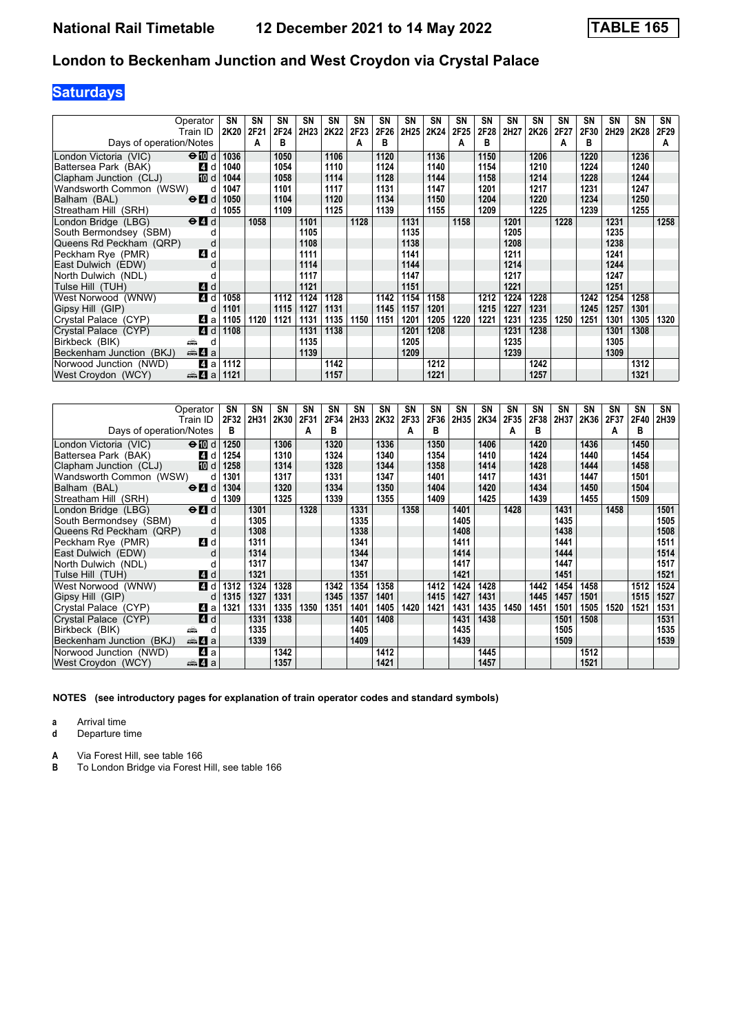# **Saturdays**

| Operator                                                         | <b>SN</b> | <b>SN</b> | SN   | SN               | <b>SN</b> | SΝ               | SN   | <b>SN</b> | <b>SN</b> | SΝ               | <b>SN</b> | <b>SN</b> | <b>SN</b> | <b>SN</b> | SΝ   | SΝ   | <b>SN</b> | SN   |
|------------------------------------------------------------------|-----------|-----------|------|------------------|-----------|------------------|------|-----------|-----------|------------------|-----------|-----------|-----------|-----------|------|------|-----------|------|
| Train ID                                                         | 2K20      | 2F21      | 2F24 | 2H <sub>23</sub> | 2K22      | 2F <sub>23</sub> | 2F26 | 2H25      | 2K24      | 2F <sub>25</sub> | 2F28      | 2H27      | 2K26      | 2F27      | 2F30 | 2H29 | 2K28      | 2F29 |
| Days of operation/Notes                                          |           | A         | в    |                  |           | A                | R    |           |           |                  | в         |           |           | А         | в    |      |           | A    |
| $\Theta$ M d<br>London Victoria (VIC)                            | 1036      |           | 1050 |                  | 1106      |                  | 1120 |           | 1136      |                  | 1150      |           | 1206      |           | 1220 |      | 1236      |      |
| Battersea Park (BAK)<br><b>4</b> d                               | 1040      |           | 1054 |                  | 1110      |                  | 1124 |           | 1140      |                  | 1154      |           | 1210      |           | 1224 |      | 1240      |      |
| Clapham Junction (CLJ)<br>[顶 d                                   | 1044      |           | 1058 |                  | 1114      |                  | 1128 |           | 1144      |                  | 1158      |           | 1214      |           | 1228 |      | 1244      |      |
| Wandsworth Common (WSW)<br>d                                     | 1047      |           | 1101 |                  | 1117      |                  | 1131 |           | 1147      |                  | 1201      |           | 1217      |           | 1231 |      | 1247      |      |
| $\Theta$ $\blacksquare$ d<br>Balham (BAL)                        | 1050      |           | 1104 |                  | 1120      |                  | 1134 |           | 1150      |                  | 1204      |           | 1220      |           | 1234 |      | 1250      |      |
| Streatham Hill (SRH)<br>d                                        | 1055      |           | 1109 |                  | 1125      |                  | 1139 |           | 1155      |                  | 1209      |           | 1225      |           | 1239 |      | 1255      |      |
| London Bridge (LBG)<br>$\Theta$ <sup><math>\Omega</math></sup> d |           | 1058      |      | 1101             |           | 1128             |      | 1131      |           | 1158             |           | 1201      |           | 1228      |      | 1231 |           | 1258 |
| South Bermondsey (SBM)                                           |           |           |      | 1105             |           |                  |      | 1135      |           |                  |           | 1205      |           |           |      | 1235 |           |      |
| Queens Rd Peckham (QRP)<br>d                                     |           |           |      | 1108             |           |                  |      | 1138      |           |                  |           | 1208      |           |           |      | 1238 |           |      |
| Peckham Rye (PMR)<br>4 d                                         |           |           |      | 1111             |           |                  |      | 1141      |           |                  |           | 1211      |           |           |      | 1241 |           |      |
| East Dulwich (EDW)<br>d                                          |           |           |      | 1114             |           |                  |      | 1144      |           |                  |           | 1214      |           |           |      | 1244 |           |      |
| North Dulwich (NDL)                                              |           |           |      | 1117             |           |                  |      | 1147      |           |                  |           | 1217      |           |           |      | 1247 |           |      |
| Tulse Hill (TUH)<br><b>4</b> d                                   |           |           |      | 1121             |           |                  |      | 1151      |           |                  |           | 1221      |           |           |      | 1251 |           |      |
| 4 d<br>West Norwood (WNW)                                        | 1058      |           | 1112 | 1124             | 1128      |                  | 1142 | 1154      | 1158      |                  | 1212      | 1224      | 1228      |           | 1242 | 1254 | 1258      |      |
| Gipsy Hill (GIP)<br>d                                            | 1101      |           | 1115 | 1127             | 1131      |                  | 1145 | 1157      | 1201      |                  | 1215      | 1227      | 1231      |           | 1245 | 1257 | 1301      |      |
| ZI a<br>Crystal Palace (CYP)                                     | 1105      | 1120      | 1121 | 1131             | 1135      | 1150             | 1151 | 1201      | 1205      | 1220             | 1221      | 1231      | 1235      | 1250      | 1251 | 1301 | 1305      | 1320 |
| 4 d<br>Crystal Palace (CYP)                                      | 1108      |           |      | 1131             | 1138      |                  |      | 1201      | 1208      |                  |           | 1231      | 1238      |           |      | 1301 | 1308      |      |
| Birkbeck (BIK)<br>پیشته<br>d                                     |           |           |      | 1135             |           |                  |      | 1205      |           |                  |           | 1235      |           |           |      | 1305 |           |      |
| Beckenham Junction (BKJ)<br><b>美石</b> a                          |           |           |      | 1139             |           |                  |      | 1209      |           |                  |           | 1239      |           |           |      | 1309 |           |      |
| Norwood Junction (NWD)<br>41 a                                   | 1112      |           |      |                  | 1142      |                  |      |           | 1212      |                  |           |           | 1242      |           |      |      | 1312      |      |
| West Croydon (WCY)<br>$\frac{1}{2}$ 4 a                          | 1121      |           |      |                  | 1157      |                  |      |           | 1221      |                  |           |           | 1257      |           |      |      | 1321      |      |

| Operator                                                  | SN   | SΝ   | SN   | SΝ   | SN   | SN   | SN   | <b>SN</b> | SN   | SN   | SN   | <b>SN</b> | <b>SN</b> | <b>SN</b> | SN   | SΝ   | <b>SN</b> | SN   |
|-----------------------------------------------------------|------|------|------|------|------|------|------|-----------|------|------|------|-----------|-----------|-----------|------|------|-----------|------|
| Train ID                                                  | 2F32 | 2H31 | 2K30 | 2F31 | 2F34 | 2H33 | 2K32 | 2F33      | 2F36 | 2H35 | 2K34 | 2F35      | 2F38      | 2H37      | 2K36 | 2F37 | 2F40      | 2H39 |
| Days of operation/Notes                                   | в    |      |      | A    | в    |      |      | A         | в    |      |      | А         | в         |           |      | A    | в         |      |
| London Victoria (VIC)<br>$\bigoplus$ d                    | 1250 |      | 1306 |      | 1320 |      | 1336 |           | 1350 |      | 1406 |           | 1420      |           | 1436 |      | 1450      |      |
| 4 d<br>Battersea Park (BAK)                               | 1254 |      | 1310 |      | 1324 |      | 1340 |           | 1354 |      | 1410 |           | 1424      |           | 1440 |      | 1454      |      |
| 10 d<br>Clapham Junction (CLJ)                            | 1258 |      | 1314 |      | 1328 |      | 1344 |           | 1358 |      | 1414 |           | 1428      |           | 1444 |      | 1458      |      |
| Wandsworth Common (WSW)<br>d                              | 1301 |      | 1317 |      | 1331 |      | 1347 |           | 1401 |      | 1417 |           | 1431      |           | 1447 |      | 1501      |      |
| $\Theta$ <sup><math>\Omega</math></sup> d<br>Balham (BAL) | 1304 |      | 1320 |      | 1334 |      | 1350 |           | 1404 |      | 1420 |           | 1434      |           | 1450 |      | 1504      |      |
| Streatham Hill (SRH)<br>d                                 | 1309 |      | 1325 |      | 1339 |      | 1355 |           | 1409 |      | 1425 |           | 1439      |           | 1455 |      | 1509      |      |
| $e$ $d$<br>London Bridge (LBG)                            |      | 1301 |      | 1328 |      | 1331 |      | 1358      |      | 1401 |      | 1428      |           | 1431      |      | 1458 |           | 1501 |
| South Bermondsey (SBM)                                    |      | 1305 |      |      |      | 1335 |      |           |      | 1405 |      |           |           | 1435      |      |      |           | 1505 |
| Queens Rd Peckham (QRP)<br>d                              |      | 1308 |      |      |      | 1338 |      |           |      | 1408 |      |           |           | 1438      |      |      |           | 1508 |
| Peckham Rye (PMR)<br>4 d                                  |      | 1311 |      |      |      | 1341 |      |           |      | 1411 |      |           |           | 1441      |      |      |           | 1511 |
| East Dulwich (EDW)<br>d                                   |      | 1314 |      |      |      | 1344 |      |           |      | 1414 |      |           |           | 1444      |      |      |           | 1514 |
| North Dulwich (NDL)                                       |      | 1317 |      |      |      | 1347 |      |           |      | 1417 |      |           |           | 1447      |      |      |           | 1517 |
| 4d<br>Tulse Hill (TUH)                                    |      | 1321 |      |      |      | 1351 |      |           |      | 1421 |      |           |           | 1451      |      |      |           | 1521 |
| West Norwood (WNW)<br>4 d                                 | 1312 | 1324 | 1328 |      | 1342 | 1354 | 1358 |           | 1412 | 1424 | 1428 |           | 1442      | 1454      | 1458 |      | 1512      | 1524 |
| Gipsy Hill (GIP)<br>d                                     | 1315 | 1327 | 1331 |      | 1345 | 1357 | 1401 |           | 1415 | 1427 | 1431 |           | 1445      | 1457      | 1501 |      | 1515      | 1527 |
| 41 a<br>Crystal Palace (CYP)                              | 1321 | 1331 | 1335 | 1350 | 1351 | 1401 | 1405 | 1420      | 1421 | 1431 | 1435 | 1450      | 1451      | 1501      | 1505 | 1520 | 1521      | 1531 |
| Crystal Palace (CYP)<br>4 d                               |      | 1331 | 1338 |      |      | 1401 | 1408 |           |      | 1431 | 1438 |           |           | 1501      | 1508 |      |           | 1531 |
| Birkbeck (BIK)<br>پیش<br>d                                |      | 1335 |      |      |      | 1405 |      |           |      | 1435 |      |           |           | 1505      |      |      |           | 1535 |
| <del>⊯</del> 4 а<br>Beckenham Junction (BKJ)              |      | 1339 |      |      |      | 1409 |      |           |      | 1439 |      |           |           | 1509      |      |      |           | 1539 |
| Norwood Junction (NWD)<br>41 a                            |      |      | 1342 |      |      |      | 1412 |           |      |      | 1445 |           |           |           | 1512 |      |           |      |
| West Croydon (WCY)<br>de 4 a                              |      |      | 1357 |      |      |      | 1421 |           |      |      | 1457 |           |           |           | 1521 |      |           |      |

**NOTES (see introductory pages for explanation of train operator codes and standard symbols)**

**a** Arrival time<br>**d** Departure t

**d** Departure time

**A** Via Forest Hill, see table 166<br>**B** To London Bridge via Forest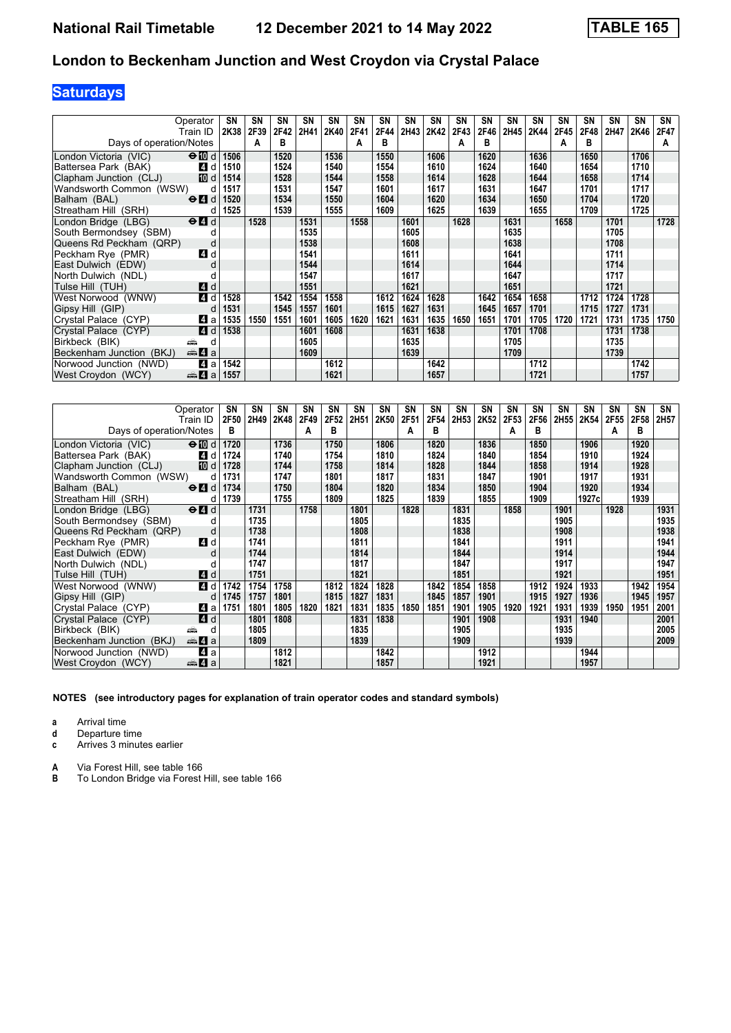# **Saturdays**

| Operator                                                         | SN        | <b>SN</b> | SN   | SN   | SN   | SΝ   | SN   | <b>SN</b> | SN   | SΝ   | <b>SN</b> | SΝ   | <b>SN</b> | <b>SN</b> | SΝ   | SΝ   | <b>SN</b> | SN   |
|------------------------------------------------------------------|-----------|-----------|------|------|------|------|------|-----------|------|------|-----------|------|-----------|-----------|------|------|-----------|------|
| Train ID                                                         | 2K38      | 2F39      | 2F42 | 2H41 | 2K40 | 2F41 | 2F44 | 2H43      | 2K42 | 2F43 | 2F46      | 2H45 | 2K44      | 2F45      | 2F48 | 2H47 | 2K46      | 2F47 |
| Days of operation/Notes                                          |           | A         | в    |      |      | A    | в    |           |      | А    | в         |      |           | А         | в    |      |           | A    |
| $\Theta$ III d<br>London Victoria (VIC)                          | 1506      |           | 1520 |      | 1536 |      | 1550 |           | 1606 |      | 1620      |      | 1636      |           | 1650 |      | 1706      |      |
| Battersea Park (BAK)<br>4 d                                      | 1510      |           | 1524 |      | 1540 |      | 1554 |           | 1610 |      | 1624      |      | 1640      |           | 1654 |      | 1710      |      |
| [10] d<br>Clapham Junction (CLJ)                                 | 1514      |           | 1528 |      | 1544 |      | 1558 |           | 1614 |      | 1628      |      | 1644      |           | 1658 |      | 1714      |      |
| Wandsworth Common (WSW)<br>d                                     | 1517      |           | 1531 |      | 1547 |      | 1601 |           | 1617 |      | 1631      |      | 1647      |           | 1701 |      | 1717      |      |
| $\Theta$ <sup><math>\Omega</math></sup> d<br>Balham (BAL)        | 1520      |           | 1534 |      | 1550 |      | 1604 |           | 1620 |      | 1634      |      | 1650      |           | 1704 |      | 1720      |      |
| Streatham Hill (SRH)                                             | 1525<br>d |           | 1539 |      | 1555 |      | 1609 |           | 1625 |      | 1639      |      | 1655      |           | 1709 |      | 1725      |      |
| London Bridge (LBG)<br>$\Theta$ <sup><math>\Omega</math></sup> d |           | 1528      |      | 1531 |      | 1558 |      | 1601      |      | 1628 |           | 1631 |           | 1658      |      | 1701 |           | 1728 |
| South Bermondsey (SBM)                                           |           |           |      | 1535 |      |      |      | 1605      |      |      |           | 1635 |           |           |      | 1705 |           |      |
| Queens Rd Peckham (QRP)<br>d                                     |           |           |      | 1538 |      |      |      | 1608      |      |      |           | 1638 |           |           |      | 1708 |           |      |
| Peckham Rye (PMR)<br>ZI d                                        |           |           |      | 1541 |      |      |      | 1611      |      |      |           | 1641 |           |           |      | 1711 |           |      |
| East Dulwich (EDW)<br>C                                          |           |           |      | 1544 |      |      |      | 1614      |      |      |           | 1644 |           |           |      | 1714 |           |      |
| North Dulwich (NDL)                                              |           |           |      | 1547 |      |      |      | 1617      |      |      |           | 1647 |           |           |      | 1717 |           |      |
| Tulse Hill (TUH)<br><b>4</b> d                                   |           |           |      | 1551 |      |      |      | 1621      |      |      |           | 1651 |           |           |      | 1721 |           |      |
| 4 d<br>West Norwood (WNW)                                        | 1528      |           | 1542 | 1554 | 1558 |      | 1612 | 1624      | 1628 |      | 1642      | 1654 | 1658      |           | 1712 | 1724 | 1728      |      |
| Gipsy Hill (GIP)                                                 | 1531<br>d |           | 1545 | 1557 | 1601 |      | 1615 | 1627      | 1631 |      | 1645      | 1657 | 1701      |           | 1715 | 1727 | 1731      |      |
| ZI a<br>Crystal Palace (CYP)                                     | 1535      | 1550      | 1551 | 1601 | 1605 | 1620 | 1621 | 1631      | 1635 | 1650 | 1651      | 1701 | 1705      | 1720      | 1721 | 1731 | 1735      | 1750 |
| 4 d<br>Crystal Palace (CYP)                                      | 1538      |           |      | 1601 | 1608 |      |      | 1631      | 1638 |      |           | 1701 | 1708      |           |      | 1731 | 1738      |      |
| Birkbeck (BIK)<br>æ<br>d                                         |           |           |      | 1605 |      |      |      | 1635      |      |      |           | 1705 |           |           |      | 1735 |           |      |
| <del>⊯</del> ы 4 а<br>Beckenham Junction (BKJ)                   |           |           |      | 1609 |      |      |      | 1639      |      |      |           | 1709 |           |           |      | 1739 |           |      |
| Norwood Junction (NWD)<br>ZI a                                   | 1542      |           |      |      | 1612 |      |      |           | 1642 |      |           |      | 1712      |           |      |      | 1742      |      |
| West Croydon (WCY)<br><del>⊯</del> 4 а                           | 1557      |           |      |      | 1621 |      |      |           | 1657 |      |           |      | 1721      |           |      |      | 1757      |      |

| Operator                                                           | SN           | SΝ   | <b>SN</b> | SΝ   | SΝ   | SN   | SN   | <b>SN</b> | SN   | <b>SN</b> | SN   | <b>SN</b> | <b>SN</b> | SΝ               | SΝ     | SΝ   | SN   | SN   |
|--------------------------------------------------------------------|--------------|------|-----------|------|------|------|------|-----------|------|-----------|------|-----------|-----------|------------------|--------|------|------|------|
| Train ID                                                           | <b>2F50</b>  | 2H49 | 2K48      | 2F49 | 2F52 | 2H51 | 2K50 | 2F51      | 2F54 | 2H53      | 2K52 | 2F53      | 2F56      | 2H <sub>55</sub> | 2K54   | 2F55 | 2F58 | 2H57 |
| Days of operation/Notes                                            | в            |      |           | A    | в    |      |      | A         | в    |           |      | А         | в         |                  |        | A    | в    |      |
| London Victoria (VIC)<br>$\bigoplus$ d                             | 1720         |      | 1736      |      | 1750 |      | 1806 |           | 1820 |           | 1836 |           | 1850      |                  | 1906   |      | 1920 |      |
| Battersea Park (BAK)                                               | 1724<br>4 d  |      | 1740      |      | 1754 |      | 1810 |           | 1824 |           | 1840 |           | 1854      |                  | 1910   |      | 1924 |      |
| Clapham Junction (CLJ)                                             | 10 d<br>1728 |      | 1744      |      | 1758 |      | 1814 |           | 1828 |           | 1844 |           | 1858      |                  | 1914   |      | 1928 |      |
| Wandsworth Common (WSW)                                            | 1731<br>d    |      | 1747      |      | 1801 |      | 1817 |           | 1831 |           | 1847 |           | 1901      |                  | 1917   |      | 1931 |      |
| Balham (BAL)<br>$\Theta$ <sup><math>\blacksquare</math> d</sup>    | 1734         |      | 1750      |      | 1804 |      | 1820 |           | 1834 |           | 1850 |           | 1904      |                  | 1920   |      | 1934 |      |
| Streatham Hill (SRH)                                               | 1739<br>d    |      | 1755      |      | 1809 |      | 1825 |           | 1839 |           | 1855 |           | 1909      |                  | 1927cl |      | 1939 |      |
| $\Theta$ <sup><math>\Omega</math></sup> $d$<br>London Bridge (LBG) |              | 1731 |           | 1758 |      | 1801 |      | 1828      |      | 1831      |      | 1858      |           | 1901             |        | 1928 |      | 1931 |
| South Bermondsey (SBM)                                             |              | 1735 |           |      |      | 1805 |      |           |      | 1835      |      |           |           | 1905             |        |      |      | 1935 |
| Queens Rd Peckham (QRP)                                            | d            | 1738 |           |      |      | 1808 |      |           |      | 1838      |      |           |           | 1908             |        |      |      | 1938 |
| Peckham Rye (PMR)                                                  | 4 d          | 1741 |           |      |      | 1811 |      |           |      | 1841      |      |           |           | 1911             |        |      |      | 1941 |
| East Dulwich (EDW)                                                 | d            | 1744 |           |      |      | 1814 |      |           |      | 1844      |      |           |           | 1914             |        |      |      | 1944 |
| North Dulwich (NDL)                                                |              | 1747 |           |      |      | 1817 |      |           |      | 1847      |      |           |           | 1917             |        |      |      | 1947 |
| Tulse Hill(TUH)                                                    | 4 d          | 1751 |           |      |      | 1821 |      |           |      | 1851      |      |           |           | 1921             |        |      |      | 1951 |
| West Norwood (WNW)                                                 | 4 d<br>1742  | 1754 | 1758      |      | 1812 | 1824 | 1828 |           | 1842 | 1854      | 1858 |           | 1912      | 1924             | 1933   |      | 1942 | 1954 |
| Gipsy Hill (GIP)                                                   | 1745<br>d    | 1757 | 1801      |      | 1815 | 1827 | 1831 |           | 1845 | 1857      | 1901 |           | 1915      | 1927             | 1936   |      | 1945 | 1957 |
| Crystal Palace (CYP)                                               | 41 a<br>1751 | 1801 | 1805      | 1820 | 1821 | 1831 | 1835 | 1850      | 1851 | 1901      | 1905 | 1920      | 1921      | 1931             | 1939   | 1950 | 1951 | 2001 |
| Crystal Palace (CYP)                                               | <b>4</b> d   | 1801 | 1808      |      |      | 1831 | 1838 |           |      | 1901      | 1908 |           |           | 1931             | 1940   |      |      | 2001 |
| Birkbeck (BIK)<br>æ                                                | d            | 1805 |           |      |      | 1835 |      |           |      | 1905      |      |           |           | 1935             |        |      |      | 2005 |
| <del>⊯</del> 4 а<br>Beckenham Junction (BKJ)                       |              | 1809 |           |      |      | 1839 |      |           |      | 1909      |      |           |           | 1939             |        |      |      | 2009 |
| Norwood Junction (NWD)                                             | 4 a          |      | 1812      |      |      |      | 1842 |           |      |           | 1912 |           |           |                  | 1944   |      |      |      |
| West Croydon (WCY)<br>da 4 a                                       |              |      | 1821      |      |      |      | 1857 |           |      |           | 1921 |           |           |                  | 1957   |      |      |      |

**NOTES (see introductory pages for explanation of train operator codes and standard symbols)**

**a** Arrival time<br>**d** Departure t

**d** Departure time

**c** Arrives 3 minutes earlier

**A** Via Forest Hill, see table 166<br>**B** To London Bridge via Forest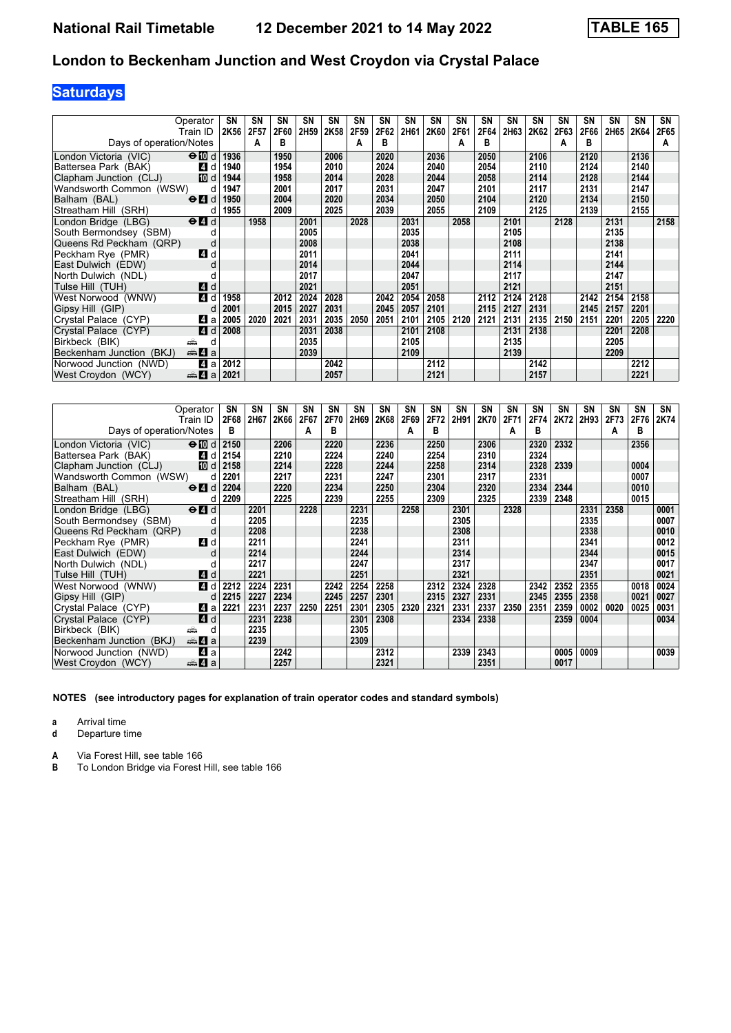# **Saturdays**

| Operator                                                         | SΝ        | <b>SN</b> | SN   | SN               | <b>SN</b> | SΝ   | SΝ   | <b>SN</b> | SN   | SΝ   | <b>SN</b> | SΝ   | <b>SN</b> | <b>SN</b> | SΝ   | SΝ   | <b>SN</b> | SN   |
|------------------------------------------------------------------|-----------|-----------|------|------------------|-----------|------|------|-----------|------|------|-----------|------|-----------|-----------|------|------|-----------|------|
| Train ID                                                         | 2K56      | 2F57      | 2F60 | 2H <sub>59</sub> | 2K58      | 2F59 | 2F62 | 2H61      | 2K60 | 2F61 | 2F64      | 2H63 | 2K62      | 2F63      | 2F66 | 2H65 | 2K64      | 2F65 |
| Days of operation/Notes                                          |           | A         | в    |                  |           | A    | в    |           |      | А    | в         |      |           | А         | в    |      |           | A    |
| $\Theta$ III d<br>London Victoria (VIC)                          | 1936      |           | 1950 |                  | 2006      |      | 2020 |           | 2036 |      | 2050      |      | 2106      |           | 2120 |      | 2136      |      |
| Battersea Park (BAK)<br><b>4</b> d                               | 1940      |           | 1954 |                  | 2010      |      | 2024 |           | 2040 |      | 2054      |      | 2110      |           | 2124 |      | 2140      |      |
| IID d<br>Clapham Junction (CLJ)                                  | 1944      |           | 1958 |                  | 2014      |      | 2028 |           | 2044 |      | 2058      |      | 2114      |           | 2128 |      | 2144      |      |
| Wandsworth Common (WSW)                                          | 1947<br>d |           | 2001 |                  | 2017      |      | 2031 |           | 2047 |      | 2101      |      | 2117      |           | 2131 |      | 2147      |      |
| $\Theta$ <sup><math>\Omega</math></sup> d<br>Balham (BAL)        | 1950      |           | 2004 |                  | 2020      |      | 2034 |           | 2050 |      | 2104      |      | 2120      |           | 2134 |      | 2150      |      |
| Streatham Hill (SRH)                                             | 1955<br>d |           | 2009 |                  | 2025      |      | 2039 |           | 2055 |      | 2109      |      | 2125      |           | 2139 |      | 2155      |      |
| London Bridge (LBG)<br>$\Theta$ <sup><math>\Omega</math></sup> d |           | 1958      |      | 2001             |           | 2028 |      | 2031      |      | 2058 |           | 2101 |           | 2128      |      | 2131 |           | 2158 |
| South Bermondsey (SBM)                                           |           |           |      | 2005             |           |      |      | 2035      |      |      |           | 2105 |           |           |      | 2135 |           |      |
| Queens Rd Peckham (QRP)                                          | d         |           |      | 2008             |           |      |      | 2038      |      |      |           | 2108 |           |           |      | 2138 |           |      |
| Peckham Rye (PMR)<br><b>4</b> d                                  |           |           |      | 2011             |           |      |      | 2041      |      |      |           | 2111 |           |           |      | 2141 |           |      |
| East Dulwich (EDW)                                               | U         |           |      | 2014             |           |      |      | 2044      |      |      |           | 2114 |           |           |      | 2144 |           |      |
| North Dulwich (NDL)                                              |           |           |      | 2017             |           |      |      | 2047      |      |      |           | 2117 |           |           |      | 2147 |           |      |
| Tulse Hill (TUH)<br><b>4</b> d                                   |           |           |      | 2021             |           |      |      | 2051      |      |      |           | 2121 |           |           |      | 2151 |           |      |
| 4 d<br>West Norwood (WNW)                                        | 1958      |           | 2012 | 2024             | 2028      |      | 2042 | 2054      | 2058 |      | 2112      | 2124 | 2128      |           | 2142 | 2154 | 2158      |      |
| Gipsy Hill (GIP)                                                 | 2001<br>d |           | 2015 | 2027             | 2031      |      | 2045 | 2057      | 2101 |      | 2115      | 2127 | 2131      |           | 2145 | 2157 | 2201      |      |
| Crystal Palace (CYP)<br>L4 a                                     | 2005      | 2020      | 2021 | 2031             | 2035      | 2050 | 2051 | 2101      | 2105 | 2120 | 2121      | 2131 | 2135      | 2150      | 2151 | 2201 | 2205      | 2220 |
| <b>4</b> d<br>Crystal Palace (CYP)                               | 2008      |           |      | 2031             | 2038      |      |      | 2101      | 2108 |      |           | 2131 | 2138      |           |      | 2201 | 2208      |      |
| Birkbeck (BIK)<br>яŵ                                             | d         |           |      | 2035             |           |      |      | 2105      |      |      |           | 2135 |           |           |      | 2205 |           |      |
| <del>⊯</del> ы 4 а<br>Beckenham Junction (BKJ)                   |           |           |      | 2039             |           |      |      | 2109      |      |      |           | 2139 |           |           |      | 2209 |           |      |
| Norwood Junction (NWD)<br>$\boldsymbol{A}$                       | 2012<br>a |           |      |                  | 2042      |      |      |           | 2112 |      |           |      | 2142      |           |      |      | 2212      |      |
| West Croydon (WCY)<br><del>⊯</del> 4 а                           | 2021      |           |      |                  | 2057      |      |      |           | 2121 |      |           |      | 2157      |           |      |      | 2221      |      |

| Operator                                                               | SN        | SΝ   | <b>SN</b> | SΝ   | SΝ   | SN   | SN   | <b>SN</b> | SN   | <b>SN</b> | SN   | <b>SN</b> | <b>SN</b> | SΝ   | SΝ   | SΝ   | <b>SN</b> | SN   |
|------------------------------------------------------------------------|-----------|------|-----------|------|------|------|------|-----------|------|-----------|------|-----------|-----------|------|------|------|-----------|------|
| Train ID                                                               | 2F68      | 2H67 | 2K66      | 2F67 | 2F70 | 2H69 | 2K68 | 2F69      | 2F72 | 2H91      | 2K70 | 2F71      | 2F74      | 2K72 | 2H93 | 2F73 | 2F76      | 2K74 |
| Days of operation/Notes                                                | в         |      |           | A    | в    |      |      | A         | в    |           |      | А         | в         |      |      | A    | в         |      |
| London Victoria (VIC)<br>$\Theta$ [0 d                                 | 2150      |      | 2206      |      | 2220 |      | 2236 |           | 2250 |           | 2306 |           | 2320      | 2332 |      |      | 2356      |      |
| Battersea Park (BAK)<br>4 d                                            | 2154      |      | 2210      |      | 2224 |      | 2240 |           | 2254 |           | 2310 |           | 2324      |      |      |      |           |      |
| Clapham Junction (CLJ)<br>[10] d                                       | 2158      |      | 2214      |      | 2228 |      | 2244 |           | 2258 |           | 2314 |           | 2328      | 2339 |      |      | 0004      |      |
| Wandsworth Common (WSW)                                                | 2201<br>d |      | 2217      |      | 2231 |      | 2247 |           | 2301 |           | 2317 |           | 2331      |      |      |      | 0007      |      |
| $\Theta$ <sup><math>\blacksquare</math> d</sup><br>Balham (BAL)        | 2204      |      | 2220      |      | 2234 |      | 2250 |           | 2304 |           | 2320 |           | 2334      | 2344 |      |      | 0010      |      |
| Streatham Hill (SRH)                                                   | 2209<br>d |      | 2225      |      | 2239 |      | 2255 |           | 2309 |           | 2325 |           | 2339      | 2348 |      |      | 0015      |      |
| London Bridge (LBG)<br>$\Theta$ <sup><math>\blacksquare</math> d</sup> |           | 2201 |           | 2228 |      | 2231 |      | 2258      |      | 2301      |      | 2328      |           |      | 2331 | 2358 |           | 0001 |
| South Bermondsey (SBM)                                                 |           | 2205 |           |      |      | 2235 |      |           |      | 2305      |      |           |           |      | 2335 |      |           | 0007 |
| Queens Rd Peckham (QRP)                                                | d         | 2208 |           |      |      | 2238 |      |           |      | 2308      |      |           |           |      | 2338 |      |           | 0010 |
| Peckham Rve (PMR)<br>ZI d                                              |           | 2211 |           |      |      | 2241 |      |           |      | 2311      |      |           |           |      | 2341 |      |           | 0012 |
| East Dulwich (EDW)                                                     | d         | 2214 |           |      |      | 2244 |      |           |      | 2314      |      |           |           |      | 2344 |      |           | 0015 |
| North Dulwich (NDL)                                                    |           | 2217 |           |      |      | 2247 |      |           |      | 2317      |      |           |           |      | 2347 |      |           | 0017 |
| Tulse Hill (TUH)<br>4 d                                                |           | 2221 |           |      |      | 2251 |      |           |      | 2321      |      |           |           |      | 2351 |      |           | 0021 |
| West Norwood (WNW)<br>4 d                                              | 2212      | 2224 | 2231      |      | 2242 | 2254 | 2258 |           | 2312 | 2324      | 2328 |           | 2342      | 2352 | 2355 |      | 0018      | 0024 |
| Gipsy Hill (GIP)                                                       | 2215<br>d | 2227 | 2234      |      | 2245 | 2257 | 2301 |           | 2315 | 2327      | 2331 |           | 2345      | 2355 | 2358 |      | 0021      | 0027 |
| Crystal Palace (CYP)<br>41 a                                           | 2221      | 2231 | 2237      | 2250 | 2251 | 2301 | 2305 | 2320      | 2321 | 2331      | 2337 | 2350      | 2351      | 2359 | 0002 | 0020 | 0025      | 0031 |
| 4 d<br>Crystal Palace (CYP)                                            |           | 2231 | 2238      |      |      | 2301 | 2308 |           |      | 2334      | 2338 |           |           | 2359 | 0004 |      |           | 0034 |
| Birkbeck (BIK)<br>æ                                                    | d         | 2235 |           |      |      | 2305 |      |           |      |           |      |           |           |      |      |      |           |      |
| <del>⊫</del> 4 а<br>Beckenham Junction (BKJ)                           |           | 2239 |           |      |      | 2309 |      |           |      |           |      |           |           |      |      |      |           |      |
| 4 a<br>Norwood Junction (NWD)                                          |           |      | 2242      |      |      |      | 2312 |           |      | 2339      | 2343 |           |           | 0005 | 0009 |      |           | 0039 |
| West Croydon (WCY)<br>da 4 a                                           |           |      | 2257      |      |      |      | 2321 |           |      |           | 2351 |           |           | 0017 |      |      |           |      |

**NOTES (see introductory pages for explanation of train operator codes and standard symbols)**

**a** Arrival time<br>**d** Departure t

**d** Departure time

**A** Via Forest Hill, see table 166<br>**B** To London Bridge via Forest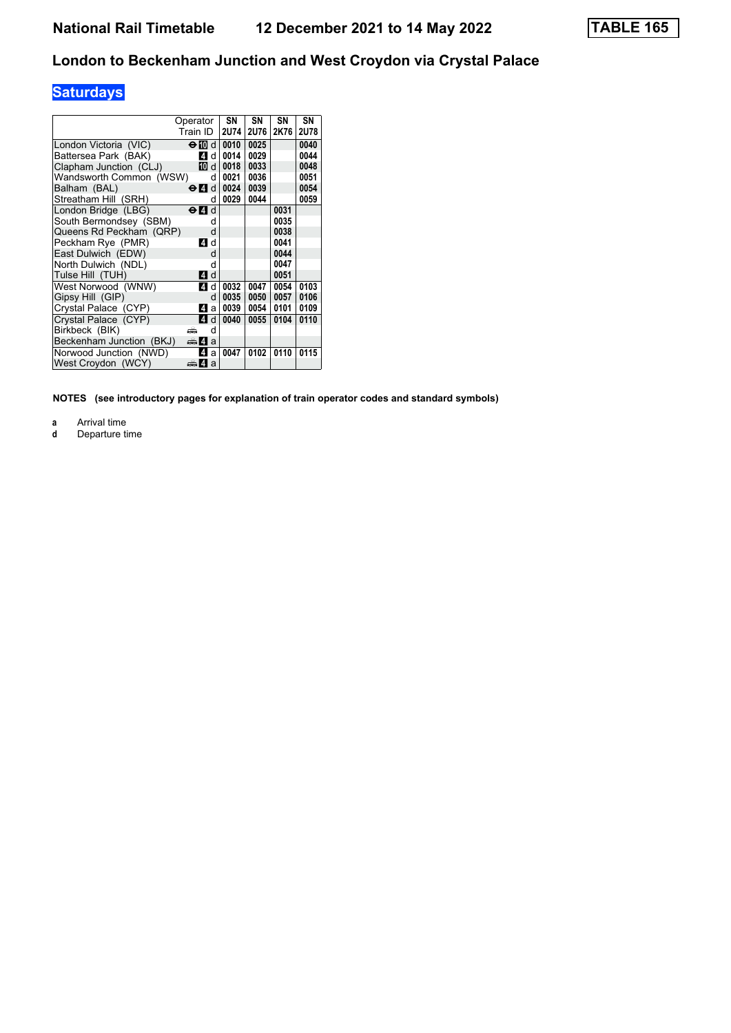# **Saturdays**

|                          | Operator                  | SN          | SN   | SΝ   | SN          |
|--------------------------|---------------------------|-------------|------|------|-------------|
|                          | Train ID                  | <b>2U74</b> | 2U76 | 2K76 | <b>2U78</b> |
| London Victoria (VIC)    | $\Theta$ M d              | 0010        | 0025 |      | 0040        |
| Battersea Park (BAK)     | 4<br>d                    | 0014        | 0029 |      | 0044        |
| Clapham Junction (CLJ)   | 10 d                      | 0018        | 0033 |      | 0048        |
| Wandsworth Common (WSW)  | d                         | 0021        | 0036 |      | 0051        |
| Balham (BAL)             | $\Theta$ $\blacksquare$ d | 0024        | 0039 |      | 0054        |
| Streatham Hill (SRH)     | d                         | 0029        | 0044 |      | 0059        |
| London Bridge (LBG)      | d<br>⊖И                   |             |      | 0031 |             |
| South Bermondsev (SBM)   | d                         |             |      | 0035 |             |
| Queens Rd Peckham (QRP)  | d                         |             |      | 0038 |             |
| Peckham Rve (PMR)        | 4 d                       |             |      | 0041 |             |
| East Dulwich (EDW)       | d                         |             |      | 0044 |             |
| North Dulwich (NDL)      | d                         |             |      | 0047 |             |
| Tulse Hill (TUH)         | 4 d                       |             |      | 0051 |             |
| West Norwood (WNW)       | $\overline{A}$<br>d       | 0032        | 0047 | 0054 | 0103        |
| Gipsy Hill (GIP)         | d                         | 0035        | 0050 | 0057 | 0106        |
| Crystal Palace (CYP)     | 4<br>a                    | 0039        | 0054 | 0101 | 0109        |
| Crystal Palace (CYP)     | $\boxed{4}$<br>d          | 0040        | 0055 | 0104 | 0110        |
| Birkbeck (BIK)           | d<br>پیش                  |             |      |      |             |
| Beckenham Junction (BKJ) | $\oplus$ 4<br>a           |             |      |      |             |
| Norwood Junction (NWD)   | 4<br>a                    | 0047        | 0102 | 0110 | 0115        |
| West Croydon (WCY)       | dan 4a                    |             |      |      |             |

**NOTES (see introductory pages for explanation of train operator codes and standard symbols)**

**a** Arrival time<br>**d** Departure t

**d** Departure time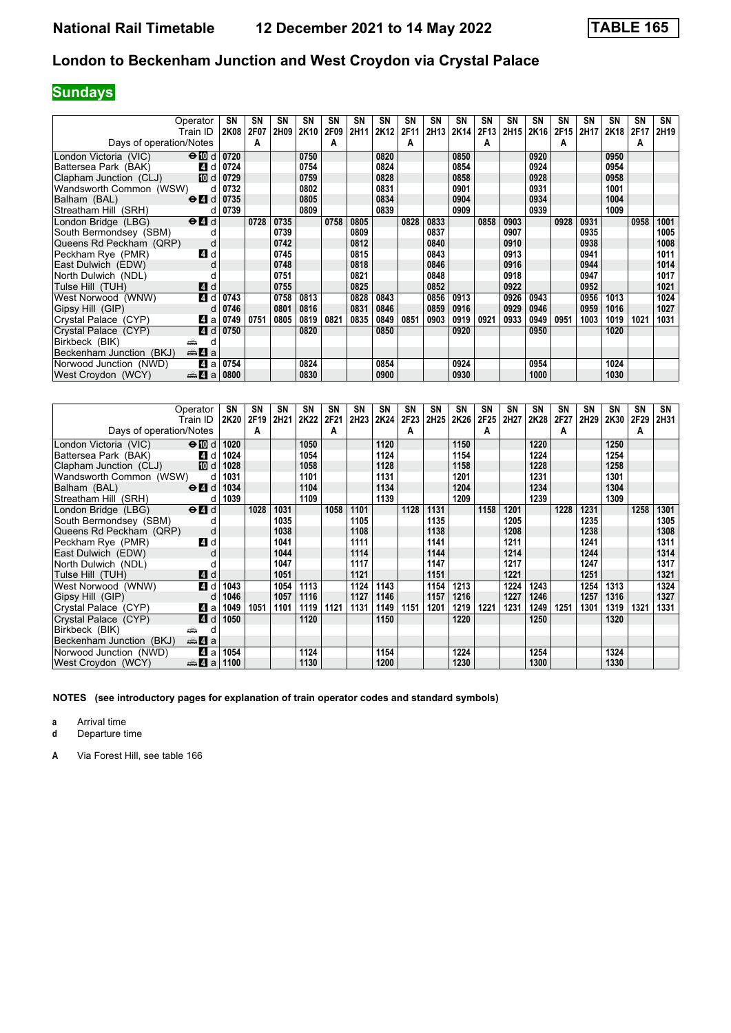# **Sundays**

| Operator                                                         | SΝ          | SN   | SN   | <b>SN</b> | SN   | SN   | SN   | SΝ   | SN   | <b>SN</b> | SN   | SΝ   | SΝ   | SΝ   | <b>SN</b> | SΝ   | SΝ   | SN   |
|------------------------------------------------------------------|-------------|------|------|-----------|------|------|------|------|------|-----------|------|------|------|------|-----------|------|------|------|
| Train ID                                                         | <b>2K08</b> | 2F07 | 2H09 | 2K10      | 2F09 | 2H11 | 2K12 | 2F11 | 2H13 | 2K14      | 2F13 | 2H15 | 2K16 | 2F15 | 2H17      | 2K18 | 2F17 | 2H19 |
| Days of operation/Notes                                          |             | А    |      |           | A    |      |      | А    |      |           | А    |      |      | А    |           |      | А    |      |
| $\Theta$ $\blacksquare$ d<br>London Victoria (VIC)               | 0720        |      |      | 0750      |      |      | 0820 |      |      | 0850      |      |      | 0920 |      |           | 0950 |      |      |
| Battersea Park (BAK)<br>4 d                                      | 0724        |      |      | 0754      |      |      | 0824 |      |      | 0854      |      |      | 0924 |      |           | 0954 |      |      |
| Clapham Junction (CLJ)<br><b>ID</b> d                            | 0729        |      |      | 0759      |      |      | 0828 |      |      | 0858      |      |      | 0928 |      |           | 0958 |      |      |
| Wandsworth Common (WSW)                                          | 0732<br>d   |      |      | 0802      |      |      | 0831 |      |      | 0901      |      |      | 0931 |      |           | 1001 |      |      |
| $\Theta$ 4<br>Balham (BAL)                                       | 0735        |      |      | 0805      |      |      | 0834 |      |      | 0904      |      |      | 0934 |      |           | 1004 |      |      |
| Streatham Hill (SRH)                                             | 0739<br>d   |      |      | 0809      |      |      | 0839 |      |      | 0909      |      |      | 0939 |      |           | 1009 |      |      |
| London Bridge (LBG)<br>$\Theta$ <sup><math>\Omega</math></sup> d |             | 0728 | 0735 |           | 0758 | 0805 |      | 0828 | 0833 |           | 0858 | 0903 |      | 0928 | 0931      |      | 0958 | 1001 |
| South Bermondsey (SBM)                                           |             |      | 0739 |           |      | 0809 |      |      | 0837 |           |      | 0907 |      |      | 0935      |      |      | 1005 |
| Queens Rd Peckham (QRP)                                          | d           |      | 0742 |           |      | 0812 |      |      | 0840 |           |      | 0910 |      |      | 0938      |      |      | 1008 |
| Peckham Rye (PMR)<br>4 d                                         |             |      | 0745 |           |      | 0815 |      |      | 0843 |           |      | 0913 |      |      | 0941      |      |      | 1011 |
| East Dulwich (EDW)                                               |             |      | 0748 |           |      | 0818 |      |      | 0846 |           |      | 0916 |      |      | 0944      |      |      | 1014 |
| North Dulwich (NDL)                                              |             |      | 0751 |           |      | 0821 |      |      | 0848 |           |      | 0918 |      |      | 0947      |      |      | 1017 |
| Tulse Hill (TUH)<br><b>4</b> d                                   |             |      | 0755 |           |      | 0825 |      |      | 0852 |           |      | 0922 |      |      | 0952      |      |      | 1021 |
| 4 d<br>West Norwood (WNW)                                        | 0743        |      | 0758 | 0813      |      | 0828 | 0843 |      | 0856 | 0913      |      | 0926 | 0943 |      | 0956      | 1013 |      | 1024 |
| Gipsy Hill (GIP)                                                 | 0746<br>d   |      | 0801 | 0816      |      | 0831 | 0846 |      | 0859 | 0916      |      | 0929 | 0946 |      | 0959      | 1016 |      | 1027 |
| Crystal Palace (CYP)<br>ZI a                                     | 0749        | 0751 | 0805 | 0819      | 0821 | 0835 | 0849 | 0851 | 0903 | 0919      | 0921 | 0933 | 0949 | 0951 | 1003      | 1019 | 1021 | 1031 |
| Crystal Palace (CYP)<br><b>4</b> d                               | 0750        |      |      | 0820      |      |      | 0850 |      |      | 0920      |      |      | 0950 |      |           | 1020 |      |      |
| Birkbeck (BIK)<br>æ                                              | d           |      |      |           |      |      |      |      |      |           |      |      |      |      |           |      |      |      |
| Beckenham Junction (BKJ)<br><del>⊯</del> 4 а                     |             |      |      |           |      |      |      |      |      |           |      |      |      |      |           |      |      |      |
| Norwood Junction (NWD)<br>$\boldsymbol{A}$                       | 0754<br>a   |      |      | 0824      |      |      | 0854 |      |      | 0924      |      |      | 0954 |      |           | 1024 |      |      |
| West Croydon (WCY)<br><del>⊯</del> ы⊿а                           | 0800        |      |      | 0830      |      |      | 0900 |      |      | 0930      |      |      | 1000 |      |           | 1030 |      |      |

|                          | Operator                                        | SN   | SN   | SN   | SN   | SN   | SΝ          | SN   | <b>SN</b>        | SN   | SΝ   | SN   | <b>SN</b> | SN   | <b>SN</b> | SΝ   | <b>SN</b> | <b>SN</b> | SN   |
|--------------------------|-------------------------------------------------|------|------|------|------|------|-------------|------|------------------|------|------|------|-----------|------|-----------|------|-----------|-----------|------|
|                          | Train ID                                        | 2K20 | 2F19 | 2H21 | 2K22 | 2F21 | <b>2H23</b> | 2K24 | 2F <sub>23</sub> | 2H25 | 2K26 | 2F25 | 2H27      | 2K28 | 2F27      | 2H29 | 2K30      | 2F29      | 2H31 |
| Days of operation/Notes  |                                                 |      | А    |      |      | A    |             |      | А                |      |      | А    |           |      | А         |      |           | A         |      |
| London Victoria (VIC)    | $\Theta$ M d                                    | 1020 |      |      | 1050 |      |             | 1120 |                  |      | 1150 |      |           | 1220 |           |      | 1250      |           |      |
| Battersea Park (BAK)     | 4 d                                             | 1024 |      |      | 1054 |      |             | 1124 |                  |      | 1154 |      |           | 1224 |           |      | 1254      |           |      |
| Clapham Junction (CLJ)   | [10] d                                          | 1028 |      |      | 1058 |      |             | 1128 |                  |      | 1158 |      |           | 1228 |           |      | 1258      |           |      |
| Wandsworth Common (WSW)  | d                                               | 1031 |      |      | 1101 |      |             | 1131 |                  |      | 1201 |      |           | 1231 |           |      | 1301      |           |      |
| Balham (BAL)             | $\Theta$ <sup><math>\Omega</math></sup> d       | 1034 |      |      | 1104 |      |             | 1134 |                  |      | 1204 |      |           | 1234 |           |      | 1304      |           |      |
| Streatham Hill (SRH)     | d                                               | 1039 |      |      | 1109 |      |             | 1139 |                  |      | 1209 |      |           | 1239 |           |      | 1309      |           |      |
| London Bridge (LBG)      | $\Theta$ <sup><math>\blacksquare</math> d</sup> |      | 1028 | 1031 |      | 1058 | 1101        |      | 1128             | 1131 |      | 1158 | 1201      |      | 1228      | 1231 |           | 1258      | 1301 |
| South Bermondsey (SBM)   |                                                 |      |      | 1035 |      |      | 1105        |      |                  | 1135 |      |      | 1205      |      |           | 1235 |           |           | 1305 |
| Queens Rd Peckham (QRP)  | d                                               |      |      | 1038 |      |      | 1108        |      |                  | 1138 |      |      | 1208      |      |           | 1238 |           |           | 1308 |
| Peckham Rye (PMR)        | <b>4</b> d                                      |      |      | 1041 |      |      | 1111        |      |                  | 1141 |      |      | 1211      |      |           | 1241 |           |           | 1311 |
| East Dulwich (EDW)       | d                                               |      |      | 1044 |      |      | 1114        |      |                  | 1144 |      |      | 1214      |      |           | 1244 |           |           | 1314 |
| North Dulwich (NDL)      |                                                 |      |      | 1047 |      |      | 1117        |      |                  | 1147 |      |      | 1217      |      |           | 1247 |           |           | 1317 |
| Tulse Hill (TUH)         | <b>4</b> d                                      |      |      | 1051 |      |      | 1121        |      |                  | 1151 |      |      | 1221      |      |           | 1251 |           |           | 1321 |
| West Norwood (WNW)       | 4 d                                             | 1043 |      | 1054 | 1113 |      | 1124        | 1143 |                  | 1154 | 1213 |      | 1224      | 1243 |           | 1254 | 1313      |           | 1324 |
| Gipsy Hill (GIP)         | d                                               | 1046 |      | 1057 | 1116 |      | 1127        | 1146 |                  | 1157 | 1216 |      | 1227      | 1246 |           | 1257 | 1316      |           | 1327 |
| Crystal Palace (CYP)     | 41 a                                            | 1049 | 1051 | 1101 | 1119 | 1121 | 1131        | 1149 | 1151             | 1201 | 1219 | 1221 | 1231      | 1249 | 1251      | 1301 | 1319      | 1321      | 1331 |
| Crystal Palace (CYP)     | ZI d                                            | 1050 |      |      | 1120 |      |             | 1150 |                  |      | 1220 |      |           | 1250 |           |      | 1320      |           |      |
| Birkbeck (BIK)<br>æ      | d                                               |      |      |      |      |      |             |      |                  |      |      |      |           |      |           |      |           |           |      |
| Beckenham Junction (BKJ) | <del>⊯</del> 4 а                                |      |      |      |      |      |             |      |                  |      |      |      |           |      |           |      |           |           |      |
| Norwood Junction (NWD)   | 41 a                                            | 1054 |      |      | 1124 |      |             | 1154 |                  |      | 1224 |      |           | 1254 |           |      | 1324      |           |      |
| West Croydon (WCY)       | de 4 a                                          | 1100 |      |      | 1130 |      |             | 1200 |                  |      | 1230 |      |           | 1300 |           |      | 1330      |           |      |

**NOTES (see introductory pages for explanation of train operator codes and standard symbols)**

**a** Arrival time<br>**d** Departure t

**d** Departure time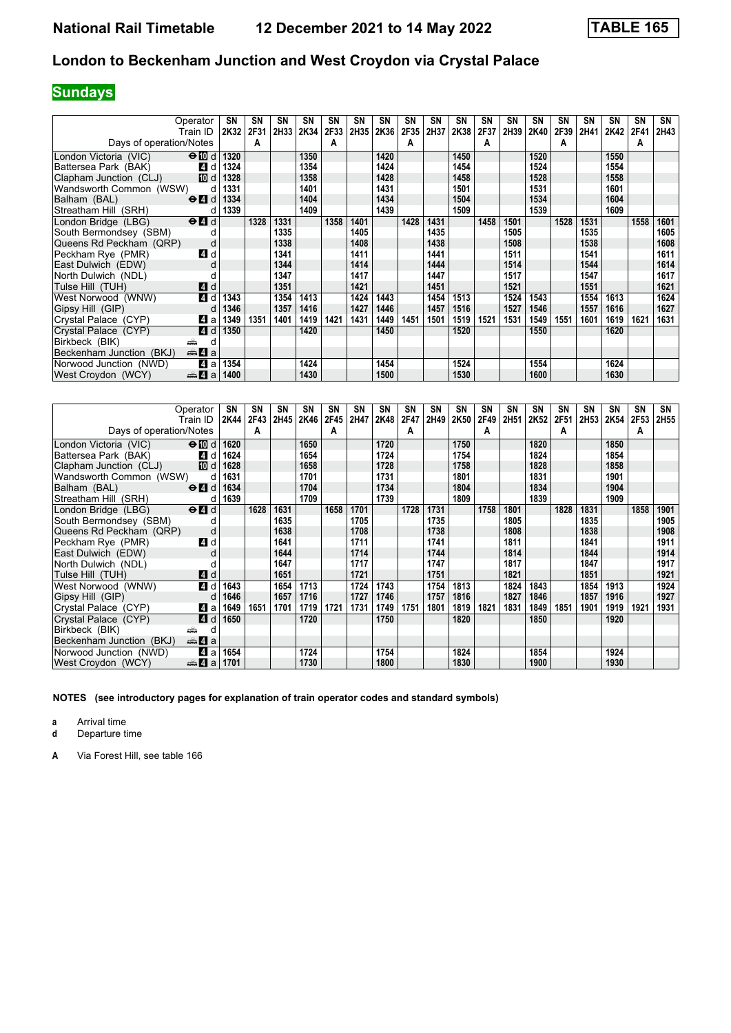# **Sundays**

| Operator                                                         | SN   | <b>SN</b> | SN          | SN   | SN   | SN   | <b>SN</b> | SΝ   | SN   | SΝ   | <b>SN</b> | SΝ   | SN   | SΝ   | <b>SN</b> | SΝ   | SΝ   | SN   |
|------------------------------------------------------------------|------|-----------|-------------|------|------|------|-----------|------|------|------|-----------|------|------|------|-----------|------|------|------|
| Train ID                                                         | 2K32 | 2F31      | <b>2H33</b> | 2K34 | 2F33 | 2H35 | 2K36      | 2F35 | 2H37 | 2K38 | 2F37      | 2H39 | 2K40 | 2F39 | 2H41      | 2K42 | 2F41 | 2H43 |
| Days of operation/Notes                                          |      | A         |             |      | A    |      |           | A    |      |      | А         |      |      | А    |           |      | А    |      |
| $\Theta$ M d<br>London Victoria (VIC)                            | 1320 |           |             | 1350 |      |      | 1420      |      |      | 1450 |           |      | 1520 |      |           | 1550 |      |      |
| Battersea Park (BAK)<br>4 d                                      | 1324 |           |             | 1354 |      |      | 1424      |      |      | 1454 |           |      | 1524 |      |           | 1554 |      |      |
| [10] d<br>Clapham Junction (CLJ)                                 | 1328 |           |             | 1358 |      |      | 1428      |      |      | 1458 |           |      | 1528 |      |           | 1558 |      |      |
| Wandsworth Common (WSW)<br>d                                     | 1331 |           |             | 1401 |      |      | 1431      |      |      | 1501 |           |      | 1531 |      |           | 1601 |      |      |
| $\Theta$ <sup><math>\Omega</math></sup> d<br>Balham (BAL)        | 1334 |           |             | 1404 |      |      | 1434      |      |      | 1504 |           |      | 1534 |      |           | 1604 |      |      |
| Streatham Hill (SRH)<br>d                                        | 1339 |           |             | 1409 |      |      | 1439      |      |      | 1509 |           |      | 1539 |      |           | 1609 |      |      |
| London Bridge (LBG)<br>$\Theta$ <sup><math>\Omega</math></sup> d |      | 1328      | 1331        |      | 1358 | 1401 |           | 1428 | 1431 |      | 1458      | 1501 |      | 1528 | 1531      |      | 1558 | 1601 |
| South Bermondsey (SBM)<br>d                                      |      |           | 1335        |      |      | 1405 |           |      | 1435 |      |           | 1505 |      |      | 1535      |      |      | 1605 |
| Queens Rd Peckham (QRP)<br>d                                     |      |           | 1338        |      |      | 1408 |           |      | 1438 |      |           | 1508 |      |      | 1538      |      |      | 1608 |
| Peckham Rye (PMR)<br>4 d                                         |      |           | 1341        |      |      | 1411 |           |      | 1441 |      |           | 1511 |      |      | 1541      |      |      | 1611 |
| East Dulwich (EDW)<br>d                                          |      |           | 1344        |      |      | 1414 |           |      | 1444 |      |           | 1514 |      |      | 1544      |      |      | 1614 |
| North Dulwich (NDL)                                              |      |           | 1347        |      |      | 1417 |           |      | 1447 |      |           | 1517 |      |      | 1547      |      |      | 1617 |
| <b>4</b> d<br>Tulse Hill (TUH)                                   |      |           | 1351        |      |      | 1421 |           |      | 1451 |      |           | 1521 |      |      | 1551      |      |      | 1621 |
| 4 d<br>West Norwood (WNW)                                        | 1343 |           | 1354        | 1413 |      | 1424 | 1443      |      | 1454 | 1513 |           | 1524 | 1543 |      | 1554      | 1613 |      | 1624 |
| Gipsy Hill (GIP)<br>d                                            | 1346 |           | 1357        | 1416 |      | 1427 | 1446      |      | 1457 | 1516 |           | 1527 | 1546 |      | 1557      | 1616 |      | 1627 |
| Crystal Palace (CYP)<br>ZI a                                     | 1349 | 1351      | 1401        | 1419 | 1421 | 1431 | 1449      | 1451 | 1501 | 1519 | 1521      | 1531 | 1549 | 1551 | 1601      | 1619 | 1621 | 1631 |
| 4 d<br>Crystal Palace (CYP)                                      | 1350 |           |             | 1420 |      |      | 1450      |      |      | 1520 |           |      | 1550 |      |           | 1620 |      |      |
| Birkbeck (BIK)<br>æ<br>d                                         |      |           |             |      |      |      |           |      |      |      |           |      |      |      |           |      |      |      |
| $\oplus$ 4 a<br>Beckenham Junction (BKJ)                         |      |           |             |      |      |      |           |      |      |      |           |      |      |      |           |      |      |      |
| Norwood Junction (NWD)<br>4 a                                    | 1354 |           |             | 1424 |      |      | 1454      |      |      | 1524 |           |      | 1554 |      |           | 1624 |      |      |
| $\oplus$ 4 a<br>West Croydon (WCY)                               | 1400 |           |             | 1430 |      |      | 1500      |      |      | 1530 |           |      | 1600 |      |           | 1630 |      |      |

| Operator                 |                                                 | SN   | SN   | SN   | SN   | SN   | SΝ   | SN   | <b>SN</b> | SN   | <b>SN</b> | SN   | <b>SN</b> | SN   | <b>SN</b> | SΝ   | <b>SN</b> | <b>SN</b> | SN               |
|--------------------------|-------------------------------------------------|------|------|------|------|------|------|------|-----------|------|-----------|------|-----------|------|-----------|------|-----------|-----------|------------------|
| Train ID                 |                                                 | 2K44 | 2F43 | 2H45 | 2K46 | 2F45 | 2H47 | 2K48 | 2F47      | 2H49 | 2K50      | 2F49 | 2H51      | 2K52 | 2F51      | 2H53 | 2K54      | 2F53      | 2H <sub>55</sub> |
| Days of operation/Notes  |                                                 |      | А    |      |      | A    |      |      | А         |      |           | А    |           |      | А         |      |           | A         |                  |
| London Victoria (VIC)    | $\Theta$ M d                                    | 1620 |      |      | 1650 |      |      | 1720 |           |      | 1750      |      |           | 1820 |           |      | 1850      |           |                  |
| Battersea Park (BAK)     | <b>4</b> d                                      | 1624 |      |      | 1654 |      |      | 1724 |           |      | 1754      |      |           | 1824 |           |      | 1854      |           |                  |
| Clapham Junction (CLJ)   | [10] d                                          | 1628 |      |      | 1658 |      |      | 1728 |           |      | 1758      |      |           | 1828 |           |      | 1858      |           |                  |
| Wandsworth Common (WSW)  | d                                               | 1631 |      |      | 1701 |      |      | 1731 |           |      | 1801      |      |           | 1831 |           |      | 1901      |           |                  |
| Balham (BAL)             | $\Theta$ <sup><math>\Omega</math></sup> d       | 1634 |      |      | 1704 |      |      | 1734 |           |      | 1804      |      |           | 1834 |           |      | 1904      |           |                  |
| Streatham Hill (SRH)     | d                                               | 1639 |      |      | 1709 |      |      | 1739 |           |      | 1809      |      |           | 1839 |           |      | 1909      |           |                  |
| London Bridge (LBG)      | $\Theta$ <sup><math>\blacksquare</math> d</sup> |      | 1628 | 1631 |      | 1658 | 1701 |      | 1728      | 1731 |           | 1758 | 1801      |      | 1828      | 1831 |           | 1858      | 1901             |
| South Bermondsey (SBM)   |                                                 |      |      | 1635 |      |      | 1705 |      |           | 1735 |           |      | 1805      |      |           | 1835 |           |           | 1905             |
| Queens Rd Peckham (QRP)  | d                                               |      |      | 1638 |      |      | 1708 |      |           | 1738 |           |      | 1808      |      |           | 1838 |           |           | 1908             |
| Peckham Rye (PMR)        | 4 d                                             |      |      | 1641 |      |      | 1711 |      |           | 1741 |           |      | 1811      |      |           | 1841 |           |           | 1911             |
| East Dulwich (EDW)       | d                                               |      |      | 1644 |      |      | 1714 |      |           | 1744 |           |      | 1814      |      |           | 1844 |           |           | 1914             |
| North Dulwich (NDL)      |                                                 |      |      | 1647 |      |      | 1717 |      |           | 1747 |           |      | 1817      |      |           | 1847 |           |           | 1917             |
| Tulse Hill (TUH)         | <b>4</b> d                                      |      |      | 1651 |      |      | 1721 |      |           | 1751 |           |      | 1821      |      |           | 1851 |           |           | 1921             |
| West Norwood (WNW)       | 4 d                                             | 1643 |      | 1654 | 1713 |      | 1724 | 1743 |           | 1754 | 1813      |      | 1824      | 1843 |           | 1854 | 1913      |           | 1924             |
| Gipsy Hill (GIP)         | d                                               | 1646 |      | 1657 | 1716 |      | 1727 | 1746 |           | 1757 | 1816      |      | 1827      | 1846 |           | 1857 | 1916      |           | 1927             |
| Crystal Palace (CYP)     | 41 a                                            | 1649 | 1651 | 1701 | 1719 | 1721 | 1731 | 1749 | 1751      | 1801 | 1819      | 1821 | 1831      | 1849 | 1851      | 1901 | 1919      | 1921      | 1931             |
| Crystal Palace (CYP)     | ZI d                                            | 1650 |      |      | 1720 |      |      | 1750 |           |      | 1820      |      |           | 1850 |           |      | 1920      |           |                  |
| Birkbeck (BIK)<br>æ      | d                                               |      |      |      |      |      |      |      |           |      |           |      |           |      |           |      |           |           |                  |
| Beckenham Junction (BKJ) | <del>⊯</del> 4 а                                |      |      |      |      |      |      |      |           |      |           |      |           |      |           |      |           |           |                  |
| Norwood Junction (NWD)   | ZI a                                            | 1654 |      |      | 1724 |      |      | 1754 |           |      | 1824      |      |           | 1854 |           |      | 1924      |           |                  |
| West Croydon (WCY)       | de 4 a                                          | 1701 |      |      | 1730 |      |      | 1800 |           |      | 1830      |      |           | 1900 |           |      | 1930      |           |                  |

**NOTES (see introductory pages for explanation of train operator codes and standard symbols)**

**a** Arrival time<br>**d** Departure t

**d** Departure time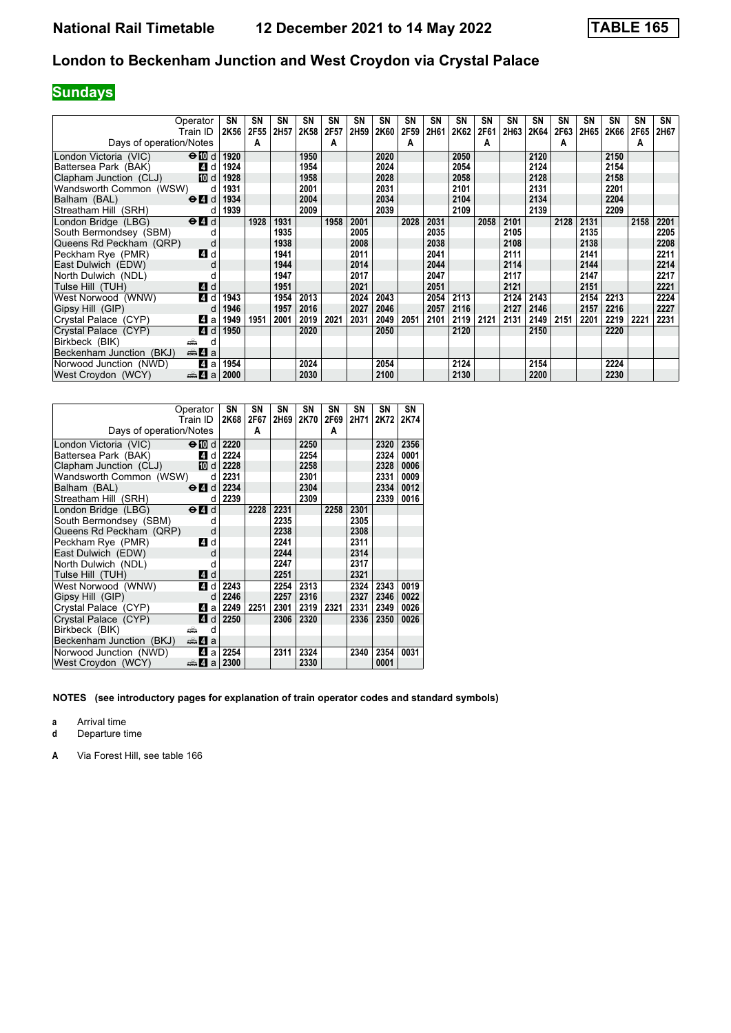# **Sundays**

| Operator                                                         | SN                  | <b>SN</b> | SN   | SN   | SN   | SN               | SN   | SN   | SN   | SΝ   | SN   | SΝ   | SN   | <b>SN</b> | SN   | SΝ   | SΝ   | SN   |
|------------------------------------------------------------------|---------------------|-----------|------|------|------|------------------|------|------|------|------|------|------|------|-----------|------|------|------|------|
| Train ID                                                         | 2K56                | 2F55      | 2H57 | 2K58 | 2F57 | 2H <sub>59</sub> | 2K60 | 2F59 | 2H61 | 2K62 | 2F61 | 2H63 | 2K64 | 2F63      | 2H65 | 2K66 | 2F65 | 2H67 |
| Days of operation/Notes                                          |                     | А         |      |      | A    |                  |      | A    |      |      | А    |      |      | A         |      |      | A    |      |
| $\Theta$ III d<br>London Victoria (VIC)                          | 1920                |           |      | 1950 |      |                  | 2020 |      |      | 2050 |      |      | 2120 |           |      | 2150 |      |      |
| Battersea Park (BAK)                                             | 4 d<br>1924         |           |      | 1954 |      |                  | 2024 |      |      | 2054 |      |      | 2124 |           |      | 2154 |      |      |
| Clapham Junction (CLJ)                                           | <b>ID</b> d<br>1928 |           |      | 1958 |      |                  | 2028 |      |      | 2058 |      |      | 2128 |           |      | 2158 |      |      |
| Wandsworth Common (WSW)                                          | 1931<br>d           |           |      | 2001 |      |                  | 2031 |      |      | 2101 |      |      | 2131 |           |      | 2201 |      |      |
| $\Theta$ <sup><math>\Omega</math></sup> d<br>Balham (BAL)        | 1934                |           |      | 2004 |      |                  | 2034 |      |      | 2104 |      |      | 2134 |           |      | 2204 |      |      |
| Streatham Hill (SRH)                                             | 1939<br>d           |           |      | 2009 |      |                  | 2039 |      |      | 2109 |      |      | 2139 |           |      | 2209 |      |      |
| London Bridge (LBG)<br>$\Theta$ <sup><math>\Omega</math></sup> d |                     | 1928      | 1931 |      | 1958 | 2001             |      | 2028 | 2031 |      | 2058 | 2101 |      | 2128      | 2131 |      | 2158 | 2201 |
| South Bermondsey (SBM)                                           |                     |           | 1935 |      |      | 2005             |      |      | 2035 |      |      | 2105 |      |           | 2135 |      |      | 2205 |
| Queens Rd Peckham (QRP)                                          | d                   |           | 1938 |      |      | 2008             |      |      | 2038 |      |      | 2108 |      |           | 2138 |      |      | 2208 |
| Peckham Rye (PMR)                                                | 4 d                 |           | 1941 |      |      | 2011             |      |      | 2041 |      |      | 2111 |      |           | 2141 |      |      | 2211 |
| East Dulwich (EDW)                                               | d                   |           | 1944 |      |      | 2014             |      |      | 2044 |      |      | 2114 |      |           | 2144 |      |      | 2214 |
| North Dulwich (NDL)                                              |                     |           | 1947 |      |      | 2017             |      |      | 2047 |      |      | 2117 |      |           | 2147 |      |      | 2217 |
| Tulse Hill (TUH)                                                 | 4 d                 |           | 1951 |      |      | 2021             |      |      | 2051 |      |      | 2121 |      |           | 2151 |      |      | 2221 |
| West Norwood (WNW)                                               | 4 d<br>1943         |           | 1954 | 2013 |      | 2024             | 2043 |      | 2054 | 2113 |      | 2124 | 2143 |           | 2154 | 2213 |      | 2224 |
| Gipsy Hill (GIP)                                                 | 1946<br>d           |           | 1957 | 2016 |      | 2027             | 2046 |      | 2057 | 2116 |      | 2127 | 2146 |           | 2157 | 2216 |      | 2227 |
| Crystal Palace (CYP)                                             | 41 a<br>1949        | 1951      | 2001 | 2019 | 2021 | 2031             | 2049 | 2051 | 2101 | 2119 | 2121 | 2131 | 2149 | 2151      | 2201 | 2219 | 2221 | 2231 |
| Crystal Palace (CYP)                                             | 1950<br>4 d         |           |      | 2020 |      |                  | 2050 |      |      | 2120 |      |      | 2150 |           |      | 2220 |      |      |
| Birkbeck (BIK)<br>æ                                              | d                   |           |      |      |      |                  |      |      |      |      |      |      |      |           |      |      |      |      |
| Beckenham Junction (BKJ)<br><del>⊯</del> ы 4 а                   |                     |           |      |      |      |                  |      |      |      |      |      |      |      |           |      |      |      |      |
| Norwood Junction (NWD)                                           | 4 a<br>1954         |           |      | 2024 |      |                  | 2054 |      |      | 2124 |      |      | 2154 |           |      | 2224 |      |      |
| West Croydon (WCY)<br>da 4 a                                     | 2000                |           |      | 2030 |      |                  | 2100 |      |      | 2130 |      |      | 2200 |           |      | 2230 |      |      |

| Operator<br>Train ID                                             |        | SN<br>2K68 | SΝ<br>2F67 | SΝ<br>2H69 | SΝ<br>2K70 | SΝ<br>2F69 | SN<br>2H71 | SΝ<br>2K72 | SΝ<br>2K74 |
|------------------------------------------------------------------|--------|------------|------------|------------|------------|------------|------------|------------|------------|
| Days of operation/Notes                                          |        |            | A          |            |            | A          |            |            |            |
| London Victoria (VIC)<br>$\Theta$ 10 d                           |        | 2220       |            |            | 2250       |            |            | 2320       | 2356       |
| Battersea Park (BAK)                                             | ZI dl  | 2224       |            |            | 2254       |            |            | 2324       | 0001       |
| Clapham Junction (CLJ)                                           | 10 d   | 2228       |            |            | 2258       |            |            | 2328       | 0006       |
| Wandsworth Common (WSW)                                          | d      | 2231       |            |            | 2301       |            |            | 2331       | 0009       |
| $\Theta$ $\blacksquare$ d<br>Balham (BAL)                        |        | 2234       |            |            | 2304       |            |            | 2334       | 0012       |
| Streatham Hill (SRH)                                             | d      | 2239       |            |            | 2309       |            |            | 2339       | 0016       |
| London Bridge (LBG)<br>$\Theta$ <sup><math>\Omega</math></sup> d |        |            | 2228       | 2231       |            | 2258       | 2301       |            |            |
| South Bermondsey (SBM)                                           | d      |            |            | 2235       |            |            | 2305       |            |            |
| Queens Rd Peckham (QRP)                                          | d      |            |            | 2238       |            |            | 2308       |            |            |
| Peckham Rye (PMR)                                                | ZI d   |            |            | 2241       |            |            | 2311       |            |            |
| East Dulwich (EDW)                                               | d      |            |            | 2244       |            |            | 2314       |            |            |
| North Dulwich (NDL)                                              | d      |            |            | 2247       |            |            | 2317       |            |            |
| Tulse Hill (TUH)                                                 | 4 d    |            |            | 2251       |            |            | 2321       |            |            |
| West Norwood (WNW)                                               | 4 d    | 2243       |            | 2254       | 2313       |            | 2324       | 2343       | 0019       |
| Gipsy Hill (GIP)                                                 | d      | 2246       |            | 2257       | 2316       |            | 2327       | 2346       | 0022       |
| Crystal Palace (CYP)                                             | 41 a l | 2249       | 2251       | 2301       | 2319       | 2321       | 2331       | 2349       | 0026       |
| Crystal Palace (CYP)                                             | 4 d    | 2250       |            | 2306       | 2320       |            | 2336       | 2350       | 0026       |
| Birkbeck (BIK)<br>æ                                              | d      |            |            |            |            |            |            |            |            |
| <del>⊯</del> 4 а<br>Beckenham Junction (BKJ)                     |        |            |            |            |            |            |            |            |            |
| 4<br>Norwood Junction (NWD)                                      | a      | 2254       |            | 2311       | 2324       |            | 2340       | 2354       | 0031       |
| West Croydon (WCY)<br>da 4a                                      |        | 2300       |            |            | 2330       |            |            | 0001       |            |

**NOTES (see introductory pages for explanation of train operator codes and standard symbols)**

**a** Arrival time<br>**d** Departure t

**d** Departure time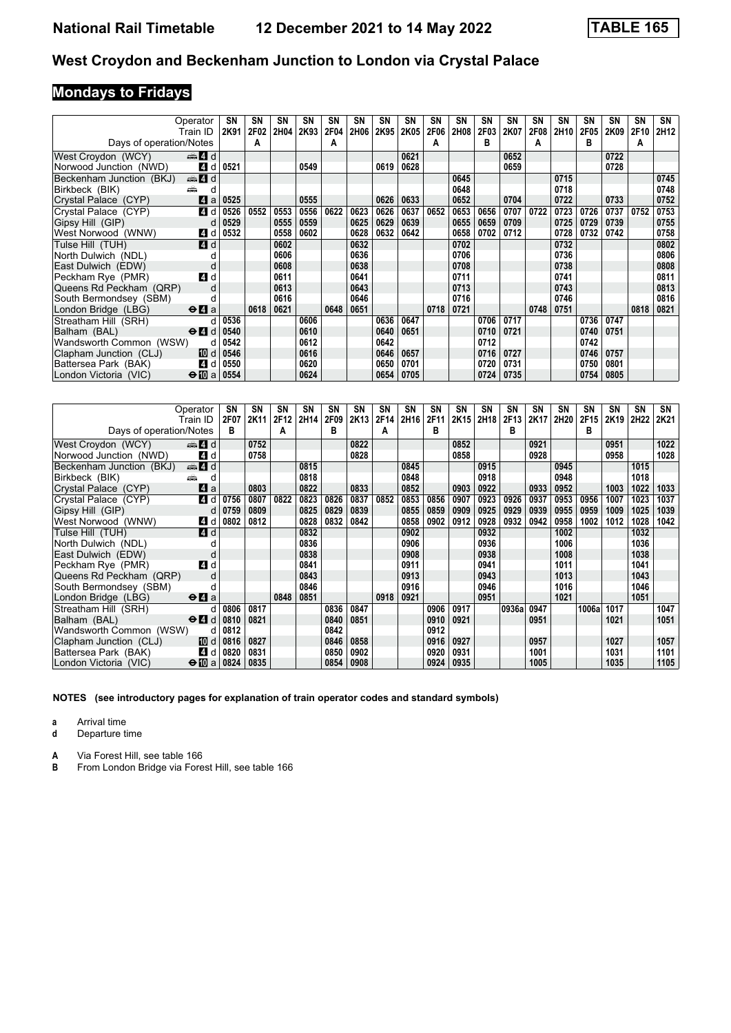# **Mondays to Fridays**

| Operator                                                     |      | SN   | SN   | SN   | SΝ   | SN   | SΝ   | SN   | <b>SN</b> | SN   | <b>SN</b> | SN          | SΝ   | SN   | SΝ               | SN   | SΝ   | <b>SN</b> | SN               |
|--------------------------------------------------------------|------|------|------|------|------|------|------|------|-----------|------|-----------|-------------|------|------|------------------|------|------|-----------|------------------|
| Train ID                                                     |      | 2K91 | 2F02 | 2H04 | 2K93 | 2F04 | 2H06 | 2K95 | 2K05      | 2F06 | 2H08      | <b>2F03</b> | 2K07 | 2F08 | 2H <sub>10</sub> | 2F05 | 2K09 | 2F10      | 2H <sub>12</sub> |
| Days of operation/Notes                                      |      |      | A    |      |      | A    |      |      |           | А    |           | в           |      | A    |                  | в    |      | A         |                  |
| den and and<br>West Croydon (WCY)                            |      |      |      |      |      |      |      |      | 0621      |      |           |             | 0652 |      |                  |      | 0722 |           |                  |
| Norwood Junction (NWD)                                       | 4 d  | 0521 |      |      | 0549 |      |      | 0619 | 0628      |      |           |             | 0659 |      |                  |      | 0728 |           |                  |
| d d<br>Beckenham Junction (BKJ)                              |      |      |      |      |      |      |      |      |           |      | 0645      |             |      |      | 0715             |      |      |           | 0745             |
| Birkbeck (BIK)<br>æ                                          | d    |      |      |      |      |      |      |      |           |      | 0648      |             |      |      | 0718             |      |      |           | 0748             |
| Crystal Palace (CYP)                                         | ZI a | 0525 |      |      | 0555 |      |      | 0626 | 0633      |      | 0652      |             | 0704 |      | 0722             |      | 0733 |           | 0752             |
| Crystal Palace (CYP)                                         | 4 d  | 0526 | 0552 | 0553 | 0556 | 0622 | 0623 | 0626 | 0637      | 0652 | 0653      | 0656        | 0707 | 0722 | 0723             | 0726 | 0737 | 0752      | 0753             |
| Gipsy Hill (GIP)                                             | d    | 0529 |      | 0555 | 0559 |      | 0625 | 0629 | 0639      |      | 0655      | 0659        | 0709 |      | 0725             | 0729 | 0739 |           | 0755             |
| West Norwood (WNW)                                           | 4 d  | 0532 |      | 0558 | 0602 |      | 0628 | 0632 | 0642      |      | 0658      | 0702        | 0712 |      | 0728             | 0732 | 0742 |           | 0758             |
| Tulse Hill (TUH)                                             | 4 d  |      |      | 0602 |      |      | 0632 |      |           |      | 0702      |             |      |      | 0732             |      |      |           | 0802             |
| North Dulwich (NDL)                                          |      |      |      | 0606 |      |      | 0636 |      |           |      | 0706      |             |      |      | 0736             |      |      |           | 0806             |
| East Dulwich (EDW)                                           | d    |      |      | 0608 |      |      | 0638 |      |           |      | 0708      |             |      |      | 0738             |      |      |           | 0808             |
| Peckham Rye (PMR)                                            | 4 d  |      |      | 0611 |      |      | 0641 |      |           |      | 0711      |             |      |      | 0741             |      |      |           | 0811             |
| Queens Rd Peckham (QRP)                                      | d    |      |      | 0613 |      |      | 0643 |      |           |      | 0713      |             |      |      | 0743             |      |      |           | 0813             |
| South Bermondsey (SBM)                                       |      |      |      | 0616 |      |      | 0646 |      |           |      | 0716      |             |      |      | 0746             |      |      |           | 0816             |
| London Bridge (LBG)<br>$\Theta$ <b><math>\Omega</math></b> a |      |      | 0618 | 0621 |      | 0648 | 0651 |      |           | 0718 | 0721      |             |      | 0748 | 0751             |      |      | 0818      | 0821             |
| Streatham Hill (SRH)                                         | d.   | 0536 |      |      | 0606 |      |      | 0636 | 0647      |      |           | 0706        | 0717 |      |                  | 0736 | 0747 |           |                  |
| Balham (BAL)<br>$\Theta$ 4 d                                 |      | 0540 |      |      | 0610 |      |      | 0640 | 0651      |      |           | 0710        | 0721 |      |                  | 0740 | 0751 |           |                  |
| Wandsworth Common (WSW)                                      | d    | 0542 |      |      | 0612 |      |      | 0642 |           |      |           | 0712        |      |      |                  | 0742 |      |           |                  |
| Clapham Junction (CLJ)                                       | 10 d | 0546 |      |      | 0616 |      |      | 0646 | 0657      |      |           | 0716        | 0727 |      |                  | 0746 | 0757 |           |                  |
| Battersea Park (BAK)                                         | 4 d  | 0550 |      |      | 0620 |      |      | 0650 | 0701      |      |           | 0720        | 0731 |      |                  | 0750 | 0801 |           |                  |
| $\Theta$ [[] a<br>London Victoria (VIC)                      |      | 0554 |      |      | 0624 |      |      | 0654 | 0705      |      |           | 0724        | 0735 |      |                  | 0754 | 0805 |           |                  |

|                          | Operator                                  | SN   | SΝ   | <b>SN</b> | SΝ   | SN   | SN   | SN   | <b>SN</b>        | SN   | <b>SN</b> | <b>SN</b> | SΝ    | <b>SN</b> | SΝ   | SΝ    | SΝ   | <b>SN</b> | SN   |
|--------------------------|-------------------------------------------|------|------|-----------|------|------|------|------|------------------|------|-----------|-----------|-------|-----------|------|-------|------|-----------|------|
|                          | Train ID                                  | 2F07 | 2K11 | 2F12      | 2H14 | 2F09 | 2K13 | 2F14 | 2H <sub>16</sub> | 2F11 | 2K15      | 2H18      | 2F13  | 2K17      | 2H20 | 2F15  | 2K19 | 2H22      | 2K21 |
| Days of operation/Notes  |                                           | в    |      | A         |      | в    |      | A    |                  | в    |           |           | в     |           |      | в     |      |           |      |
| West Croydon (WCY)       | ्की 4 d                                   |      | 0752 |           |      |      | 0822 |      |                  |      | 0852      |           |       | 0921      |      |       | 0951 |           | 1022 |
| Norwood Junction (NWD)   | 4 d                                       |      | 0758 |           |      |      | 0828 |      |                  |      | 0858      |           |       | 0928      |      |       | 0958 |           | 1028 |
| Beckenham Junction (BKJ) | $\oplus$ 4 d                              |      |      |           | 0815 |      |      |      | 0845             |      |           | 0915      |       |           | 0945 |       |      | 1015      |      |
| Birkbeck (BIK)           |                                           |      |      |           | 0818 |      |      |      | 0848             |      |           | 0918      |       |           | 0948 |       |      | 1018      |      |
| Crystal Palace (CYP)     | ZI a                                      |      | 0803 |           | 0822 |      | 0833 |      | 0852             |      | 0903      | 0922      |       | 0933      | 0952 |       | 1003 | 1022      | 1033 |
| Crystal Palace (CYP)     | 4 d                                       | 0756 | 0807 | 0822      | 0823 | 0826 | 0837 | 0852 | 0853             | 0856 | 0907      | 0923      | 0926  | 0937      | 0953 | 0956  | 1007 | 1023      | 1037 |
| Gipsy Hill (GIP)         | d                                         | 0759 | 0809 |           | 0825 | 0829 | 0839 |      | 0855             | 0859 | 0909      | 0925      | 0929  | 0939      | 0955 | 0959  | 1009 | 1025      | 1039 |
| West Norwood (WNW)       | 4 d                                       | 0802 | 0812 |           | 0828 | 0832 | 0842 |      | 0858             | 0902 | 0912      | 0928      | 0932  | 0942      | 0958 | 1002  | 1012 | 1028      | 1042 |
| Tulse Hill (TUH)         | <b>4</b> d                                |      |      |           | 0832 |      |      |      | 0902             |      |           | 0932      |       |           | 1002 |       |      | 1032      |      |
| North Dulwich (NDL)      |                                           |      |      |           | 0836 |      |      |      | 0906             |      |           | 0936      |       |           | 1006 |       |      | 1036      |      |
| East Dulwich (EDW)       |                                           |      |      |           | 0838 |      |      |      | 0908             |      |           | 0938      |       |           | 1008 |       |      | 1038      |      |
| Peckham Rye (PMR)        | 4 d                                       |      |      |           | 0841 |      |      |      | 0911             |      |           | 0941      |       |           | 1011 |       |      | 1041      |      |
| Queens Rd Peckham (QRP)  |                                           |      |      |           | 0843 |      |      |      | 0913             |      |           | 0943      |       |           | 1013 |       |      | 1043      |      |
| South Bermondsey (SBM)   |                                           |      |      |           | 0846 |      |      |      | 0916             |      |           | 0946      |       |           | 1016 |       |      | 1046      |      |
| London Bridge (LBG)      | $\Theta$ <b><math>\Omega</math></b> a     |      |      | 0848      | 0851 |      |      | 0918 | 0921             |      |           | 0951      |       |           | 1021 |       |      | 1051      |      |
| Streatham Hill (SRH)     | d                                         | 0806 | 0817 |           |      | 0836 | 0847 |      |                  | 0906 | 0917      |           | 0936a | 0947      |      | 1006a | 1017 |           | 1047 |
| Balham (BAL)             | $\Theta$ <sup><math>\Omega</math></sup> d | 0810 | 0821 |           |      | 0840 | 0851 |      |                  | 0910 | 0921      |           |       | 0951      |      |       | 1021 |           | 1051 |
| Wandsworth Common (WSW)  | d                                         | 0812 |      |           |      | 0842 |      |      |                  | 0912 |           |           |       |           |      |       |      |           |      |
| Clapham Junction (CLJ)   | 10 d                                      | 0816 | 0827 |           |      | 0846 | 0858 |      |                  | 0916 | 0927      |           |       | 0957      |      |       | 1027 |           | 1057 |
| Battersea Park (BAK)     | 4 d                                       | 0820 | 0831 |           |      | 0850 | 0902 |      |                  | 0920 | 0931      |           |       | 1001      |      |       | 1031 |           | 1101 |
| London Victoria (VIC)    | $\bigoplus a$                             | 0824 | 0835 |           |      | 0854 | 0908 |      |                  | 0924 | 0935      |           |       | 1005      |      |       | 1035 |           | 1105 |

**NOTES (see introductory pages for explanation of train operator codes and standard symbols)**

**a** Arrival time<br>**d** Departure t

**d** Departure time

**A** Via Forest Hill, see table 166<br>**B** From London Bridge via Fore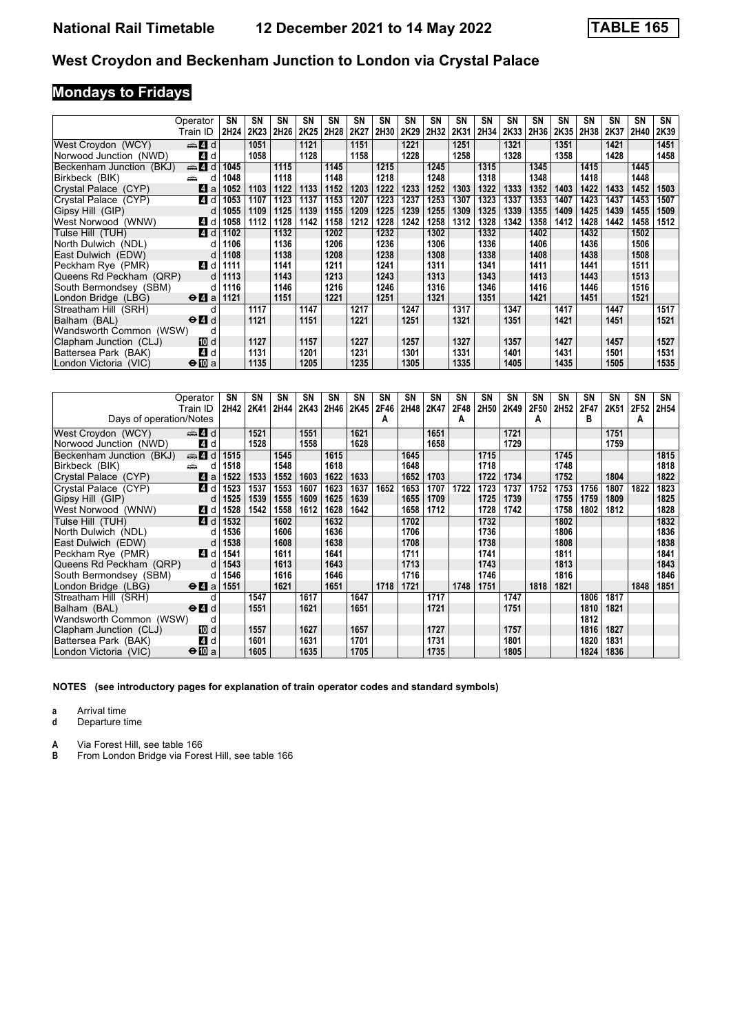# **Mondays to Fridays**

|                          | Operator                                    | <b>SN</b> | SN   | <b>SN</b> | SΝ               | SN   | SN   | <b>SN</b> | <b>SN</b> | SN   | <b>SN</b> | SN   | <b>SN</b> | <b>SN</b> | <b>SN</b> | SΝ   | SΝ   | <b>SN</b> | SN   |
|--------------------------|---------------------------------------------|-----------|------|-----------|------------------|------|------|-----------|-----------|------|-----------|------|-----------|-----------|-----------|------|------|-----------|------|
|                          | Train ID                                    | 2H24      | 2K23 | 2H26      | 2K <sub>25</sub> | 2H28 | 2K27 | 2H30      | 2K29      | 2H32 | 2K31      | 2H34 | 2K33      | 2H36      | 2K35      | 2H38 | 2K37 | 2H40      | 2K39 |
| West Croydon (WCY)       | $\oplus$ 4 d                                |           | 1051 |           | 1121             |      | 1151 |           | 1221      |      | 1251      |      | 1321      |           | 1351      |      | 1421 |           | 1451 |
| Norwood Junction (NWD)   | 4 d                                         |           | 1058 |           | 1128             |      | 1158 |           | 1228      |      | 1258      |      | 1328      |           | 1358      |      | 1428 |           | 1458 |
| Beckenham Junction (BKJ) | ्की 4 d                                     | 1045      |      | 1115      |                  | 1145 |      | 1215      |           | 1245 |           | 1315 |           | 1345      |           | 1415 |      | 1445      |      |
| Birkbeck (BIK)           | æ<br>d                                      | 1048      |      | 1118      |                  | 1148 |      | 1218      |           | 1248 |           | 1318 |           | 1348      |           | 1418 |      | 1448      |      |
| Crystal Palace (CYP)     | ZI a                                        | 1052      | 1103 | 1122      | 1133             | 1152 | 1203 | 1222      | 1233      | 1252 | 1303      | 1322 | 1333      | 1352      | 1403      | 1422 | 1433 | 1452      | 1503 |
| Crystal Palace (CYP)     | 4 d                                         | 1053      | 1107 | 1123      | 1137             | 1153 | 1207 | 1223      | 1237      | 1253 | 1307      | 1323 | 1337      | 1353      | 1407      | 1423 | 1437 | 1453      | 1507 |
| Gipsy Hill (GIP)         | d                                           | 1055      | 1109 | 1125      | 1139             | 1155 | 1209 | 1225      | 1239      | 1255 | 1309      | 1325 | 1339      | 1355      | 1409      | 1425 | 1439 | 1455      | 1509 |
| West Norwood (WNW)       | 4 d                                         | 1058      | 1112 | 1128      | 1142             | 1158 | 1212 | 1228      | 1242      | 1258 | 1312      | 1328 | 1342      | 1358      | 1412      | 1428 | 1442 | 1458      | 1512 |
| Tulse Hill(TUH)          | 4 d                                         | 1102      |      | 1132      |                  | 1202 |      | 1232      |           | 1302 |           | 1332 |           | 1402      |           | 1432 |      | 1502      |      |
| North Dulwich (NDL)      |                                             | 1106      |      | 1136      |                  | 1206 |      | 1236      |           | 1306 |           | 1336 |           | 1406      |           | 1436 |      | 1506      |      |
| East Dulwich (EDW)       | d                                           | 1108      |      | 1138      |                  | 1208 |      | 1238      |           | 1308 |           | 1338 |           | 1408      |           | 1438 |      | 1508      |      |
| Peckham Rye (PMR)        | 4 d                                         | 1111      |      | 1141      |                  | 1211 |      | 1241      |           | 1311 |           | 1341 |           | 1411      |           | 1441 |      | 1511      |      |
| Queens Rd Peckham (QRP)  | <sub>d</sub>                                | 1113      |      | 1143      |                  | 1213 |      | 1243      |           | 1313 |           | 1343 |           | 1413      |           | 1443 |      | 1513      |      |
| South Bermondsey (SBM)   | d                                           | 1116      |      | 1146      |                  | 1216 |      | 1246      |           | 1316 |           | 1346 |           | 1416      |           | 1446 |      | 1516      |      |
| London Bridge (LBG)      | $\Theta$ <b><math>\blacksquare</math></b> a | 1121      |      | 1151      |                  | 1221 |      | 1251      |           | 1321 |           | 1351 |           | 1421      |           | 1451 |      | 1521      |      |
| Streatham Hill (SRH)     |                                             |           | 1117 |           | 1147             |      | 1217 |           | 1247      |      | 1317      |      | 1347      |           | 1417      |      | 1447 |           | 1517 |
| Balham (BAL)             | $\Theta$ <sup><math>\Omega</math></sup> d   |           | 1121 |           | 1151             |      | 1221 |           | 1251      |      | 1321      |      | 1351      |           | 1421      |      | 1451 |           | 1521 |
| Wandsworth Common (WSW)  | d                                           |           |      |           |                  |      |      |           |           |      |           |      |           |           |           |      |      |           |      |
| Clapham Junction (CLJ)   | 10 d                                        |           | 1127 |           | 1157             |      | 1227 |           | 1257      |      | 1327      |      | 1357      |           | 1427      |      | 1457 |           | 1527 |
| Battersea Park (BAK)     | 4 d                                         |           | 1131 |           | 1201             |      | 1231 |           | 1301      |      | 1331      |      | 1401      |           | 1431      |      | 1501 |           | 1531 |
| London Victoria (VIC)    | $\bigoplus$ a                               |           | 1135 |           | 1205             |      | 1235 |           | 1305      |      | 1335      |      | 1405      |           | 1435      |      | 1505 |           | 1535 |

|                          | Operator                                  | SN   | SN   | SN   | SN   | SN   | SN   | SN   | SΝ   | SN   | SN   | SN   | SΝ   | SN   | SΝ   | SΝ   | SΝ   | SΝ   | SN   |
|--------------------------|-------------------------------------------|------|------|------|------|------|------|------|------|------|------|------|------|------|------|------|------|------|------|
|                          | Train ID                                  | 2H42 | 2K41 | 2H44 | 2K43 | 2H46 | 2K45 | 2F46 | 2H48 | 2K47 | 2F48 | 2H50 | 2K49 | 2F50 | 2H52 | 2F47 | 2K51 | 2F52 | 2H54 |
| Days of operation/Notes  |                                           |      |      |      |      |      |      | A    |      |      | A    |      |      | А    |      | в    |      | A    |      |
| West Croydon (WCY)       | d d                                       |      | 1521 |      | 1551 |      | 1621 |      |      | 1651 |      |      | 1721 |      |      |      | 1751 |      |      |
| Norwood Junction (NWD)   | 4 d                                       |      | 1528 |      | 1558 |      | 1628 |      |      | 1658 |      |      | 1729 |      |      |      | 1759 |      |      |
| Beckenham Junction (BKJ) | $\oplus$ 4 d                              | 1515 |      | 1545 |      | 1615 |      |      | 1645 |      |      | 1715 |      |      | 1745 |      |      |      | 1815 |
| Birkbeck (BIK)           | añ.<br>d                                  | 1518 |      | 1548 |      | 1618 |      |      | 1648 |      |      | 1718 |      |      | 1748 |      |      |      | 1818 |
| Crystal Palace (CYP)     | ZI a                                      | 1522 | 1533 | 1552 | 1603 | 1622 | 1633 |      | 1652 | 1703 |      | 1722 | 1734 |      | 1752 |      | 1804 |      | 1822 |
| Crystal Palace (CYP)     | 4 d                                       | 1523 | 1537 | 1553 | 1607 | 1623 | 1637 | 1652 | 1653 | 1707 | 1722 | 1723 | 1737 | 1752 | 1753 | 1756 | 1807 | 1822 | 1823 |
| Gipsy Hill (GIP)         | d                                         | 1525 | 1539 | 1555 | 1609 | 1625 | 1639 |      | 1655 | 1709 |      | 1725 | 1739 |      | 1755 | 1759 | 1809 |      | 1825 |
| West Norwood (WNW)       | 4 d                                       | 1528 | 1542 | 1558 | 1612 | 1628 | 1642 |      | 1658 | 1712 |      | 1728 | 1742 |      | 1758 | 1802 | 1812 |      | 1828 |
| Tulse Hill (TUH)         | <b>4</b> d                                | 1532 |      | 1602 |      | 1632 |      |      | 1702 |      |      | 1732 |      |      | 1802 |      |      |      | 1832 |
| North Dulwich (NDL)      | d                                         | 1536 |      | 1606 |      | 1636 |      |      | 1706 |      |      | 1736 |      |      | 1806 |      |      |      | 1836 |
| East Dulwich (EDW)       | d                                         | 1538 |      | 1608 |      | 1638 |      |      | 1708 |      |      | 1738 |      |      | 1808 |      |      |      | 1838 |
| Peckham Rve (PMR)        | <b>4</b> d                                | 1541 |      | 1611 |      | 1641 |      |      | 1711 |      |      | 1741 |      |      | 1811 |      |      |      | 1841 |
| Queens Rd Peckham (QRP)  | d                                         | 1543 |      | 1613 |      | 1643 |      |      | 1713 |      |      | 1743 |      |      | 1813 |      |      |      | 1843 |
| South Bermondsey (SBM)   | d                                         | 1546 |      | 1616 |      | 1646 |      |      | 1716 |      |      | 1746 |      |      | 1816 |      |      |      | 1846 |
| London Bridge (LBG)      | $\Theta$ <b><math>\Omega</math></b> a     | 1551 |      | 1621 |      | 1651 |      | 1718 | 1721 |      | 1748 | 1751 |      | 1818 | 1821 |      |      | 1848 | 1851 |
| Streatham Hill (SRH)     |                                           |      | 1547 |      | 1617 |      | 1647 |      |      | 1717 |      |      | 1747 |      |      | 1806 | 1817 |      |      |
| Balham (BAL)             | $\Theta$ <sup><math>\Omega</math></sup> d |      | 1551 |      | 1621 |      | 1651 |      |      | 1721 |      |      | 1751 |      |      | 1810 | 1821 |      |      |
| Wandsworth Common (WSW)  | d                                         |      |      |      |      |      |      |      |      |      |      |      |      |      |      | 1812 |      |      |      |
| Clapham Junction (CLJ)   | TO d                                      |      | 1557 |      | 1627 |      | 1657 |      |      | 1727 |      |      | 1757 |      |      | 1816 | 1827 |      |      |
| Battersea Park (BAK)     | ZI d                                      |      | 1601 |      | 1631 |      | 1701 |      |      | 1731 |      |      | 1801 |      |      | 1820 | 1831 |      |      |
| London Victoria (VIC)    | $\bigoplus$ a                             |      | 1605 |      | 1635 |      | 1705 |      |      | 1735 |      |      | 1805 |      |      | 1824 | 1836 |      |      |

**NOTES (see introductory pages for explanation of train operator codes and standard symbols)**

**a** Arrival time

**d** Departure time

**A** Via Forest Hill, see table 166<br>**B** From London Bridge via Fore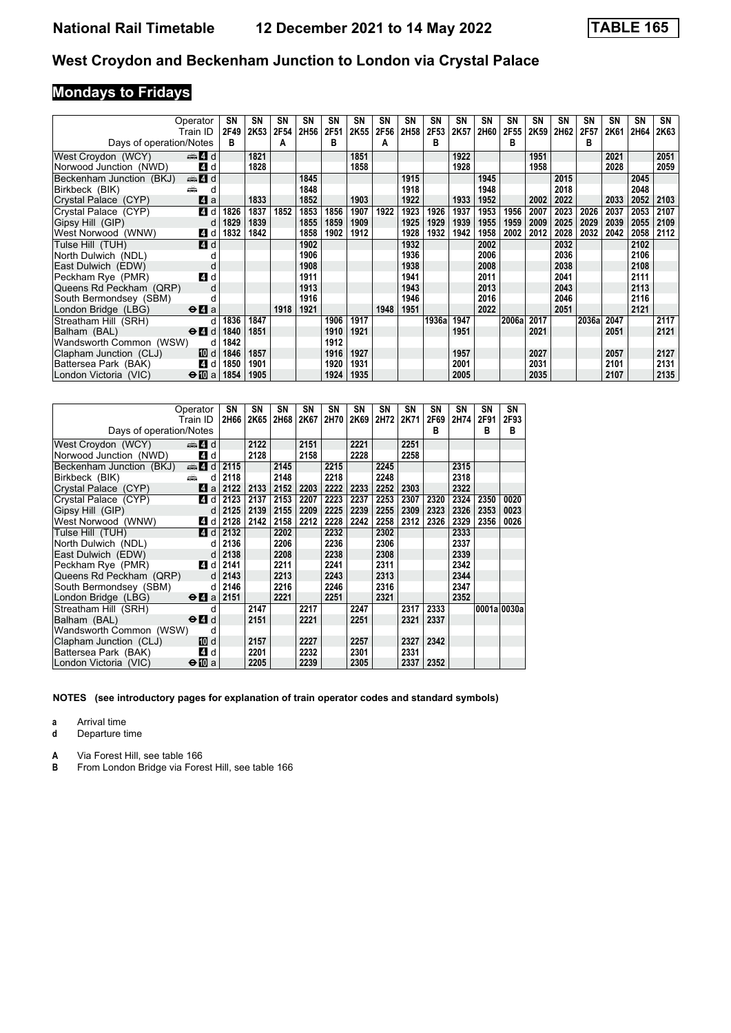# **Mondays to Fridays**

|                                | Operator                                  | SN   | SN   | <b>SN</b> | SΝ   | SN   | SN   | SN   | <b>SN</b> | <b>SN</b> | <b>SN</b> | SN   | SΝ    | <b>SN</b> | SΝ   | SΝ    | SΝ   | <b>SN</b> | SN   |
|--------------------------------|-------------------------------------------|------|------|-----------|------|------|------|------|-----------|-----------|-----------|------|-------|-----------|------|-------|------|-----------|------|
|                                | Train ID                                  | 2F49 | 2K53 | 2F54      | 2H56 | 2F51 | 2K55 | 2F56 | 2H58      | 2F53      | 2K57      | 2H60 | 2F55  | 2K59      | 2H62 | 2F57  | 2K61 | 2H64      | 2K63 |
| Days of operation/Notes        |                                           | в    |      | A         |      | в    |      | A    |           | в         |           |      | в     |           |      | в     |      |           |      |
| West Croydon (WCY)             | d and                                     |      | 1821 |           |      |      | 1851 |      |           |           | 1922      |      |       | 1951      |      |       | 2021 |           | 2051 |
| Norwood Junction (NWD)         | 4 d                                       |      | 1828 |           |      |      | 1858 |      |           |           | 1928      |      |       | 1958      |      |       | 2028 |           | 2059 |
| Beckenham Junction (BKJ)       | den and a                                 |      |      |           | 1845 |      |      |      | 1915      |           |           | 1945 |       |           | 2015 |       |      | 2045      |      |
| Birkbeck (BIK)                 | æ                                         |      |      |           | 1848 |      |      |      | 1918      |           |           | 1948 |       |           | 2018 |       |      | 2048      |      |
| Crystal Palace (CYP)           | ZI a                                      |      | 1833 |           | 1852 |      | 1903 |      | 1922      |           | 1933      | 1952 |       | 2002      | 2022 |       | 2033 | 2052      | 2103 |
| Crystal Palace (CYP)           | 4 d                                       | 1826 | 1837 | 1852      | 1853 | 1856 | 1907 | 1922 | 1923      | 1926      | 1937      | 1953 | 1956  | 2007      | 2023 | 2026  | 2037 | 2053      | 2107 |
| Gipsy Hill (GIP)               | d                                         | 1829 | 1839 |           | 1855 | 1859 | 1909 |      | 1925      | 1929      | 1939      | 1955 | 1959  | 2009      | 2025 | 2029  | 2039 | 2055      | 2109 |
| West Norwood (WNW)             | 4 d                                       | 1832 | 1842 |           | 1858 | 1902 | 1912 |      | 1928      | 1932      | 1942      | 1958 | 2002  | 2012      | 2028 | 2032  | 2042 | 2058      | 2112 |
| Tulse Hill (TUH)               | 4 d                                       |      |      |           | 1902 |      |      |      | 1932      |           |           | 2002 |       |           | 2032 |       |      | 2102      |      |
| North Dulwich (NDL)            |                                           |      |      |           | 1906 |      |      |      | 1936      |           |           | 2006 |       |           | 2036 |       |      | 2106      |      |
| East Dulwich (EDW)             |                                           |      |      |           | 1908 |      |      |      | 1938      |           |           | 2008 |       |           | 2038 |       |      | 2108      |      |
| Peckham Rye (PMR)              | 4 d                                       |      |      |           | 1911 |      |      |      | 1941      |           |           | 2011 |       |           | 2041 |       |      | 2111      |      |
| Queens Rd Peckham (QRP)        |                                           |      |      |           | 1913 |      |      |      | 1943      |           |           | 2013 |       |           | 2043 |       |      | 2113      |      |
| South Bermondsey (SBM)         |                                           |      |      |           | 1916 |      |      |      | 1946      |           |           | 2016 |       |           | 2046 |       |      | 2116      |      |
| London Bridge (LBG)            | $\Theta$ <b><math>\Omega</math></b> a     |      |      | 1918      | 1921 |      |      | 1948 | 1951      |           |           | 2022 |       |           | 2051 |       |      | 2121      |      |
| Streatham Hill (SRH)           |                                           | 1836 | 1847 |           |      | 1906 | 1917 |      |           | 1936a     | 1947      |      | 2006a | 2017      |      | 2036a | 2047 |           | 2117 |
| Balham (BAL)                   | $\Theta$ <sup><math>\Omega</math></sup> d | 1840 | 1851 |           |      | 1910 | 1921 |      |           |           | 1951      |      |       | 2021      |      |       | 2051 |           | 2121 |
| Wandsworth Common (WSW)        | d                                         | 1842 |      |           |      | 1912 |      |      |           |           |           |      |       |           |      |       |      |           |      |
| Clapham Junction (CLJ)         | 10 d                                      | 1846 | 1857 |           |      | 1916 | 1927 |      |           |           | 1957      |      |       | 2027      |      |       | 2057 |           | 2127 |
| Battersea Park (BAK)           | 4 d                                       | 1850 | 1901 |           |      | 1920 | 1931 |      |           |           | 2001      |      |       | 2031      |      |       | 2101 |           | 2131 |
| ∣London Victoria <i>(</i> VIC) | $\Theta$ 10 a                             | 1854 | 1905 |           |      | 1924 | 1935 |      |           |           | 2005      |      |       | 2035      |      |       | 2107 |           | 2135 |

|                          | Operator                                                                                                                                                                                                                      | SΝ   | SΝ   | SΝ   | SΝ   | SΝ   | SN   | SΝ   | SΝ   | SΝ   | SΝ   | SΝ          | SN   |
|--------------------------|-------------------------------------------------------------------------------------------------------------------------------------------------------------------------------------------------------------------------------|------|------|------|------|------|------|------|------|------|------|-------------|------|
|                          | Train ID                                                                                                                                                                                                                      | 2H66 | 2K65 | 2H68 | 2K67 | 2H70 | 2K69 | 2H72 | 2K71 | 2F69 | 2H74 | 2F91        | 2F93 |
| Days of operation/Notes  |                                                                                                                                                                                                                               |      |      |      |      |      |      |      |      | в    |      | B           | B    |
| West Croydon (WCY)       | d announce and announce and announce and announce and announce and announce announce announce announce announce announce announce announce announce announce announce announce announce announce announce announce announce a |      | 2122 |      | 2151 |      | 2221 |      | 2251 |      |      |             |      |
| Norwood Junction (NWD)   | 4 d                                                                                                                                                                                                                           |      | 2128 |      | 2158 |      | 2228 |      | 2258 |      |      |             |      |
| Beckenham Junction (BKJ) | $\oplus$ 4 d                                                                                                                                                                                                                  | 2115 |      | 2145 |      | 2215 |      | 2245 |      |      | 2315 |             |      |
| Birkbeck (BIK)           | añ.<br>d                                                                                                                                                                                                                      | 2118 |      | 2148 |      | 2218 |      | 2248 |      |      | 2318 |             |      |
| Crystal Palace (CYP)     | L4 a                                                                                                                                                                                                                          | 2122 | 2133 | 2152 | 2203 | 2222 | 2233 | 2252 | 2303 |      | 2322 |             |      |
| Crystal Palace (CYP)     | 4 d                                                                                                                                                                                                                           | 2123 | 2137 | 2153 | 2207 | 2223 | 2237 | 2253 | 2307 | 2320 | 2324 | 2350        | 0020 |
| Gipsy Hill (GIP)         | d                                                                                                                                                                                                                             | 2125 | 2139 | 2155 | 2209 | 2225 | 2239 | 2255 | 2309 | 2323 | 2326 | 2353        | 0023 |
| West Norwood (WNW)       | 4 d                                                                                                                                                                                                                           | 2128 | 2142 | 2158 | 2212 | 2228 | 2242 | 2258 | 2312 | 2326 | 2329 | 2356        | 0026 |
| Tulse Hill (TUH)         | 4d                                                                                                                                                                                                                            | 2132 |      | 2202 |      | 2232 |      | 2302 |      |      | 2333 |             |      |
| North Dulwich (NDL)      | d                                                                                                                                                                                                                             | 2136 |      | 2206 |      | 2236 |      | 2306 |      |      | 2337 |             |      |
| East Dulwich (EDW)       | d                                                                                                                                                                                                                             | 2138 |      | 2208 |      | 2238 |      | 2308 |      |      | 2339 |             |      |
| Peckham Rve (PMR)        | 4 d                                                                                                                                                                                                                           | 2141 |      | 2211 |      | 2241 |      | 2311 |      |      | 2342 |             |      |
| Queens Rd Peckham (QRP)  | d                                                                                                                                                                                                                             | 2143 |      | 2213 |      | 2243 |      | 2313 |      |      | 2344 |             |      |
| South Bermondsey (SBM)   | d                                                                                                                                                                                                                             | 2146 |      | 2216 |      | 2246 |      | 2316 |      |      | 2347 |             |      |
| London Bridge (LBG)      | $\Theta$ <b><math>\Omega</math></b> a                                                                                                                                                                                         | 2151 |      | 2221 |      | 2251 |      | 2321 |      |      | 2352 |             |      |
| Streatham Hill (SRH)     | d                                                                                                                                                                                                                             |      | 2147 |      | 2217 |      | 2247 |      | 2317 | 2333 |      | 0001a 0030a |      |
| Balham (BAL)             | $\Theta$ <sup><math>\Omega</math></sup> d                                                                                                                                                                                     |      | 2151 |      | 2221 |      | 2251 |      | 2321 | 2337 |      |             |      |
| Wandsworth Common (WSW)  | d                                                                                                                                                                                                                             |      |      |      |      |      |      |      |      |      |      |             |      |
| Clapham Junction (CLJ)   | [10] d                                                                                                                                                                                                                        |      | 2157 |      | 2227 |      | 2257 |      | 2327 | 2342 |      |             |      |
| Battersea Park (BAK)     | ZI d                                                                                                                                                                                                                          |      | 2201 |      | 2232 |      | 2301 |      | 2331 |      |      |             |      |
| London Victoria (VIC)    | $\bigoplus$ a                                                                                                                                                                                                                 |      | 2205 |      | 2239 |      | 2305 |      | 2337 | 2352 |      |             |      |

**NOTES (see introductory pages for explanation of train operator codes and standard symbols)**

**a** Arrival time<br>**d** Departure t

**d** Departure time

**A** Via Forest Hill, see table 166<br>**B** From London Bridge via Fore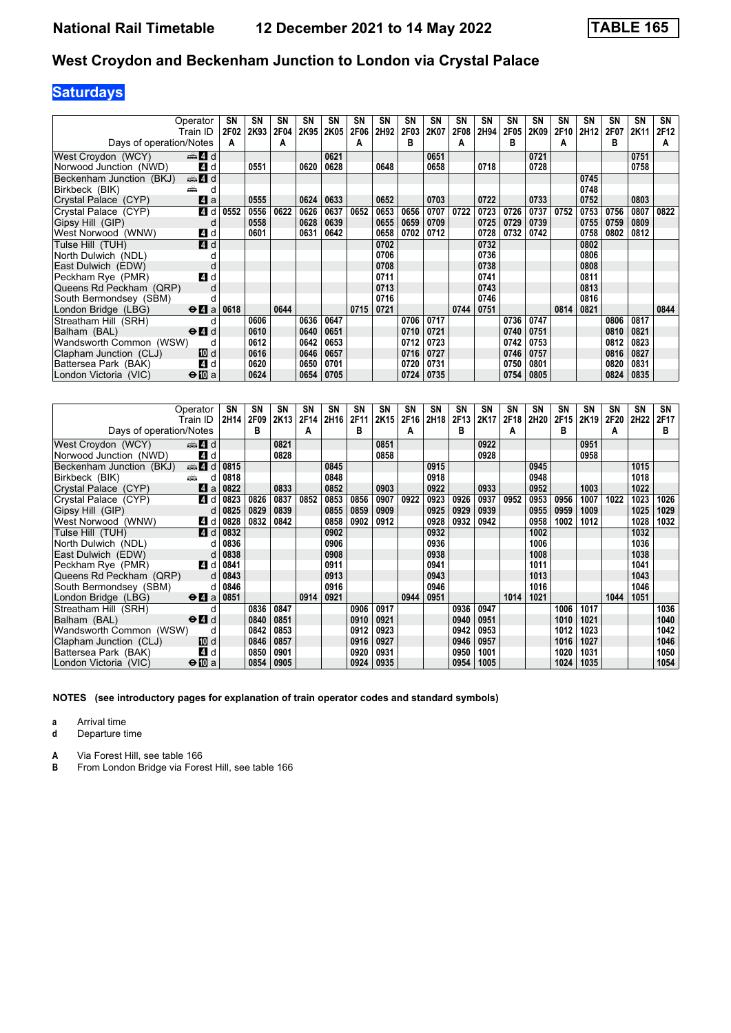# **Saturdays**

| Operator                                                           | SΝ          | SN   | <b>SN</b> | SΝ   | SN   | SN   | SN   | <b>SN</b> | <b>SN</b> | <b>SN</b> | SN   | SΝ          | <b>SN</b> | <b>SN</b> | SΝ   | SΝ   | <b>SN</b> | SN   |
|--------------------------------------------------------------------|-------------|------|-----------|------|------|------|------|-----------|-----------|-----------|------|-------------|-----------|-----------|------|------|-----------|------|
| Train ID                                                           | 2F02        | 2K93 | 2F04      | 2K95 | 2K05 | 2F06 | 2H92 | 2F03      | 2K07      | 2F08      | 2H94 | <b>2F05</b> | 2K09      | 2F10      | 2H12 | 2F07 | 2K11      | 2F12 |
| Days of operation/Notes                                            | A           |      | A         |      |      | A    |      | в         |           |           |      | в           |           | А         |      | в    |           | A    |
| $\oplus$ 4 d<br>West Croydon (WCY)                                 |             |      |           |      | 0621 |      |      |           | 0651      |           |      |             | 0721      |           |      |      | 0751      |      |
| Norwood Junction (NWD)                                             | 4 d         | 0551 |           | 0620 | 0628 |      | 0648 |           | 0658      |           | 0718 |             | 0728      |           |      |      | 0758      |      |
| den and a<br>Beckenham Junction (BKJ)                              |             |      |           |      |      |      |      |           |           |           |      |             |           |           | 0745 |      |           |      |
| Birkbeck (BIK)<br>پیش                                              | d           |      |           |      |      |      |      |           |           |           |      |             |           |           | 0748 |      |           |      |
| Crystal Palace (CYP)                                               | ZI a        | 0555 |           | 0624 | 0633 |      | 0652 |           | 0703      |           | 0722 |             | 0733      |           | 0752 |      | 0803      |      |
| Crystal Palace (CYP)                                               | 4 d<br>0552 | 0556 | 0622      | 0626 | 0637 | 0652 | 0653 | 0656      | 0707      | 0722      | 0723 | 0726        | 0737      | 0752      | 0753 | 0756 | 0807      | 0822 |
| Gipsy Hill (GIP)                                                   | d           | 0558 |           | 0628 | 0639 |      | 0655 | 0659      | 0709      |           | 0725 | 0729        | 0739      |           | 0755 | 0759 | 0809      |      |
| West Norwood (WNW)                                                 | 4 d         | 0601 |           | 0631 | 0642 |      | 0658 | 0702      | 0712      |           | 0728 | 0732        | 0742      |           | 0758 | 0802 | 0812      |      |
| Tulse Hill (TUH)                                                   | 4 d         |      |           |      |      |      | 0702 |           |           |           | 0732 |             |           |           | 0802 |      |           |      |
| North Dulwich (NDL)                                                |             |      |           |      |      |      | 0706 |           |           |           | 0736 |             |           |           | 0806 |      |           |      |
| East Dulwich (EDW)                                                 | d           |      |           |      |      |      | 0708 |           |           |           | 0738 |             |           |           | 0808 |      |           |      |
| Peckham Rye (PMR)                                                  | 4 d         |      |           |      |      |      | 0711 |           |           |           | 0741 |             |           |           | 0811 |      |           |      |
| Queens Rd Peckham (QRP)                                            |             |      |           |      |      |      | 0713 |           |           |           | 0743 |             |           |           | 0813 |      |           |      |
| South Bermondsey (SBM)                                             |             |      |           |      |      |      | 0716 |           |           |           | 0746 |             |           |           | 0816 |      |           |      |
| London Bridge (LBG)<br>$\Theta$ <b><math>\blacksquare</math></b> a | 0618        |      | 0644      |      |      | 0715 | 0721 |           |           | 0744      | 0751 |             |           | 0814      | 0821 |      |           | 0844 |
| Streatham Hill (SRH)                                               |             | 0606 |           | 0636 | 0647 |      |      | 0706      | 0717      |           |      | 0736        | 0747      |           |      | 0806 | 0817      |      |
| $\Theta$ <sup><math>\Omega</math></sup> d<br>Balham (BAL)          |             | 0610 |           | 0640 | 0651 |      |      | 0710      | 0721      |           |      | 0740        | 0751      |           |      | 0810 | 0821      |      |
| Wandsworth Common (WSW)                                            | d           | 0612 |           | 0642 | 0653 |      |      | 0712      | 0723      |           |      | 0742        | 0753      |           |      | 0812 | 0823      |      |
| Clapham Junction (CLJ)                                             | 10 d        | 0616 |           | 0646 | 0657 |      |      | 0716      | 0727      |           |      | 0746        | 0757      |           |      | 0816 | 0827      |      |
| Battersea Park (BAK)                                               | 4 d         | 0620 |           | 0650 | 0701 |      |      | 0720      | 0731      |           |      | 0750        | 0801      |           |      | 0820 | 0831      |      |
| $\bigoplus$ a<br>London Victoria (VIC)                             |             | 0624 |           | 0654 | 0705 |      |      | 0724      | 0735      |           |      | 0754        | 0805      |           |      | 0824 | 0835      |      |

|                          | Operator                                  | SN   | SΝ   | <b>SN</b> | <b>SN</b> | SN   | <b>SN</b> | <b>SN</b> | <b>SN</b> | <b>SN</b> | <b>SN</b> | <b>SN</b> | SΝ   | SN               | SΝ   | SN   | SN   | SN   | SΝ   |
|--------------------------|-------------------------------------------|------|------|-----------|-----------|------|-----------|-----------|-----------|-----------|-----------|-----------|------|------------------|------|------|------|------|------|
|                          | Train ID                                  | 2H14 | 2F09 | 2K13      | 2F14      | 2H16 | 2F11      | 2K15      | 2F16      | 2H18      | 2F13      | 2K17      | 2F18 | 2H <sub>20</sub> | 2F15 | 2K19 | 2F20 | 2H22 | 2F17 |
| Days of operation/Notes  |                                           |      | в    |           | A         |      | в         |           | А         |           | в         |           | А    |                  | в    |      | А    |      | в    |
| West Croydon (WCY)       | den 4∃ d                                  |      |      | 0821      |           |      |           | 0851      |           |           |           | 0922      |      |                  |      | 0951 |      |      |      |
| Norwood Junction (NWD)   | 4 d                                       |      |      | 0828      |           |      |           | 0858      |           |           |           | 0928      |      |                  |      | 0958 |      |      |      |
| Beckenham Junction (BKJ) | de 4 d                                    | 0815 |      |           |           | 0845 |           |           |           | 0915      |           |           |      | 0945             |      |      |      | 1015 |      |
| Birkbeck (BIK)<br>añ.    | d                                         | 0818 |      |           |           | 0848 |           |           |           | 0918      |           |           |      | 0948             |      |      |      | 1018 |      |
| Crystal Palace (CYP)     | <b>L4</b> a                               | 0822 |      | 0833      |           | 0852 |           | 0903      |           | 0922      |           | 0933      |      | 0952             |      | 1003 |      | 1022 |      |
| Crystal Palace (CYP)     | 4 d                                       | 0823 | 0826 | 0837      | 0852      | 0853 | 0856      | 0907      | 0922      | 0923      | 0926      | 0937      | 0952 | 0953             | 0956 | 1007 | 1022 | 1023 | 1026 |
| Gipsy Hill (GIP)         | d                                         | 0825 | 0829 | 0839      |           | 0855 | 0859      | 0909      |           | 0925      | 0929      | 0939      |      | 0955             | 0959 | 1009 |      | 1025 | 1029 |
| West Norwood (WNW)       | 4 d                                       | 0828 | 0832 | 0842      |           | 0858 | 0902      | 0912      |           | 0928      | 0932      | 0942      |      | 0958             | 1002 | 1012 |      | 1028 | 1032 |
| Tulse Hill (TUH)         | <b>4</b> d                                | 0832 |      |           |           | 0902 |           |           |           | 0932      |           |           |      | 1002             |      |      |      | 1032 |      |
| North Dulwich (NDL)      | d                                         | 0836 |      |           |           | 0906 |           |           |           | 0936      |           |           |      | 1006             |      |      |      | 1036 |      |
| East Dulwich (EDW)       | d                                         | 0838 |      |           |           | 0908 |           |           |           | 0938      |           |           |      | 1008             |      |      |      | 1038 |      |
| Peckham Rye (PMR)        | <b>4</b> d                                | 0841 |      |           |           | 0911 |           |           |           | 0941      |           |           |      | 1011             |      |      |      | 1041 |      |
| Queens Rd Peckham (QRP)  | d                                         | 0843 |      |           |           | 0913 |           |           |           | 0943      |           |           |      | 1013             |      |      |      | 1043 |      |
| South Bermondsey (SBM)   | d                                         | 0846 |      |           |           | 0916 |           |           |           | 0946      |           |           |      | 1016             |      |      |      | 1046 |      |
| London Bridge (LBG)      | $\Theta$ <b>A</b> a                       | 0851 |      |           | 0914      | 0921 |           |           | 0944      | 0951      |           |           | 1014 | 1021             |      |      | 1044 | 1051 |      |
| Streatham Hill (SRH)     | d                                         |      | 0836 | 0847      |           |      | 0906      | 0917      |           |           | 0936      | 0947      |      |                  | 1006 | 1017 |      |      | 1036 |
| Balham (BAL)             | $\Theta$ <sup><math>\Omega</math></sup> d |      | 0840 | 0851      |           |      | 0910      | 0921      |           |           | 0940      | 0951      |      |                  | 1010 | 1021 |      |      | 1040 |
| Wandsworth Common (WSW)  | d                                         |      | 0842 | 0853      |           |      | 0912      | 0923      |           |           | 0942      | 0953      |      |                  | 1012 | 1023 |      |      | 1042 |
| Clapham Junction (CLJ)   | <b>ID</b> d                               |      | 0846 | 0857      |           |      | 0916      | 0927      |           |           | 0946      | 0957      |      |                  | 1016 | 1027 |      |      | 1046 |
| Battersea Park (BAK)     | 4 d                                       |      | 0850 | 0901      |           |      | 0920      | 0931      |           |           | 0950      | 1001      |      |                  | 1020 | 1031 |      |      | 1050 |
| London Victoria (VIC)    | $\bigoplus$ a                             |      | 0854 | 0905      |           |      | 0924      | 0935      |           |           | 0954      | 1005      |      |                  | 1024 | 1035 |      |      | 1054 |

**NOTES (see introductory pages for explanation of train operator codes and standard symbols)**

**a** Arrival time<br>**d** Departure t

**d** Departure time

**A** Via Forest Hill, see table 166<br>**B** From London Bridge via Fore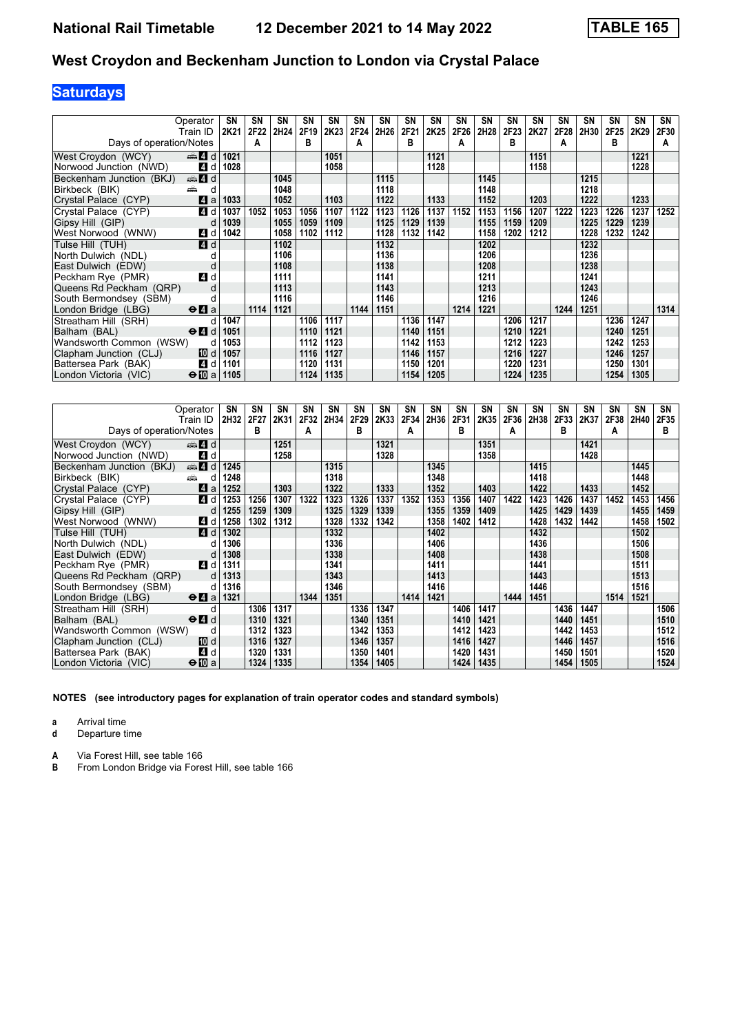# **Saturdays**

| Operator                                   |             | SN   | SΝ   | SN   | SN   | SN   | SN   | SN   | SN   | SN   | SN   | SN   | <b>SN</b> | <b>SN</b> | <b>SN</b> | SΝ   | SN   | <b>SN</b> | SN   |
|--------------------------------------------|-------------|------|------|------|------|------|------|------|------|------|------|------|-----------|-----------|-----------|------|------|-----------|------|
| Train ID                                   |             | 2K21 | 2F22 | 2H24 | 2F19 | 2K23 | 2F24 | 2H26 | 2F21 | 2K25 | 2F26 | 2H28 | 2F23      | 2K27      | 2F28      | 2H30 | 2F25 | 2K29      | 2F30 |
| Days of operation/Notes                    |             |      | А    |      | B    |      | A    |      | в    |      |      |      | в         |           | А         |      | в    |           | A    |
| $\oplus$ 4 d<br>West Croydon (WCY)         |             | 1021 |      |      |      | 1051 |      |      |      | 1121 |      |      |           | 1151      |           |      |      | 1221      |      |
| Norwood Junction (NWD)                     | 4 d         | 1028 |      |      |      | 1058 |      |      |      | 1128 |      |      |           | 1158      |           |      |      | 1228      |      |
| Beckenham Junction (BKJ)<br>de 4 d         |             |      |      | 1045 |      |      |      | 1115 |      |      |      | 1145 |           |           |           | 1215 |      |           |      |
| Birkbeck (BIK)<br>پیش                      | d           |      |      | 1048 |      |      |      | 1118 |      |      |      | 1148 |           |           |           | 1218 |      |           |      |
| Crystal Palace (CYP)                       | 41 a        | 1033 |      | 1052 |      | 1103 |      | 1122 |      | 1133 |      | 1152 |           | 1203      |           | 1222 |      | 1233      |      |
| Crystal Palace (CYP)                       | 4 d         | 1037 | 1052 | 1053 | 1056 | 1107 | 1122 | 1123 | 1126 | 1137 | 1152 | 1153 | 1156      | 1207      | 1222      | 1223 | 1226 | 1237      | 1252 |
| Gipsy Hill (GIP)                           | d           | 1039 |      | 1055 | 1059 | 1109 |      | 1125 | 1129 | 1139 |      | 1155 | 1159      | 1209      |           | 1225 | 1229 | 1239      |      |
| West Norwood (WNW)                         | 4 d         | 1042 |      | 1058 | 1102 | 1112 |      | 1128 | 1132 | 1142 |      | 1158 | 1202      | 1212      |           | 1228 | 1232 | 1242      |      |
| Tulse Hill (TUH)                           | 4 d         |      |      | 1102 |      |      |      | 1132 |      |      |      | 1202 |           |           |           | 1232 |      |           |      |
| North Dulwich (NDL)                        |             |      |      | 1106 |      |      |      | 1136 |      |      |      | 1206 |           |           |           | 1236 |      |           |      |
| East Dulwich (EDW)                         | d           |      |      | 1108 |      |      |      | 1138 |      |      |      | 1208 |           |           |           | 1238 |      |           |      |
| Peckham Rye (PMR)                          | 4 d         |      |      | 1111 |      |      |      | 1141 |      |      |      | 1211 |           |           |           | 1241 |      |           |      |
| Queens Rd Peckham (QRP)                    |             |      |      | 1113 |      |      |      | 1143 |      |      |      | 1213 |           |           |           | 1243 |      |           |      |
| South Bermondsey (SBM)                     |             |      |      | 1116 |      |      |      | 1146 |      |      |      | 1216 |           |           |           | 1246 |      |           |      |
| London Bridge (LBG)<br>$\Theta$ <b>l</b> a |             |      | 1114 | 1121 |      |      | 1144 | 1151 |      |      | 1214 | 1221 |           |           | 1244      | 1251 |      |           | 1314 |
| Streatham Hill (SRH)                       |             | 1047 |      |      | 1106 | 1117 |      |      | 1136 | 1147 |      |      | 1206      | 1217      |           |      | 1236 | 1247      |      |
| $\Theta$ $\blacksquare$ d<br>Balham (BAL)  |             | 1051 |      |      | 1110 | 1121 |      |      | 1140 | 1151 |      |      | 1210      | 1221      |           |      | 1240 | 1251      |      |
| Wandsworth Common (WSW)                    | d           | 1053 |      |      | 1112 | 1123 |      |      | 1142 | 1153 |      |      | 1212      | 1223      |           |      | 1242 | 1253      |      |
| Clapham Junction (CLJ)                     | <b>TO</b> d | 1057 |      |      | 1116 | 1127 |      |      | 1146 | 1157 |      |      | 1216      | 1227      |           |      | 1246 | 1257      |      |
| Battersea Park (BAK)                       | 4 d         | 1101 |      |      | 1120 | 1131 |      |      | 1150 | 1201 |      |      | 1220      | 1231      |           |      | 1250 | 1301      |      |
| $\Theta$ illa<br>London Victoria (VIC)     |             | 1105 |      |      | 1124 | 1135 |      |      | 1154 | 1205 |      |      | 1224      | 1235      |           |      | 1254 | 1305      |      |

|                          | Operator                              | SN   | SΝ   | SN   | SΝ   | SN   | <b>SN</b> | SN   | SΝ   | SN   | SΝ   | <b>SN</b> | <b>SN</b> | SN   | SΝ   | SN   | SΝ   | <b>SN</b> | SN   |
|--------------------------|---------------------------------------|------|------|------|------|------|-----------|------|------|------|------|-----------|-----------|------|------|------|------|-----------|------|
|                          | Train ID                              | 2H32 | 2F27 | 2K31 | 2F32 | 2H34 | 2F29      | 2K33 | 2F34 | 2H36 | 2F31 | 2K35      | 2F36      | 2H38 | 2F33 | 2K37 | 2F38 | 2H40      | 2F35 |
| Days of operation/Notes  |                                       |      | в    |      | A    |      | в         |      | A    |      | в    |           | А         |      | в    |      | A    |           | в    |
| West Croydon (WCY)       | $\oplus$ 4 d                          |      |      | 1251 |      |      |           | 1321 |      |      |      | 1351      |           |      |      | 1421 |      |           |      |
| Norwood Junction (NWD)   | 4 d                                   |      |      | 1258 |      |      |           | 1328 |      |      |      | 1358      |           |      |      | 1428 |      |           |      |
| Beckenham Junction (BKJ) | $\oplus$ 4 d                          | 1245 |      |      |      | 1315 |           |      |      | 1345 |      |           |           | 1415 |      |      |      | 1445      |      |
| Birkbeck (BIK)           | æ<br>d                                | 1248 |      |      |      | 1318 |           |      |      | 1348 |      |           |           | 1418 |      |      |      | 1448      |      |
| Crystal Palace (CYP)     | ZI a                                  | 1252 |      | 1303 |      | 1322 |           | 1333 |      | 1352 |      | 1403      |           | 1422 |      | 1433 |      | 1452      |      |
| Crystal Palace (CYP)     | 4 d                                   | 1253 | 1256 | 1307 | 1322 | 1323 | 1326      | 1337 | 1352 | 1353 | 1356 | 1407      | 1422      | 1423 | 1426 | 1437 | 1452 | 1453      | 1456 |
| Gipsy Hill (GIP)         | d                                     | 1255 | 1259 | 1309 |      | 1325 | 1329      | 1339 |      | 1355 | 1359 | 1409      |           | 1425 | 1429 | 1439 |      | 1455      | 1459 |
| West Norwood (WNW)       | 4 d                                   | 1258 | 1302 | 1312 |      | 1328 | 1332      | 1342 |      | 1358 | 1402 | 1412      |           | 1428 | 1432 | 1442 |      | 1458      | 1502 |
| Tulse Hill (TUH)         | 4d                                    | 1302 |      |      |      | 1332 |           |      |      | 1402 |      |           |           | 1432 |      |      |      | 1502      |      |
| North Dulwich (NDL)      | d                                     | 1306 |      |      |      | 1336 |           |      |      | 1406 |      |           |           | 1436 |      |      |      | 1506      |      |
| East Dulwich (EDW)       | d                                     | 1308 |      |      |      | 1338 |           |      |      | 1408 |      |           |           | 1438 |      |      |      | 1508      |      |
| Peckham Rye (PMR)        | 4 d                                   | 1311 |      |      |      | 1341 |           |      |      | 1411 |      |           |           | 1441 |      |      |      | 1511      |      |
| Queens Rd Peckham (QRP)  | d                                     | 1313 |      |      |      | 1343 |           |      |      | 1413 |      |           |           | 1443 |      |      |      | 1513      |      |
| South Bermondsey (SBM)   | d                                     | 1316 |      |      |      | 1346 |           |      |      | 1416 |      |           |           | 1446 |      |      |      | 1516      |      |
| London Bridge (LBG)      | $\Theta$ <b><math>\theta</math></b> a | 1321 |      |      | 1344 | 1351 |           |      | 1414 | 1421 |      |           | 1444      | 1451 |      |      | 1514 | 1521      |      |
| Streatham Hill (SRH)     | d                                     |      | 1306 | 1317 |      |      | 1336      | 1347 |      |      | 1406 | 1417      |           |      | 1436 | 1447 |      |           | 1506 |
| Balham (BAL)             | $\Theta$ $\blacksquare$ d             |      | 1310 | 1321 |      |      | 1340      | 1351 |      |      | 1410 | 1421      |           |      | 1440 | 1451 |      |           | 1510 |
| Wandsworth Common (WSW)  | d                                     |      | 1312 | 1323 |      |      | 1342      | 1353 |      |      | 1412 | 1423      |           |      | 1442 | 1453 |      |           | 1512 |
| Clapham Junction (CLJ)   | TO d                                  |      | 1316 | 1327 |      |      | 1346      | 1357 |      |      | 1416 | 1427      |           |      | 1446 | 1457 |      |           | 1516 |
| Battersea Park (BAK)     | 4 d                                   |      | 1320 | 1331 |      |      | 1350      | 1401 |      |      | 1420 | 1431      |           |      | 1450 | 1501 |      |           | 1520 |
| London Victoria (VIC)    | $\bigoplus$ $\mathbb{R}$ a            |      | 1324 | 1335 |      |      | 1354      | 1405 |      |      | 1424 | 1435      |           |      | 1454 | 1505 |      |           | 1524 |

**NOTES (see introductory pages for explanation of train operator codes and standard symbols)**

**a** Arrival time<br>**d** Departure t

**d** Departure time

**A** Via Forest Hill, see table 166<br>**B** From London Bridge via Fore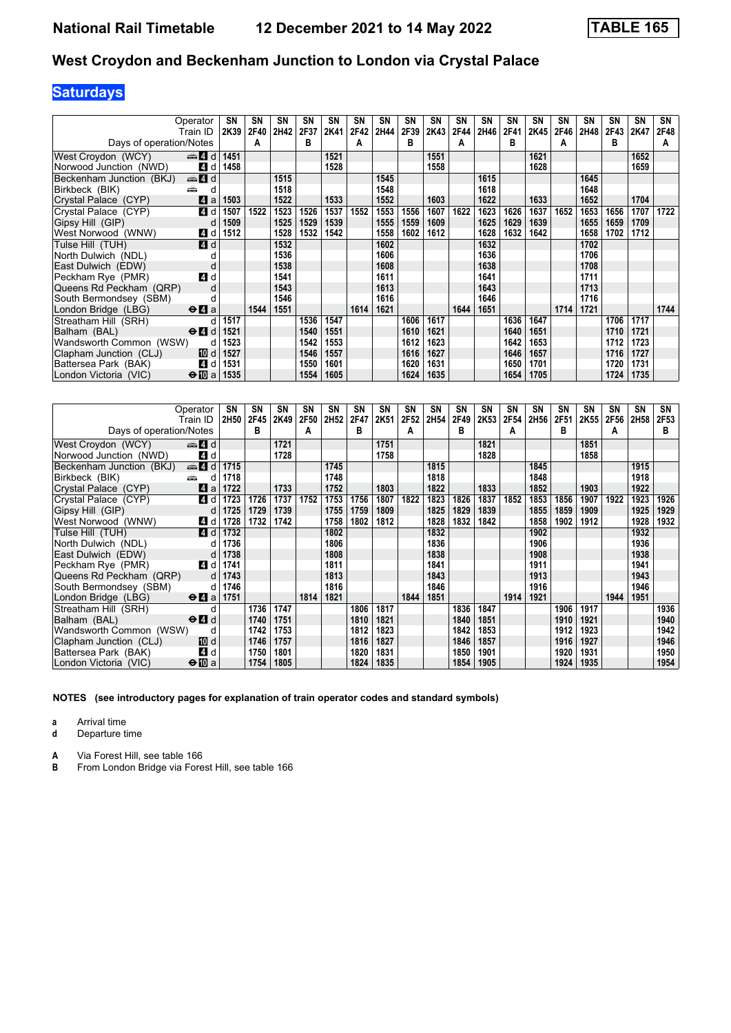# **Saturdays**

| Operator<br>Train ID                       |      | SΝ<br>2K39 | SΝ<br>2F40 | SN<br>2H42 | SN<br>2F37 | SN<br>2K41 | SN<br>2F42 | SN<br>2H44 | SN<br>2F39 | SN<br>2K43 | <b>SN</b><br>2F44 | SN<br>2H46 | SΝ<br>2F41 | <b>SN</b><br>2K45 | SΝ<br>2F46 | SΝ<br>2H48 | SN<br>2F43 | <b>SN</b><br>2K47 | SN<br>2F48 |
|--------------------------------------------|------|------------|------------|------------|------------|------------|------------|------------|------------|------------|-------------------|------------|------------|-------------------|------------|------------|------------|-------------------|------------|
| Days of operation/Notes                    |      |            | А          |            | B          |            | A          |            | в          |            |                   |            | в          |                   | A          |            | в          |                   | A          |
| den and and<br>West Croydon (WCY)          |      | 1451       |            |            |            | 1521       |            |            |            | 1551       |                   |            |            | 1621              |            |            |            | 1652              |            |
| Norwood Junction (NWD)                     | 4 d  | 1458       |            |            |            | 1528       |            |            |            | 1558       |                   |            |            | 1628              |            |            |            | 1659              |            |
| Beckenham Junction (BKJ)<br>de 4 d         |      |            |            | 1515       |            |            |            | 1545       |            |            |                   | 1615       |            |                   |            | 1645       |            |                   |            |
| Birkbeck (BIK)<br>پیش                      | d    |            |            | 1518       |            |            |            | 1548       |            |            |                   | 1618       |            |                   |            | 1648       |            |                   |            |
| Crystal Palace (CYP)                       | ZI a | 1503       |            | 1522       |            | 1533       |            | 1552       |            | 1603       |                   | 1622       |            | 1633              |            | 1652       |            | 1704              |            |
| Crystal Palace (CYP)                       | 4 d  | 1507       | 1522       | 1523       | 1526       | 1537       | 1552       | 1553       | 1556       | 1607       | 1622              | 1623       | 1626       | 1637              | 1652       | 1653       | 1656       | 1707              | 1722       |
| Gipsy Hill (GIP)                           | d    | 1509       |            | 1525       | 1529       | 1539       |            | 1555       | 1559       | 1609       |                   | 1625       | 1629       | 1639              |            | 1655       | 1659       | 1709              |            |
| West Norwood (WNW)                         | 4 d  | 1512       |            | 1528       | 1532       | 1542       |            | 1558       | 1602       | 1612       |                   | 1628       | 1632       | 1642              |            | 1658       | 1702       | 1712              |            |
| Tulse Hill (TUH)                           | 4 d  |            |            | 1532       |            |            |            | 1602       |            |            |                   | 1632       |            |                   |            | 1702       |            |                   |            |
| North Dulwich (NDL)                        |      |            |            | 1536       |            |            |            | 1606       |            |            |                   | 1636       |            |                   |            | 1706       |            |                   |            |
| East Dulwich (EDW)                         | d    |            |            | 1538       |            |            |            | 1608       |            |            |                   | 1638       |            |                   |            | 1708       |            |                   |            |
| Peckham Rye (PMR)                          | 4d   |            |            | 1541       |            |            |            | 1611       |            |            |                   | 1641       |            |                   |            | 1711       |            |                   |            |
| Queens Rd Peckham (QRP)                    |      |            |            | 1543       |            |            |            | 1613       |            |            |                   | 1643       |            |                   |            | 1713       |            |                   |            |
| South Bermondsey (SBM)                     |      |            |            | 1546       |            |            |            | 1616       |            |            |                   | 1646       |            |                   |            | 1716       |            |                   |            |
| London Bridge (LBG)<br>$\Theta$ <b>l</b> a |      |            | 1544       | 1551       |            |            | 1614       | 1621       |            |            | 1644              | 1651       |            |                   | 1714       | 1721       |            |                   | 1744       |
| Streatham Hill (SRH)                       |      | 1517       |            |            | 1536       | 1547       |            |            | 1606       | 1617       |                   |            | 1636       | 1647              |            |            | 1706       | 1717              |            |
| $\Theta$ $\blacksquare$ d<br>Balham (BAL)  |      | 1521       |            |            | 1540       | 1551       |            |            | 1610       | 1621       |                   |            | 1640       | 1651              |            |            | 1710       | 1721              |            |
| Wandsworth Common (WSW)                    | d    | 1523       |            |            | 1542       | 1553       |            |            | 1612       | 1623       |                   |            | 1642       | 1653              |            |            | 1712       | 1723              |            |
| Clapham Junction (CLJ)                     | 10 d | 1527       |            |            | 1546       | 1557       |            |            | 1616       | 1627       |                   |            | 1646       | 1657              |            |            | 1716       | 1727              |            |
| Battersea Park (BAK)                       | 4 d  | 1531       |            |            | 1550       | 1601       |            |            | 1620       | 1631       |                   |            | 1650       | 1701              |            |            | 1720       | 1731              |            |
| $\Theta$ Ma<br>London Victoria (VIC)       |      | 1535       |            |            | 1554       | 1605       |            |            | 1624       | 1635       |                   |            | 1654       | 1705              |            |            | 1724       | 1735              |            |

|                          | Operator                                    | SN   | SΝ   | SN   | SN   | SN               | SΝ   | SN   | <b>SN</b> | SN   | SΝ   | SN   | <b>SN</b> | SN   | <b>SN</b> | SN   | SΝ   | <b>SN</b> | SN   |
|--------------------------|---------------------------------------------|------|------|------|------|------------------|------|------|-----------|------|------|------|-----------|------|-----------|------|------|-----------|------|
|                          | Train ID                                    | 2H50 | 2F45 | 2K49 | 2F50 | 2H <sub>52</sub> | 2F47 | 2K51 | 2F52      | 2H54 | 2F49 | 2K53 | 2F54      | 2H56 | 2F51      | 2K55 | 2F56 | 2H58      | 2F53 |
| Days of operation/Notes  |                                             |      | B    |      | A    |                  | в    |      | A         |      | в    |      | А         |      | в         |      | А    |           | в    |
| West Croydon (WCY)       | den <b>4</b> d                              |      |      | 1721 |      |                  |      | 1751 |           |      |      | 1821 |           |      |           | 1851 |      |           |      |
| Norwood Junction (NWD)   | 4 d                                         |      |      | 1728 |      |                  |      | 1758 |           |      |      | 1828 |           |      |           | 1858 |      |           |      |
| Beckenham Junction (BKJ) | $\oplus$ 4 d                                | 1715 |      |      |      | 1745             |      |      |           | 1815 |      |      |           | 1845 |           |      |      | 1915      |      |
| Birkbeck (BIK)           | din 1<br>d                                  | 1718 |      |      |      | 1748             |      |      |           | 1818 |      |      |           | 1848 |           |      |      | 1918      |      |
| Crystal Palace (CYP)     | ZI a                                        | 1722 |      | 1733 |      | 1752             |      | 1803 |           | 1822 |      | 1833 |           | 1852 |           | 1903 |      | 1922      |      |
| Crystal Palace (CYP)     | 4 d                                         | 1723 | 1726 | 1737 | 1752 | 1753             | 1756 | 1807 | 1822      | 1823 | 1826 | 1837 | 1852      | 1853 | 1856      | 1907 | 1922 | 1923      | 1926 |
| Gipsy Hill (GIP)         | d                                           | 1725 | 1729 | 1739 |      | 1755             | 1759 | 1809 |           | 1825 | 1829 | 1839 |           | 1855 | 1859      | 1909 |      | 1925      | 1929 |
| West Norwood (WNW)       | 4 d                                         | 1728 | 1732 | 1742 |      | 1758             | 1802 | 1812 |           | 1828 | 1832 | 1842 |           | 1858 | 1902      | 1912 |      | 1928      | 1932 |
| Tulse Hill (TUH)         | <b>4</b> d                                  | 1732 |      |      |      | 1802             |      |      |           | 1832 |      |      |           | 1902 |           |      |      | 1932      |      |
| North Dulwich (NDL)      | d                                           | 1736 |      |      |      | 1806             |      |      |           | 1836 |      |      |           | 1906 |           |      |      | 1936      |      |
| East Dulwich (EDW)       | d                                           | 1738 |      |      |      | 1808             |      |      |           | 1838 |      |      |           | 1908 |           |      |      | 1938      |      |
| Peckham Rye (PMR)        | 4 d                                         | 1741 |      |      |      | 1811             |      |      |           | 1841 |      |      |           | 1911 |           |      |      | 1941      |      |
| Queens Rd Peckham (QRP)  | d                                           | 1743 |      |      |      | 1813             |      |      |           | 1843 |      |      |           | 1913 |           |      |      | 1943      |      |
| South Bermondsey (SBM)   | d                                           | 1746 |      |      |      | 1816             |      |      |           | 1846 |      |      |           | 1916 |           |      |      | 1946      |      |
| London Bridge (LBG)      | $\Theta$ <b><math>\blacksquare</math></b> a | 1751 |      |      | 1814 | 1821             |      |      | 1844      | 1851 |      |      | 1914      | 1921 |           |      | 1944 | 1951      |      |
| Streatham Hill (SRH)     | d                                           |      | 1736 | 1747 |      |                  | 1806 | 1817 |           |      | 1836 | 1847 |           |      | 1906      | 1917 |      |           | 1936 |
| Balham (BAL)             | $\Theta$ <sup><math>\Omega</math></sup> d   |      | 1740 | 1751 |      |                  | 1810 | 1821 |           |      | 1840 | 1851 |           |      | 1910      | 1921 |      |           | 1940 |
| Wandsworth Common (WSW)  | d                                           |      | 1742 | 1753 |      |                  | 1812 | 1823 |           |      | 1842 | 1853 |           |      | 1912      | 1923 |      |           | 1942 |
| Clapham Junction (CLJ)   | III d                                       |      | 1746 | 1757 |      |                  | 1816 | 1827 |           |      | 1846 | 1857 |           |      | 1916      | 1927 |      |           | 1946 |
| Battersea Park (BAK)     | 4 d                                         |      | 1750 | 1801 |      |                  | 1820 | 1831 |           |      | 1850 | 1901 |           |      | 1920      | 1931 |      |           | 1950 |
| London Victoria (VIC)    | $\bigoplus$ a                               |      | 1754 | 1805 |      |                  | 1824 | 1835 |           |      | 1854 | 1905 |           |      | 1924      | 1935 |      |           | 1954 |

**NOTES (see introductory pages for explanation of train operator codes and standard symbols)**

**a** Arrival time<br>**d** Departure t

**d** Departure time

**A** Via Forest Hill, see table 166<br>**B** From London Bridge via Fore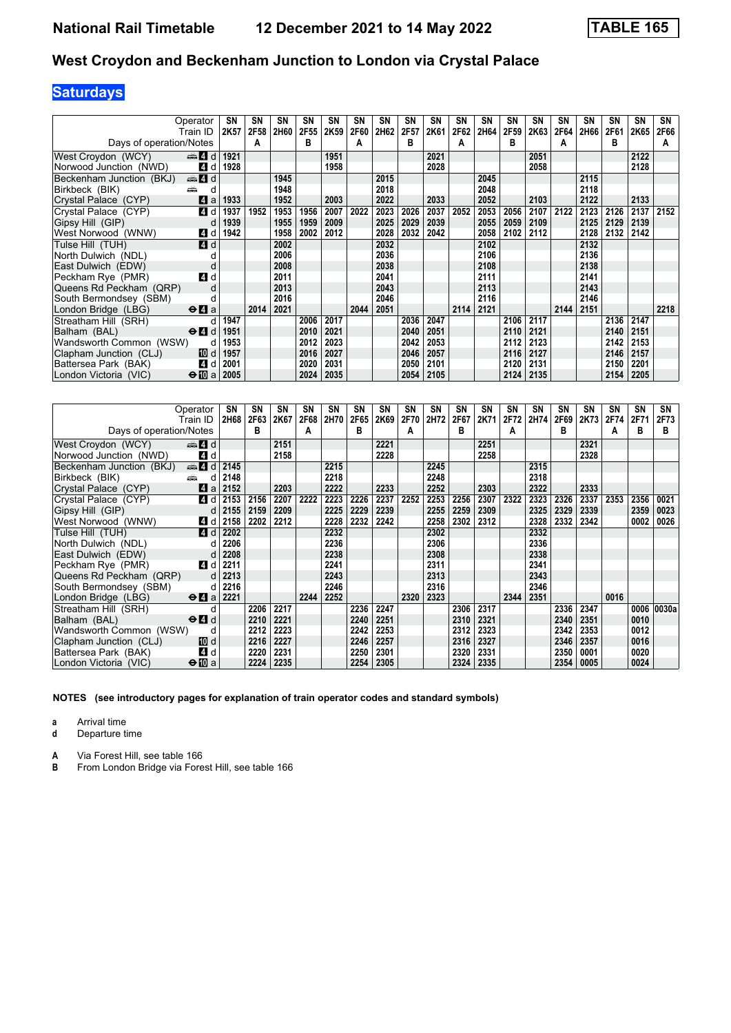# **Saturdays**

| Operator                                                     | SΝ        | SΝ   | <b>SN</b> | SΝ   | SN   | <b>SN</b> | SN   | <b>SN</b> | <b>SN</b> | <b>SN</b> | SN   | SΝ   | SN   | <b>SN</b> | SΝ   | SΝ   | <b>SN</b> | SN   |
|--------------------------------------------------------------|-----------|------|-----------|------|------|-----------|------|-----------|-----------|-----------|------|------|------|-----------|------|------|-----------|------|
| Train ID                                                     | 2K57      | 2F58 | 2H60      | 2F55 | 2K59 | 2F60      | 2H62 | 2F57      | 2K61      | 2F62      | 2H64 | 2F59 | 2K63 | 2F64      | 2H66 | 2F61 | 2K65      | 2F66 |
| Days of operation/Notes                                      |           | А    |           | B    |      | A         |      | в         |           |           |      | в    |      | А         |      | в    |           | A    |
| $\oplus$ 4 d<br>West Croydon (WCY)                           | 1921      |      |           |      | 1951 |           |      |           | 2021      |           |      |      | 2051 |           |      |      | 2122      |      |
| Norwood Junction (NWD)<br>4 d                                | 1928      |      |           |      | 1958 |           |      |           | 2028      |           |      |      | 2058 |           |      |      | 2128      |      |
| Beckenham Junction (BKJ)<br>d d                              |           |      | 1945      |      |      |           | 2015 |           |           |           | 2045 |      |      |           | 2115 |      |           |      |
| Birkbeck (BIK)<br>پیش                                        | d         |      | 1948      |      |      |           | 2018 |           |           |           | 2048 |      |      |           | 2118 |      |           |      |
| Crystal Palace (CYP)<br>ZI a                                 | 1933      |      | 1952      |      | 2003 |           | 2022 |           | 2033      |           | 2052 |      | 2103 |           | 2122 |      | 2133      |      |
| 4 d<br>Crystal Palace (CYP)                                  | 1937      | 1952 | 1953      | 1956 | 2007 | 2022      | 2023 | 2026      | 2037      | 2052      | 2053 | 2056 | 2107 | 2122      | 2123 | 2126 | 2137      | 2152 |
| Gipsy Hill (GIP)                                             | 1939<br>d |      | 1955      | 1959 | 2009 |           | 2025 | 2029      | 2039      |           | 2055 | 2059 | 2109 |           | 2125 | 2129 | 2139      |      |
| 4 d<br>West Norwood (WNW)                                    | 1942      |      | 1958      | 2002 | 2012 |           | 2028 | 2032      | 2042      |           | 2058 | 2102 | 2112 |           | 2128 | 2132 | 2142      |      |
| 4 d<br>Tulse Hill (TUH)                                      |           |      | 2002      |      |      |           | 2032 |           |           |           | 2102 |      |      |           | 2132 |      |           |      |
| North Dulwich (NDL)                                          |           |      | 2006      |      |      |           | 2036 |           |           |           | 2106 |      |      |           | 2136 |      |           |      |
| East Dulwich (EDW)                                           | d         |      | 2008      |      |      |           | 2038 |           |           |           | 2108 |      |      |           | 2138 |      |           |      |
| Peckham Rye (PMR)<br>4 d                                     |           |      | 2011      |      |      |           | 2041 |           |           |           | 2111 |      |      |           | 2141 |      |           |      |
| Queens Rd Peckham (QRP)                                      | d         |      | 2013      |      |      |           | 2043 |           |           |           | 2113 |      |      |           | 2143 |      |           |      |
| South Bermondsey (SBM)                                       |           |      | 2016      |      |      |           | 2046 |           |           |           | 2116 |      |      |           | 2146 |      |           |      |
| London Bridge (LBG)<br>$\Theta$ <b><math>\Omega</math></b> a |           | 2014 | 2021      |      |      | 2044      | 2051 |           |           | 2114      | 2121 |      |      | 2144      | 2151 |      |           | 2218 |
| Streatham Hill (SRH)                                         | 1947<br>d |      |           | 2006 | 2017 |           |      | 2036      | 2047      |           |      | 2106 | 2117 |           |      | 2136 | 2147      |      |
| Balham (BAL)<br>$\Theta$ <sup><math>\Omega</math></sup> d    | 1951      |      |           | 2010 | 2021 |           |      | 2040      | 2051      |           |      | 2110 | 2121 |           |      | 2140 | 2151      |      |
| Wandsworth Common (WSW)                                      | 1953<br>d |      |           | 2012 | 2023 |           |      | 2042      | 2053      |           |      | 2112 | 2123 |           |      | 2142 | 2153      |      |
| 100 d<br>Clapham Junction (CLJ)                              | 1957      |      |           | 2016 | 2027 |           |      | 2046      | 2057      |           |      | 2116 | 2127 |           |      | 2146 | 2157      |      |
| Battersea Park (BAK)<br>4 d                                  | 2001      |      |           | 2020 | 2031 |           |      | 2050      | 2101      |           |      | 2120 | 2131 |           |      | 2150 | 2201      |      |
| $\Theta$ [[] a<br>London Victoria (VIC)                      | 2005      |      |           | 2024 | 2035 |           |      | 2054      | 2105      |           |      | 2124 | 2135 |           |      | 2154 | 2205      |      |

|                          | Operator                                        | SN   | SΝ   | SN   | SΝ   | SN   | SN   | SN   | <b>SN</b> | <b>SN</b> | <b>SN</b> | SN   | <b>SN</b> | <b>SN</b> | <b>SN</b> | <b>SN</b> | <b>SN</b> | SN   | SN    |
|--------------------------|-------------------------------------------------|------|------|------|------|------|------|------|-----------|-----------|-----------|------|-----------|-----------|-----------|-----------|-----------|------|-------|
|                          | Train ID                                        | 2H68 | 2F63 | 2K67 | 2F68 | 2H70 | 2F65 | 2K69 | 2F70      | 2H72      | 2F67      | 2K71 | 2F72      | 2H74      | 2F69      | 2K73      | 2F74      | 2F71 | 2F73  |
| Days of operation/Notes  |                                                 |      | в    |      | A    |      | в    |      | A         |           | в         |      | A         |           | в         |           | A         | в    | в     |
| West Croydon (WCY)       | den and a                                       |      |      | 2151 |      |      |      | 2221 |           |           |           | 2251 |           |           |           | 2321      |           |      |       |
| Norwood Junction (NWD)   | 4 d                                             |      |      | 2158 |      |      |      | 2228 |           |           |           | 2258 |           |           |           | 2328      |           |      |       |
| Beckenham Junction (BKJ) | $\oplus$ 4 d                                    | 2145 |      |      |      | 2215 |      |      |           | 2245      |           |      |           | 2315      |           |           |           |      |       |
| Birkbeck (BIK)           | añ,<br>d                                        | 2148 |      |      |      | 2218 |      |      |           | 2248      |           |      |           | 2318      |           |           |           |      |       |
| Crystal Palace (CYP)     | <b>14</b><br>a                                  | 2152 |      | 2203 |      | 2222 |      | 2233 |           | 2252      |           | 2303 |           | 2322      |           | 2333      |           |      |       |
| Crystal Palace (CYP)     | 4 d                                             | 2153 | 2156 | 2207 | 2222 | 2223 | 2226 | 2237 | 2252      | 2253      | 2256      | 2307 | 2322      | 2323      | 2326      | 2337      | 2353      | 2356 | 0021  |
| Gipsy Hill (GIP)         | d                                               | 2155 | 2159 | 2209 |      | 2225 | 2229 | 2239 |           | 2255      | 2259      | 2309 |           | 2325      | 2329      | 2339      |           | 2359 | 0023  |
| West Norwood (WNW)       | 4 d                                             | 2158 | 2202 | 2212 |      | 2228 | 2232 | 2242 |           | 2258      | 2302      | 2312 |           | 2328      | 2332      | 2342      |           | 0002 | 0026  |
| Tulse Hill (TUH)         | 4 d                                             | 2202 |      |      |      | 2232 |      |      |           | 2302      |           |      |           | 2332      |           |           |           |      |       |
| North Dulwich (NDL)      | d                                               | 2206 |      |      |      | 2236 |      |      |           | 2306      |           |      |           | 2336      |           |           |           |      |       |
| East Dulwich (EDW)       | d                                               | 2208 |      |      |      | 2238 |      |      |           | 2308      |           |      |           | 2338      |           |           |           |      |       |
| Peckham Rye (PMR)        | 4 d                                             | 2211 |      |      |      | 2241 |      |      |           | 2311      |           |      |           | 2341      |           |           |           |      |       |
| Queens Rd Peckham (QRP)  | d                                               | 2213 |      |      |      | 2243 |      |      |           | 2313      |           |      |           | 2343      |           |           |           |      |       |
| South Bermondsey (SBM)   | d                                               | 2216 |      |      |      | 2246 |      |      |           | 2316      |           |      |           | 2346      |           |           |           |      |       |
| London Bridge (LBG)      | $\Theta$ <b>d</b> a                             | 2221 |      |      | 2244 | 2252 |      |      | 2320      | 2323      |           |      | 2344      | 2351      |           |           | 0016      |      |       |
| Streatham Hill (SRH)     | d                                               |      | 2206 | 2217 |      |      | 2236 | 2247 |           |           | 2306      | 2317 |           |           | 2336      | 2347      |           | 0006 | 0030a |
| Balham (BAL)             | $\Theta$ <sup><math>\blacksquare</math> d</sup> |      | 2210 | 2221 |      |      | 2240 | 2251 |           |           | 2310      | 2321 |           |           | 2340      | 2351      |           | 0010 |       |
| Wandsworth Common (WSW)  | d                                               |      | 2212 | 2223 |      |      | 2242 | 2253 |           |           | 2312      | 2323 |           |           | 2342      | 2353      |           | 0012 |       |
| Clapham Junction (CLJ)   | 10 d                                            |      | 2216 | 2227 |      |      | 2246 | 2257 |           |           | 2316      | 2327 |           |           | 2346      | 2357      |           | 0016 |       |
| Battersea Park (BAK)     | 4 d                                             |      | 2220 | 2231 |      |      | 2250 | 2301 |           |           | 2320      | 2331 |           |           | 2350      | 0001      |           | 0020 |       |
| London Victoria (VIC)    | $\bigoplus$ a                                   |      | 2224 | 2235 |      |      | 2254 | 2305 |           |           | 2324      | 2335 |           |           | 2354      | 0005      |           | 0024 |       |

**NOTES (see introductory pages for explanation of train operator codes and standard symbols)**

**a** Arrival time<br>**d** Departure t

**d** Departure time

**A** Via Forest Hill, see table 166<br>**B** From London Bridge via Fore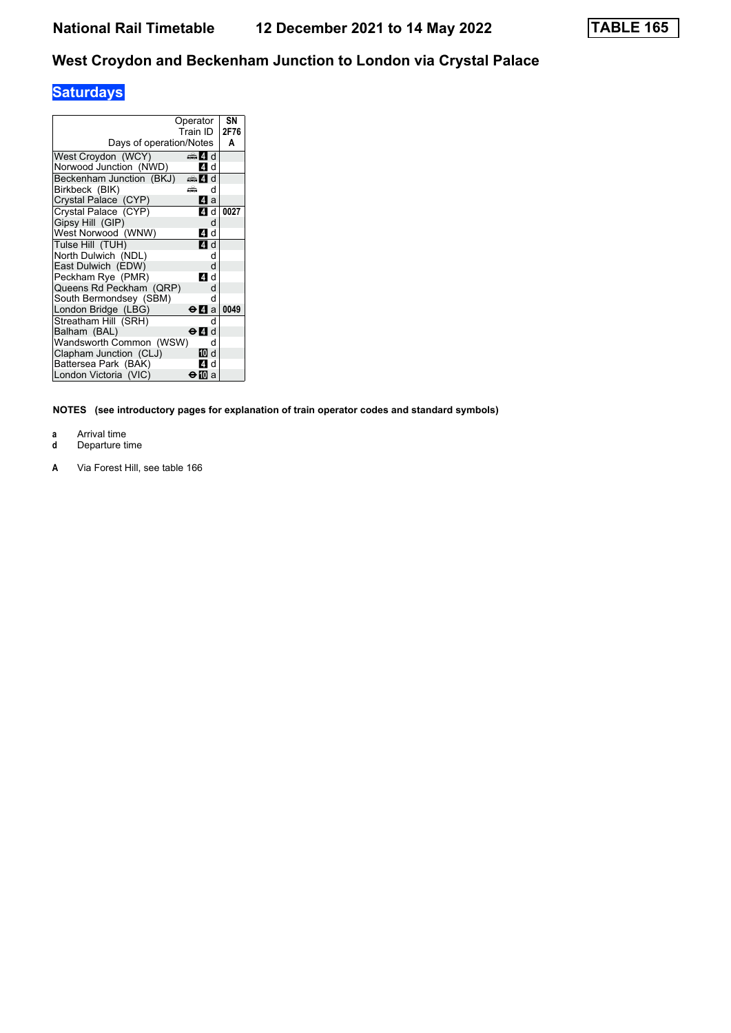# **Saturdays**

|                          | Operator<br>Train ID | SΝ<br>2F76 |
|--------------------------|----------------------|------------|
| Days of operation/Notes  |                      | A          |
| West Croydon (WCY)       | dan 4. d             |            |
| Norwood Junction (NWD)   | ZI d                 |            |
| Beckenham Junction (BKJ) | dan Zid              |            |
| Birkbeck (BIK)           | æ<br>d               |            |
| Crystal Palace (CYP)     | 41 a                 |            |
| Crystal Palace (CYP)     | 41 d                 | 0027       |
| Gipsy Hill (GIP)         | d                    |            |
| West Norwood (WNW)       | 41 d                 |            |
| Tulse Hill (TUH)         | 4 d                  |            |
| North Dulwich (NDL)      | d                    |            |
| East Dulwich (EDW)       | d                    |            |
| Peckham Rye (PMR)        | ZI d                 |            |
| Queens Rd Peckham (QRP)  | d                    |            |
| South Bermondsey (SBM)   | d                    |            |
| London Bridge (LBG)      | ⊖Иа                  | 0049       |
| Streatham Hill (SRH)     | d                    |            |
| Balham (BAL)             | ⊖ Ø d                |            |
| Wandsworth Common (WSW)  | d                    |            |
| Clapham Junction (CLJ)   | 10 d                 |            |
| Battersea Park (BAK)     | 4 d                  |            |
| London Victoria (VIC)    | ⊖l ⊠a                |            |

**NOTES (see introductory pages for explanation of train operator codes and standard symbols)**

- **a** Arrival time<br>**d** Departure t
- **d** Departure time
- **A** Via Forest Hill, see table 166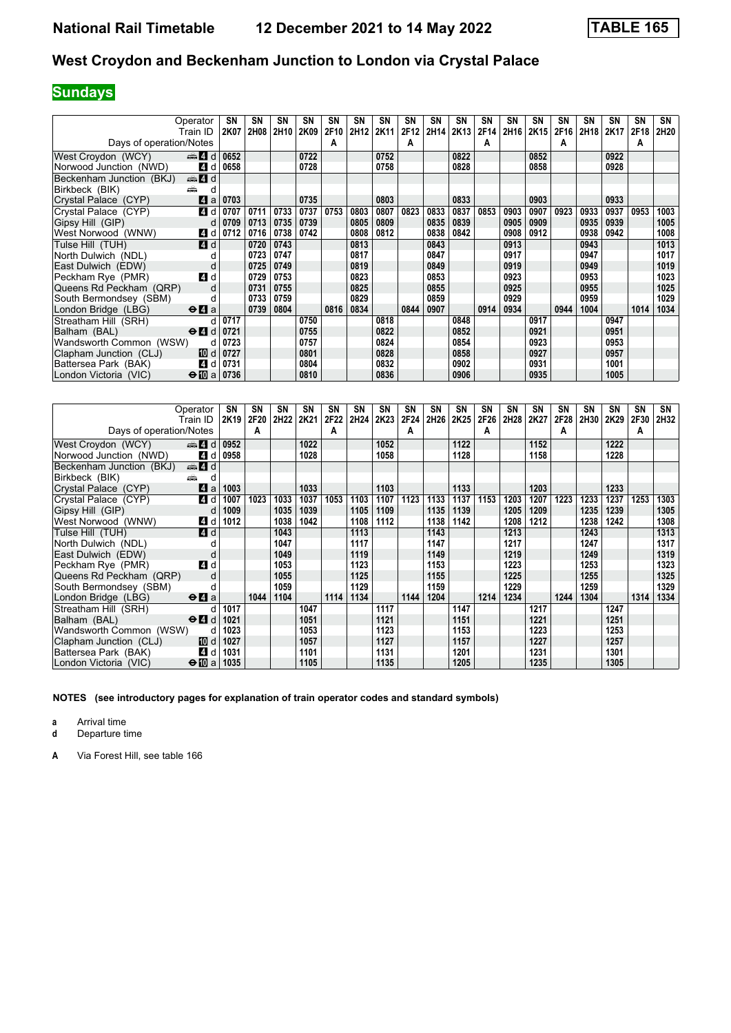# **Sundays**

|                          | Operator                                        | SN   | SN   | SN   | SΝ   | SN   | SN               | SN   | <b>SN</b> | <b>SN</b> | <b>SN</b> | SN   | <b>SN</b> | <b>SN</b> | <b>SN</b> | <b>SN</b> | <b>SN</b> | SN   | SN   |
|--------------------------|-------------------------------------------------|------|------|------|------|------|------------------|------|-----------|-----------|-----------|------|-----------|-----------|-----------|-----------|-----------|------|------|
|                          | Train ID                                        | 2K07 | 2H08 | 2H10 | 2K09 | 2F10 | 2H <sub>12</sub> | 2K11 | 2F12      | 2H14      | 2K13      | 2F14 | 2H16      | 2K15      | 2F16      | 2H18      | 2K17      | 2F18 | 2H20 |
| Days of operation/Notes  |                                                 |      |      |      |      | A    |                  |      | A         |           |           | А    |           |           | А         |           |           | A    |      |
| West Croydon (WCY)       | $\Rightarrow$ 4 d                               | 0652 |      |      | 0722 |      |                  | 0752 |           |           | 0822      |      |           | 0852      |           |           | 0922      |      |      |
| Norwood Junction (NWD)   | 4 d                                             | 0658 |      |      | 0728 |      |                  | 0758 |           |           | 0828      |      |           | 0858      |           |           | 0928      |      |      |
| Beckenham Junction (BKJ) | $\oplus$ 4 d                                    |      |      |      |      |      |                  |      |           |           |           |      |           |           |           |           |           |      |      |
| Birkbeck (BIK)<br>æ      | d                                               |      |      |      |      |      |                  |      |           |           |           |      |           |           |           |           |           |      |      |
| Crystal Palace (CYP)     | 4 a                                             | 0703 |      |      | 0735 |      |                  | 0803 |           |           | 0833      |      |           | 0903      |           |           | 0933      |      |      |
| Crystal Palace (CYP)     | 4 d                                             | 0707 | 0711 | 0733 | 0737 | 0753 | 0803             | 0807 | 0823      | 0833      | 0837      | 0853 | 0903      | 0907      | 0923      | 0933      | 0937      | 0953 | 1003 |
| Gipsy Hill (GIP)         | d                                               | 0709 | 0713 | 0735 | 0739 |      | 0805             | 0809 |           | 0835      | 0839      |      | 0905      | 0909      |           | 0935      | 0939      |      | 1005 |
| West Norwood (WNW)       | 4 d                                             | 0712 | 0716 | 0738 | 0742 |      | 0808             | 0812 |           | 0838      | 0842      |      | 0908      | 0912      |           | 0938      | 0942      |      | 1008 |
| Tulse Hill (TUH)         | 4 d                                             |      | 0720 | 0743 |      |      | 0813             |      |           | 0843      |           |      | 0913      |           |           | 0943      |           |      | 1013 |
| North Dulwich (NDL)      | d                                               |      | 0723 | 0747 |      |      | 0817             |      |           | 0847      |           |      | 0917      |           |           | 0947      |           |      | 1017 |
| East Dulwich (EDW)       | d                                               |      | 0725 | 0749 |      |      | 0819             |      |           | 0849      |           |      | 0919      |           |           | 0949      |           |      | 1019 |
| Peckham Rye (PMR)        | 4 d                                             |      | 0729 | 0753 |      |      | 0823             |      |           | 0853      |           |      | 0923      |           |           | 0953      |           |      | 1023 |
| Queens Rd Peckham (QRP)  | d                                               |      | 0731 | 0755 |      |      | 0825             |      |           | 0855      |           |      | 0925      |           |           | 0955      |           |      | 1025 |
| South Bermondsey (SBM)   |                                                 |      | 0733 | 0759 |      |      | 0829             |      |           | 0859      |           |      | 0929      |           |           | 0959      |           |      | 1029 |
| London Bridge (LBG)      | $\Theta$ <b><math>\blacksquare</math></b> a     |      | 0739 | 0804 |      | 0816 | 0834             |      | 0844      | 0907      |           | 0914 | 0934      |           | 0944      | 1004      |           | 1014 | 1034 |
| Streatham Hill (SRH)     | d                                               | 0717 |      |      | 0750 |      |                  | 0818 |           |           | 0848      |      |           | 0917      |           |           | 0947      |      |      |
| Balham (BAL)             | $\Theta$ <sup><math>\blacksquare</math> d</sup> | 0721 |      |      | 0755 |      |                  | 0822 |           |           | 0852      |      |           | 0921      |           |           | 0951      |      |      |
| Wandsworth Common (WSW)  | d                                               | 0723 |      |      | 0757 |      |                  | 0824 |           |           | 0854      |      |           | 0923      |           |           | 0953      |      |      |
| Clapham Junction (CLJ)   | 10 d                                            | 0727 |      |      | 0801 |      |                  | 0828 |           |           | 0858      |      |           | 0927      |           |           | 0957      |      |      |
| Battersea Park (BAK)     | 4 d                                             | 0731 |      |      | 0804 |      |                  | 0832 |           |           | 0902      |      |           | 0931      |           |           | 1001      |      |      |
| London Victoria (VIC)    | $\Theta$ III a                                  | 0736 |      |      | 0810 |      |                  | 0836 |           |           | 0906      |      |           | 0935      |           |           | 1005      |      |      |

| Operator                                                  |        | SN   | SΝ   | SN   | SΝ   | SN   | <b>SN</b> | SN   | SΝ   | <b>SN</b> | SΝ   | <b>SN</b> | <b>SN</b> | SN   | SN   | SΝ   | SΝ   | <b>SN</b> | SN   |
|-----------------------------------------------------------|--------|------|------|------|------|------|-----------|------|------|-----------|------|-----------|-----------|------|------|------|------|-----------|------|
| Train ID                                                  |        | 2K19 | 2F20 | 2H22 | 2K21 | 2F22 | 2H24      | 2K23 | 2F24 | 2H26      | 2K25 | 2F26      | 2H28      | 2K27 | 2F28 | 2H30 | 2K29 | 2F30      | 2H32 |
| Days of operation/Notes                                   |        |      | A    |      |      | А    |           |      | A    |           |      | А         |           |      | А    |      |      | A         |      |
| West Croydon (WCY)<br>$\oplus$ 4 d                        |        | 0952 |      |      | 1022 |      |           | 1052 |      |           | 1122 |           |           | 1152 |      |      | 1222 |           |      |
| Norwood Junction (NWD)                                    | 4 d    | 0958 |      |      | 1028 |      |           | 1058 |      |           | 1128 |           |           | 1158 |      |      | 1228 |           |      |
| Beckenham Junction (BKJ)<br>$\oplus$ 4 d                  |        |      |      |      |      |      |           |      |      |           |      |           |           |      |      |      |      |           |      |
| Birkbeck (BIK)<br>æ                                       | d      |      |      |      |      |      |           |      |      |           |      |           |           |      |      |      |      |           |      |
| Crystal Palace (CYP)                                      | ZI a   | 1003 |      |      | 1033 |      |           | 1103 |      |           | 1133 |           |           | 1203 |      |      | 1233 |           |      |
| Crystal Palace (CYP)                                      | 4 d    | 1007 | 1023 | 1033 | 1037 | 1053 | 1103      | 1107 | 1123 | 1133      | 1137 | 1153      | 1203      | 1207 | 1223 | 1233 | 1237 | 1253      | 1303 |
| Gipsy Hill (GIP)                                          | d      | 1009 |      | 1035 | 1039 |      | 1105      | 1109 |      | 1135      | 1139 |           | 1205      | 1209 |      | 1235 | 1239 |           | 1305 |
| West Norwood (WNW)                                        | 4 d    | 1012 |      | 1038 | 1042 |      | 1108      | 1112 |      | 1138      | 1142 |           | 1208      | 1212 |      | 1238 | 1242 |           | 1308 |
| Tulse Hill (TUH)                                          | ZI d   |      |      | 1043 |      |      | 1113      |      |      | 1143      |      |           | 1213      |      |      | 1243 |      |           | 1313 |
| North Dulwich (NDL)                                       |        |      |      | 1047 |      |      | 1117      |      |      | 1147      |      |           | 1217      |      |      | 1247 |      |           | 1317 |
| East Dulwich (EDW)                                        | d      |      |      | 1049 |      |      | 1119      |      |      | 1149      |      |           | 1219      |      |      | 1249 |      |           | 1319 |
| Peckham Rye (PMR)                                         | 4 d    |      |      | 1053 |      |      | 1123      |      |      | 1153      |      |           | 1223      |      |      | 1253 |      |           | 1323 |
| Queens Rd Peckham (QRP)                                   | d      |      |      | 1055 |      |      | 1125      |      |      | 1155      |      |           | 1225      |      |      | 1255 |      |           | 1325 |
| South Bermondsey (SBM)                                    |        |      |      | 1059 |      |      | 1129      |      |      | 1159      |      |           | 1229      |      |      | 1259 |      |           | 1329 |
| London Bridge (LBG)<br>$\Theta$ <b>A</b> a                |        |      | 1044 | 1104 |      | 1114 | 1134      |      | 1144 | 1204      |      | 1214      | 1234      |      | 1244 | 1304 |      | 1314      | 1334 |
| Streatham Hill (SRH)                                      | d      | 1017 |      |      | 1047 |      |           | 1117 |      |           | 1147 |           |           | 1217 |      |      | 1247 |           |      |
| $\Theta$ <sup><math>\Omega</math></sup> d<br>Balham (BAL) |        | 1021 |      |      | 1051 |      |           | 1121 |      |           | 1151 |           |           | 1221 |      |      | 1251 |           |      |
| Wandsworth Common (WSW)                                   | d      | 1023 |      |      | 1053 |      |           | 1123 |      |           | 1153 |           |           | 1223 |      |      | 1253 |           |      |
| Clapham Junction (CLJ)                                    | [10] d | 1027 |      |      | 1057 |      |           | 1127 |      |           | 1157 |           |           | 1227 |      |      | 1257 |           |      |
| Battersea Park (BAK)                                      | 4 d    | 1031 |      |      | 1101 |      |           | 1131 |      |           | 1201 |           |           | 1231 |      |      | 1301 |           |      |
| London Victoria (VIC)<br>$\bigoplus$ a                    |        | 1035 |      |      | 1105 |      |           | 1135 |      |           | 1205 |           |           | 1235 |      |      | 1305 |           |      |

**NOTES (see introductory pages for explanation of train operator codes and standard symbols)**

**a** Arrival time<br>**d** Departure t

**d** Departure time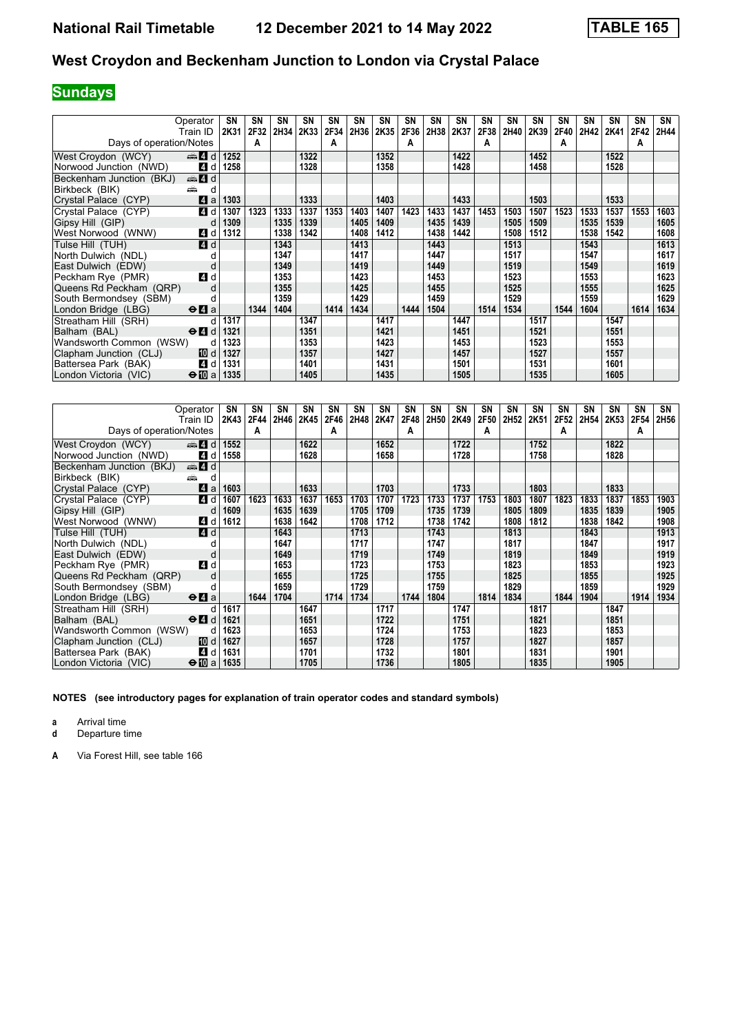# **Sundays**

| Operator<br>Train ID                                         | SΝ<br>2K31 | SN<br>2F32 | SN<br>2H34 | SΝ<br>2K33 | SN<br>2F34 | SN<br>2H36 | SN<br>2K35 | SΝ<br>2F36 | SN<br>2H38 | <b>SN</b><br>2K37 | SN<br>2F38 | SΝ<br>2H40 | SN<br>2K39 | <b>SN</b><br>2F40 | <b>SN</b><br>2H42 | <b>SN</b><br>2K41 | SΝ<br>2F42 | SN<br>2H44 |
|--------------------------------------------------------------|------------|------------|------------|------------|------------|------------|------------|------------|------------|-------------------|------------|------------|------------|-------------------|-------------------|-------------------|------------|------------|
| Days of operation/Notes                                      |            | A          |            |            | A          |            |            | A          |            |                   | A          |            |            | А                 |                   |                   | A          |            |
| den 4 d<br>West Croydon (WCY)                                | 1252       |            |            | 1322       |            |            | 1352       |            |            | 1422              |            |            | 1452       |                   |                   | 1522              |            |            |
| Norwood Junction (NWD)<br>4 d                                | 1258       |            |            | 1328       |            |            | 1358       |            |            | 1428              |            |            | 1458       |                   |                   | 1528              |            |            |
| den 4∃d<br>Beckenham Junction (BKJ)                          |            |            |            |            |            |            |            |            |            |                   |            |            |            |                   |                   |                   |            |            |
| Birkbeck (BIK)<br>æ<br>d                                     |            |            |            |            |            |            |            |            |            |                   |            |            |            |                   |                   |                   |            |            |
| ZI a<br>Crystal Palace (CYP)                                 | 1303       |            |            | 1333       |            |            | 1403       |            |            | 1433              |            |            | 1503       |                   |                   | 1533              |            |            |
| 4 d<br>Crystal Palace (CYP)                                  | 1307       | 1323       | 1333       | 1337       | 1353       | 1403       | 1407       | 1423       | 1433       | 1437              | 1453       | 1503       | 1507       | 1523              | 1533              | 1537              | 1553       | 1603       |
| Gipsy Hill (GIP)<br>d                                        | 1309       |            | 1335       | 1339       |            | 1405       | 1409       |            | 1435       | 1439              |            | 1505       | 1509       |                   | 1535              | 1539              |            | 1605       |
| 4 d<br>West Norwood (WNW)                                    | 1312       |            | 1338       | 1342       |            | 1408       | 1412       |            | 1438       | 1442              |            | 1508       | 1512       |                   | 1538              | 1542              |            | 1608       |
| 4 d<br>Tulse Hill (TUH)                                      |            |            | 1343       |            |            | 1413       |            |            | 1443       |                   |            | 1513       |            |                   | 1543              |                   |            | 1613       |
| North Dulwich (NDL)<br>d                                     |            |            | 1347       |            |            | 1417       |            |            | 1447       |                   |            | 1517       |            |                   | 1547              |                   |            | 1617       |
| East Dulwich (EDW)<br>d                                      |            |            | 1349       |            |            | 1419       |            |            | 1449       |                   |            | 1519       |            |                   | 1549              |                   |            | 1619       |
| 4d<br>Peckham Rye (PMR)                                      |            |            | 1353       |            |            | 1423       |            |            | 1453       |                   |            | 1523       |            |                   | 1553              |                   |            | 1623       |
| Queens Rd Peckham (QRP)<br>d                                 |            |            | 1355       |            |            | 1425       |            |            | 1455       |                   |            | 1525       |            |                   | 1555              |                   |            | 1625       |
| South Bermondsey (SBM)<br>d                                  |            |            | 1359       |            |            | 1429       |            |            | 1459       |                   |            | 1529       |            |                   | 1559              |                   |            | 1629       |
| London Bridge (LBG)<br>$\Theta$ <b><math>\Omega</math></b> a |            | 1344       | 1404       |            | 1414       | 1434       |            | 1444       | 1504       |                   | 1514       | 1534       |            | 1544              | 1604              |                   | 1614       | 1634       |
| Streatham Hill (SRH)<br>d                                    | 1317       |            |            | 1347       |            |            | 1417       |            |            | 1447              |            |            | 1517       |                   |                   | 1547              |            |            |
| Balham (BAL)<br>$\Theta$ <sup><math>\Omega</math></sup> d    | 1321       |            |            | 1351       |            |            | 1421       |            |            | 1451              |            |            | 1521       |                   |                   | 1551              |            |            |
| Wandsworth Common (WSW)<br>d                                 | 1323       |            |            | 1353       |            |            | 1423       |            |            | 1453              |            |            | 1523       |                   |                   | 1553              |            |            |
| Clapham Junction (CLJ)<br>10 d                               | 1327       |            |            | 1357       |            |            | 1427       |            |            | 1457              |            |            | 1527       |                   |                   | 1557              |            |            |
| 4 d<br>Battersea Park (BAK)                                  | 1331       |            |            | 1401       |            |            | 1431       |            |            | 1501              |            |            | 1531       |                   |                   | 1601              |            |            |
| $\Theta$ III a<br>London Victoria (VIC)                      | 1335       |            |            | 1405       |            |            | 1435       |            |            | 1505              |            |            | 1535       |                   |                   | 1605              |            |            |

|                          | Operator                                    | SN   | SN   | SN   | SΝ   | SN   | <b>SN</b> | <b>SN</b> | SN   | SN   | <b>SN</b> | <b>SN</b>   | <b>SN</b>        | SΝ   | SΝ   | SΝ   | SΝ   | <b>SN</b> | SN   |
|--------------------------|---------------------------------------------|------|------|------|------|------|-----------|-----------|------|------|-----------|-------------|------------------|------|------|------|------|-----------|------|
|                          | Train ID                                    | 2K43 | 2F44 | 2H46 | 2K45 | 2F46 | 2H48      | 2K47      | 2F48 | 2H50 | 2K49      | <b>2F50</b> | 2H <sub>52</sub> | 2K51 | 2F52 | 2H54 | 2K53 | 2F54      | 2H56 |
| Days of operation/Notes  |                                             |      | A    |      |      | A    |           |           | А    |      |           | А           |                  |      | A    |      |      | A         |      |
| West Croydon (WCY)       | $\oplus$ 4 d                                | 1552 |      |      | 1622 |      |           | 1652      |      |      | 1722      |             |                  | 1752 |      |      | 1822 |           |      |
| Norwood Junction (NWD)   | 4 d                                         | 1558 |      |      | 1628 |      |           | 1658      |      |      | 1728      |             |                  | 1758 |      |      | 1828 |           |      |
| Beckenham Junction (BKJ) | $\oplus$ 4 d                                |      |      |      |      |      |           |           |      |      |           |             |                  |      |      |      |      |           |      |
| Birkbeck (BIK)           | æ<br>d                                      |      |      |      |      |      |           |           |      |      |           |             |                  |      |      |      |      |           |      |
| Crystal Palace (CYP)     | ZI a                                        | 1603 |      |      | 1633 |      |           | 1703      |      |      | 1733      |             |                  | 1803 |      |      | 1833 |           |      |
| Crystal Palace (CYP)     | <b>4</b> d                                  | 1607 | 1623 | 1633 | 1637 | 1653 | 1703      | 1707      | 1723 | 1733 | 1737      | 1753        | 1803             | 1807 | 1823 | 1833 | 1837 | 1853      | 1903 |
| Gipsy Hill (GIP)         | d                                           | 1609 |      | 1635 | 1639 |      | 1705      | 1709      |      | 1735 | 1739      |             | 1805             | 1809 |      | 1835 | 1839 |           | 1905 |
| West Norwood (WNW)       | 4 d                                         | 1612 |      | 1638 | 1642 |      | 1708      | 1712      |      | 1738 | 1742      |             | 1808             | 1812 |      | 1838 | 1842 |           | 1908 |
| Tulse Hill (TUH)         | 4d                                          |      |      | 1643 |      |      | 1713      |           |      | 1743 |           |             | 1813             |      |      | 1843 |      |           | 1913 |
| North Dulwich (NDL)      | d                                           |      |      | 1647 |      |      | 1717      |           |      | 1747 |           |             | 1817             |      |      | 1847 |      |           | 1917 |
| East Dulwich (EDW)       | d                                           |      |      | 1649 |      |      | 1719      |           |      | 1749 |           |             | 1819             |      |      | 1849 |      |           | 1919 |
| Peckham Rye (PMR)        | 4 d                                         |      |      | 1653 |      |      | 1723      |           |      | 1753 |           |             | 1823             |      |      | 1853 |      |           | 1923 |
| Queens Rd Peckham (QRP)  | d                                           |      |      | 1655 |      |      | 1725      |           |      | 1755 |           |             | 1825             |      |      | 1855 |      |           | 1925 |
| South Bermondsey (SBM)   |                                             |      |      | 1659 |      |      | 1729      |           |      | 1759 |           |             | 1829             |      |      | 1859 |      |           | 1929 |
| London Bridge (LBG)      | $\Theta$ <b><math>\blacksquare</math></b> a |      | 1644 | 1704 |      | 1714 | 1734      |           | 1744 | 1804 |           | 1814        | 1834             |      | 1844 | 1904 |      | 1914      | 1934 |
| Streatham Hill (SRH)     | d                                           | 1617 |      |      | 1647 |      |           | 1717      |      |      | 1747      |             |                  | 1817 |      |      | 1847 |           |      |
| Balham (BAL)             | $\Theta$ <sup><math>\Omega</math></sup> d   | 1621 |      |      | 1651 |      |           | 1722      |      |      | 1751      |             |                  | 1821 |      |      | 1851 |           |      |
| Wandsworth Common (WSW)  | d                                           | 1623 |      |      | 1653 |      |           | 1724      |      |      | 1753      |             |                  | 1823 |      |      | 1853 |           |      |
| Clapham Junction (CLJ)   | 10 d                                        | 1627 |      |      | 1657 |      |           | 1728      |      |      | 1757      |             |                  | 1827 |      |      | 1857 |           |      |
| Battersea Park (BAK)     | <b>4</b> d                                  | 1631 |      |      | 1701 |      |           | 1732      |      |      | 1801      |             |                  | 1831 |      |      | 1901 |           |      |
| London Victoria (VIC)    | $\bigoplus$ a                               | 1635 |      |      | 1705 |      |           | 1736      |      |      | 1805      |             |                  | 1835 |      |      | 1905 |           |      |

**NOTES (see introductory pages for explanation of train operator codes and standard symbols)**

**a** Arrival time<br>**d** Departure t

**d** Departure time